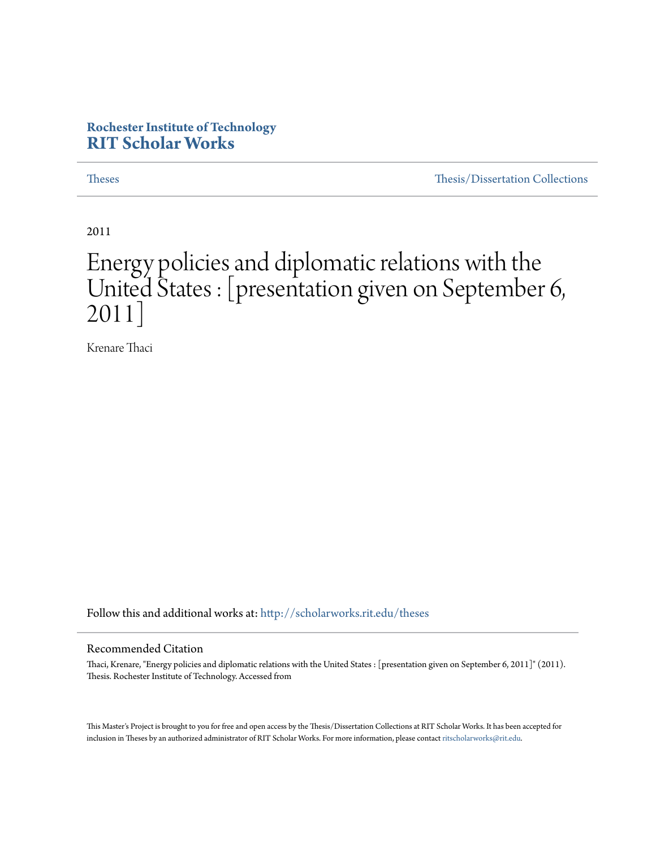#### **Rochester Institute of Technology [RIT Scholar Works](http://scholarworks.rit.edu?utm_source=scholarworks.rit.edu%2Ftheses%2F7032&utm_medium=PDF&utm_campaign=PDFCoverPages)**

[Theses](http://scholarworks.rit.edu/theses?utm_source=scholarworks.rit.edu%2Ftheses%2F7032&utm_medium=PDF&utm_campaign=PDFCoverPages) [Thesis/Dissertation Collections](http://scholarworks.rit.edu/etd_collections?utm_source=scholarworks.rit.edu%2Ftheses%2F7032&utm_medium=PDF&utm_campaign=PDFCoverPages)

2011

## Energy policies and diplomatic relations with the United States : [presentation given on September 6, 2011]

Krenare Thaci

Follow this and additional works at: [http://scholarworks.rit.edu/theses](http://scholarworks.rit.edu/theses?utm_source=scholarworks.rit.edu%2Ftheses%2F7032&utm_medium=PDF&utm_campaign=PDFCoverPages)

#### Recommended Citation

Thaci, Krenare, "Energy policies and diplomatic relations with the United States : [presentation given on September 6, 2011]" (2011). Thesis. Rochester Institute of Technology. Accessed from

This Master's Project is brought to you for free and open access by the Thesis/Dissertation Collections at RIT Scholar Works. It has been accepted for inclusion in Theses by an authorized administrator of RIT Scholar Works. For more information, please contact [ritscholarworks@rit.edu](mailto:ritscholarworks@rit.edu).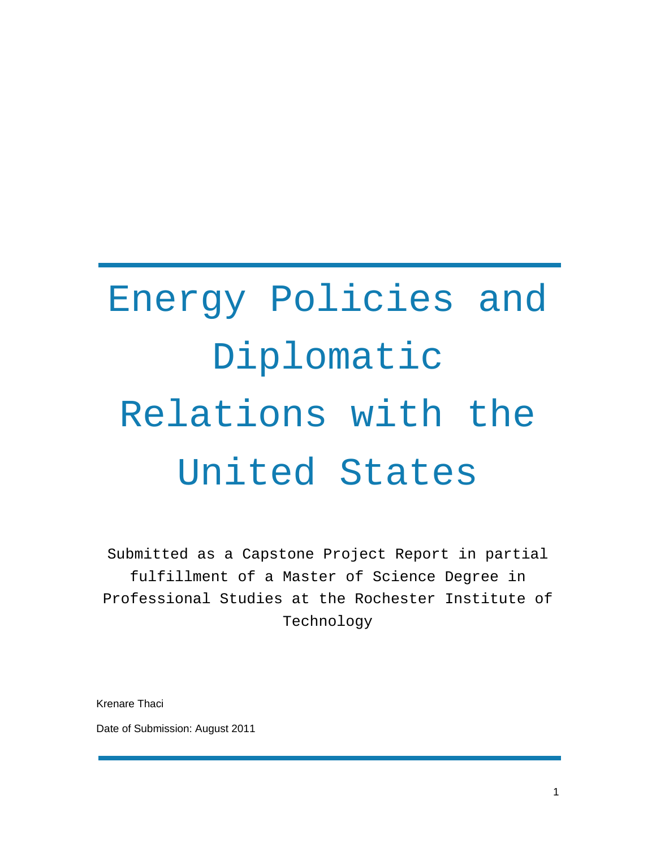# Energy Policies and Diplomatic Relations with the United States

Submitted as a Capstone Project Report in partial fulfillment of a Master of Science Degree in Professional Studies at the Rochester Institute of Technology

Krenare Thaci

Date of Submission: August 2011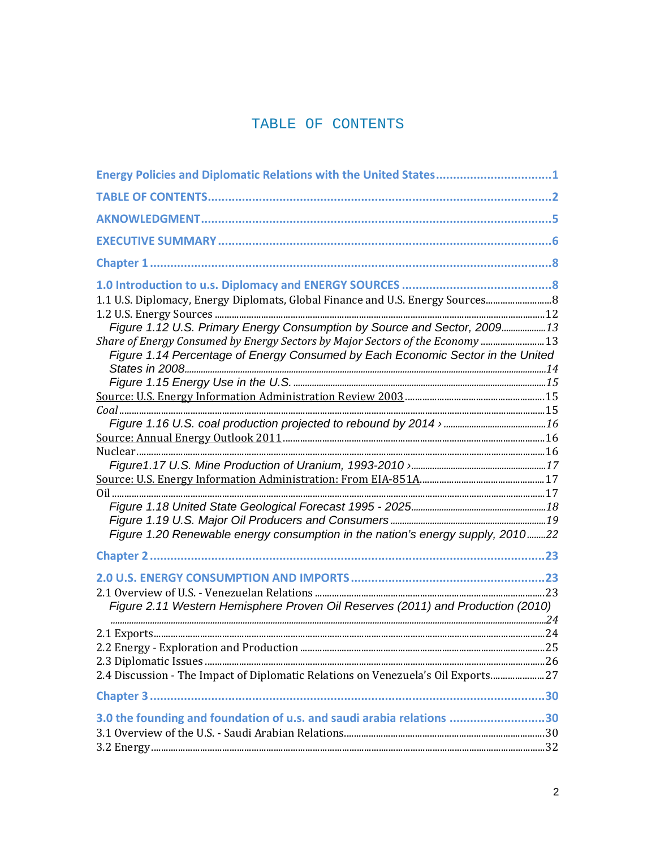#### TABLE OF CONTENTS

| Energy Policies and Diplomatic Relations with the United States1                  |  |
|-----------------------------------------------------------------------------------|--|
|                                                                                   |  |
|                                                                                   |  |
|                                                                                   |  |
|                                                                                   |  |
|                                                                                   |  |
| 1.1 U.S. Diplomacy, Energy Diplomats, Global Finance and U.S. Energy Sources 8    |  |
|                                                                                   |  |
| Figure 1.12 U.S. Primary Energy Consumption by Source and Sector, 200913          |  |
| Share of Energy Consumed by Energy Sectors by Major Sectors of the Economy  13    |  |
| Figure 1.14 Percentage of Energy Consumed by Each Economic Sector in the United   |  |
|                                                                                   |  |
|                                                                                   |  |
|                                                                                   |  |
|                                                                                   |  |
|                                                                                   |  |
|                                                                                   |  |
|                                                                                   |  |
|                                                                                   |  |
|                                                                                   |  |
|                                                                                   |  |
|                                                                                   |  |
| Figure 1.20 Renewable energy consumption in the nation's energy supply, 201022    |  |
|                                                                                   |  |
|                                                                                   |  |
|                                                                                   |  |
|                                                                                   |  |
| Figure 2.11 Western Hemisphere Proven Oil Reserves (2011) and Production (2010)   |  |
|                                                                                   |  |
|                                                                                   |  |
|                                                                                   |  |
|                                                                                   |  |
| 2.4 Discussion - The Impact of Diplomatic Relations on Venezuela's Oil Exports 27 |  |
|                                                                                   |  |
| 3.0 the founding and foundation of u.s. and saudi arabia relations 30             |  |
|                                                                                   |  |
|                                                                                   |  |
|                                                                                   |  |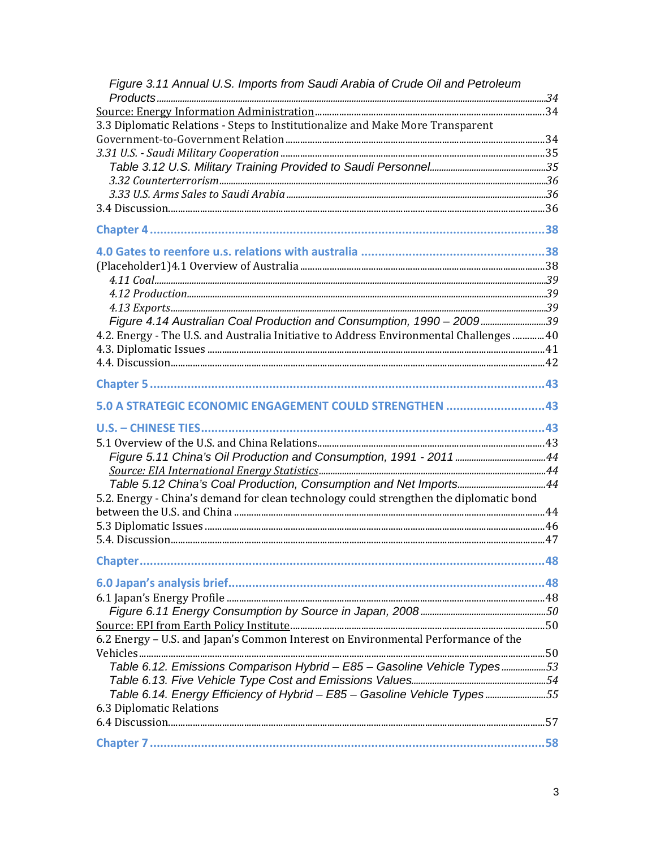| Figure 3.11 Annual U.S. Imports from Saudi Arabia of Crude Oil and Petroleum            |    |
|-----------------------------------------------------------------------------------------|----|
|                                                                                         |    |
| 3.3 Diplomatic Relations - Steps to Institutionalize and Make More Transparent          |    |
|                                                                                         |    |
|                                                                                         |    |
|                                                                                         |    |
|                                                                                         |    |
|                                                                                         |    |
|                                                                                         |    |
|                                                                                         |    |
|                                                                                         |    |
|                                                                                         |    |
|                                                                                         |    |
|                                                                                         |    |
|                                                                                         |    |
| Figure 4.14 Australian Coal Production and Consumption, 1990 - 200939                   |    |
| 4.2. Energy - The U.S. and Australia Initiative to Address Environmental Challenges  40 |    |
|                                                                                         |    |
|                                                                                         |    |
|                                                                                         |    |
| 5.0 A STRATEGIC ECONOMIC ENGAGEMENT COULD STRENGTHEN 43                                 |    |
|                                                                                         |    |
|                                                                                         |    |
|                                                                                         |    |
|                                                                                         |    |
|                                                                                         |    |
| 5.2. Energy - China's demand for clean technology could strengthen the diplomatic bond  |    |
|                                                                                         |    |
|                                                                                         |    |
|                                                                                         |    |
| Chapter                                                                                 | 48 |
|                                                                                         |    |
|                                                                                         |    |
|                                                                                         |    |
|                                                                                         |    |
| 6.2 Energy - U.S. and Japan's Common Interest on Environmental Performance of the       |    |
|                                                                                         |    |
| Table 6.12. Emissions Comparison Hybrid - E85 - Gasoline Vehicle Types53                |    |
|                                                                                         |    |
| Table 6.14. Energy Efficiency of Hybrid - E85 - Gasoline Vehicle Types55                |    |
| 6.3 Diplomatic Relations                                                                |    |
|                                                                                         |    |
|                                                                                         |    |
|                                                                                         |    |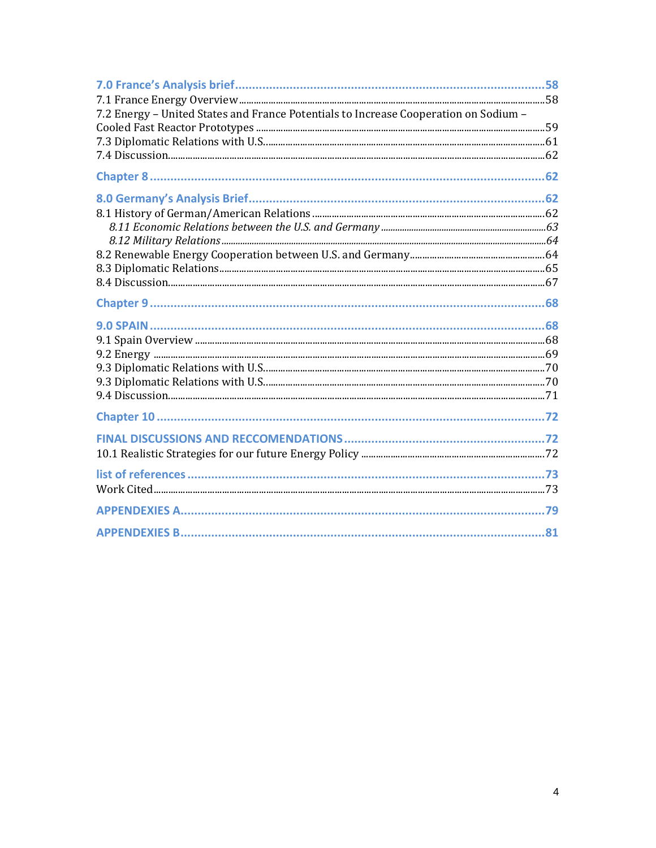| 7.2 Energy - United States and France Potentials to Increase Cooperation on Sodium - |  |
|--------------------------------------------------------------------------------------|--|
|                                                                                      |  |
|                                                                                      |  |
|                                                                                      |  |
|                                                                                      |  |
|                                                                                      |  |
|                                                                                      |  |
|                                                                                      |  |
|                                                                                      |  |
|                                                                                      |  |
|                                                                                      |  |
|                                                                                      |  |
|                                                                                      |  |
|                                                                                      |  |
|                                                                                      |  |
|                                                                                      |  |
|                                                                                      |  |
|                                                                                      |  |
|                                                                                      |  |
|                                                                                      |  |
|                                                                                      |  |
|                                                                                      |  |
|                                                                                      |  |
|                                                                                      |  |
|                                                                                      |  |
|                                                                                      |  |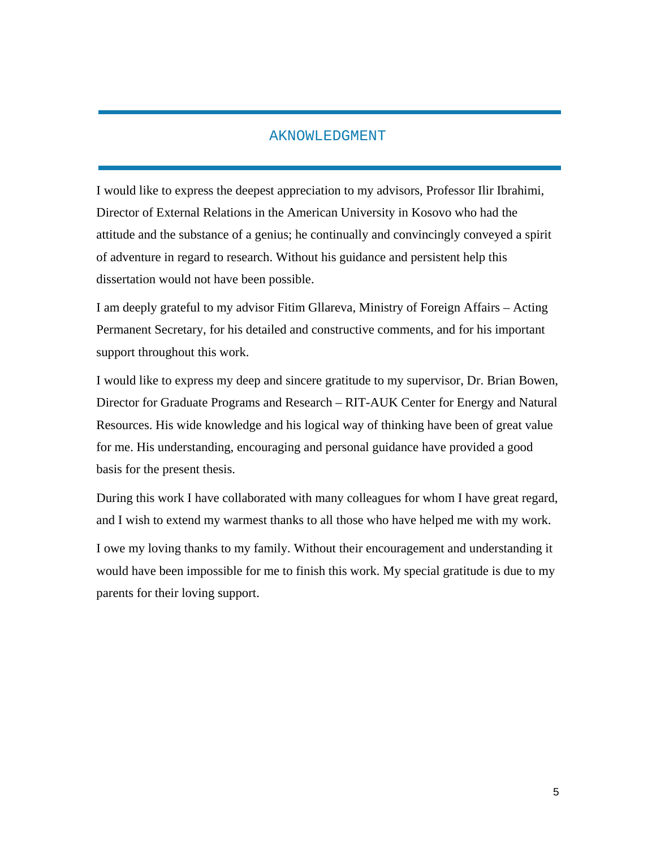#### AKNOWLEDGMENT

I would like to express the deepest appreciation to my advisors, Professor Ilir Ibrahimi, Director of External Relations in the American University in Kosovo who had the attitude and the substance of a genius; he continually and convincingly conveyed a spirit of adventure in regard to research. Without his guidance and persistent help this dissertation would not have been possible.

I am deeply grateful to my advisor Fitim Gllareva, Ministry of Foreign Affairs – Acting Permanent Secretary, for his detailed and constructive comments, and for his important support throughout this work.

I would like to express my deep and sincere gratitude to my supervisor, Dr. Brian Bowen, Director for Graduate Programs and Research – RIT-AUK Center for Energy and Natural Resources. His wide knowledge and his logical way of thinking have been of great value for me. His understanding, encouraging and personal guidance have provided a good basis for the present thesis.

During this work I have collaborated with many colleagues for whom I have great regard, and I wish to extend my warmest thanks to all those who have helped me with my work. I owe my loving thanks to my family. Without their encouragement and understanding it would have been impossible for me to finish this work. My special gratitude is due to my parents for their loving support.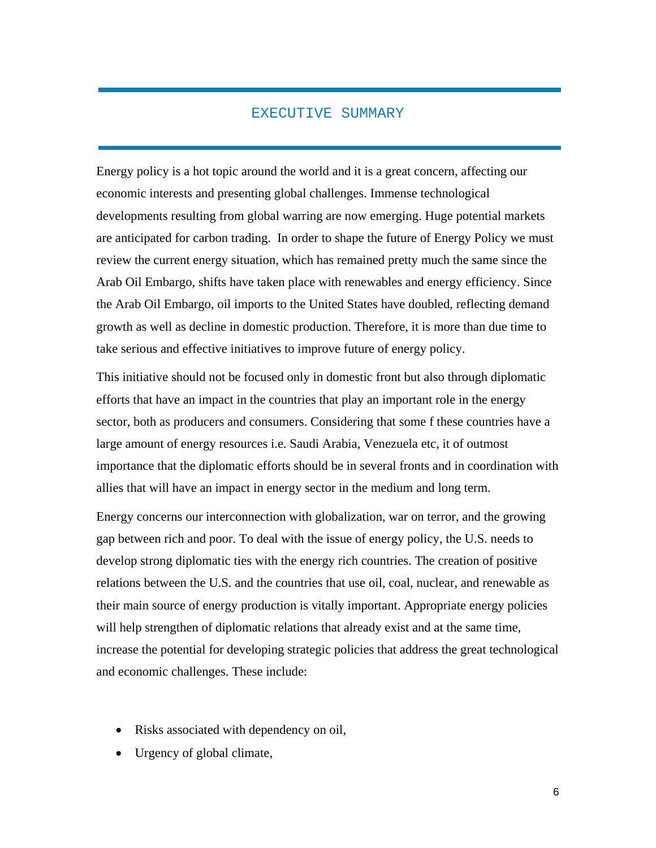#### EXECUTIVE SUMMARY

Energy policy is a hot topic around the world and it is a great concern, affecting our economic interests and presenting global challenges. Immense technological developments resulting from global warring are now emerging. Huge potential markets are anticipated for carbon trading. In order to shape the future of Energy Policy we must review the current energy situation, which has remained pretty much the same since the Arab Oil Embargo, shifts have taken place with renewables and energy efficiency. Since the Arab Oil Embargo, oil imports to the United States have doubled, reflecting demand growth as well as decline in domestic production. Therefore, it is more than due time to take serious and effective initiatives to improve future of energy policy.

This initiative should not be focused only in domestic front but also through diplomatic efforts that have an impact in the countries that play an important role in the energy sector, both as producers and consumers. Considering that some f these countries have a large amount of energy resources i.e. Saudi Arabia, Venezuela etc, it of outmost importance that the diplomatic efforts should be in several fronts and in coordination with allies that will have an impact in energy sector in the medium and long term.

Energy concerns our interconnection with globalization, war on terror, and the growing gap between rich and poor. To deal with the issue of energy policy, the U.S. needs to develop strong diplomatic ties with the energy rich countries. The creation of positive relations between the U.S. and the countries that use oil, coal, nuclear, and renewable as their main source of energy production is vitally important. Appropriate energy policies will help strengthen of diplomatic relations that already exist and at the same time, increase the potential for developing strategic policies that address the great technological and economic challenges. These include:

- Risks associated with dependency on oil,
- Urgency of global climate,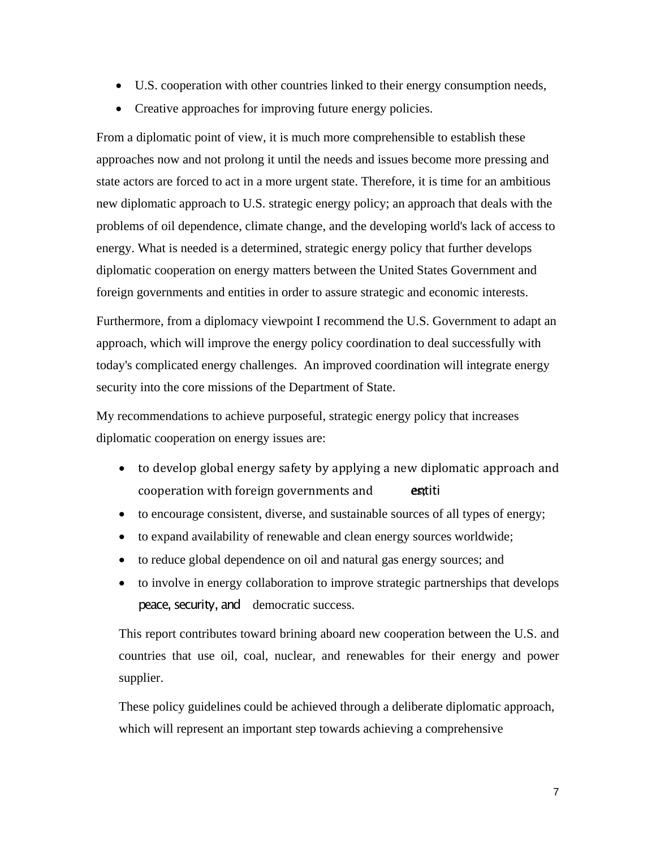- U.S. cooperation with other countries linked to their energy consumption needs,
- Creative approaches for improving future energy policies.

From a diplomatic point of view, it is much more comprehensible to establish these approaches now and not prolong it until the needs and issues become more pressing and state actors are forced to act in a more urgent state. Therefore, it is time for an ambitious new diplomatic approach to U.S. strategic energy policy; an approach that deals with the problems of oil dependence, climate change, and the developing world's lack of access to energy. What is needed is a determined, strategic energy policy that further develops diplomatic cooperation on energy matters between the United States Government and foreign governments and entities in order to assure strategic and economic interests.

Furthermore, from a diplomacy viewpoint I recommend the U.S. Government to adapt an approach, which will improve the energy policy coordination to deal successfully with today's complicated energy challenges.An improved coordination will integrate energy security into the core missions of the Department of State.

My recommendations to achieve purposeful, strategic energy policy that increases diplomatic cooperation on energy issues are:

- to develop global energy safety by applying a new diplomatic approach and cooperation with foreign governments and **estiti**
- to encourage consistent, diverse, and sustainable sources of all types of energy;
- to expand availability of renewable and clean energy sources worldwide;
- to reduce global dependence on oil and natural gas energy sources; and
- to involve in energy collaboration to improve strategic partnerships that develops peace, security, and democratic success.

This report contributes toward brining aboard new cooperation between the U.S. and countries that use oil, coal, nuclear, and renewables for their energy and power supplier.

These policy guidelines could be achieved through a deliberate diplomatic approach, which will represent an important step towards achieving a comprehensive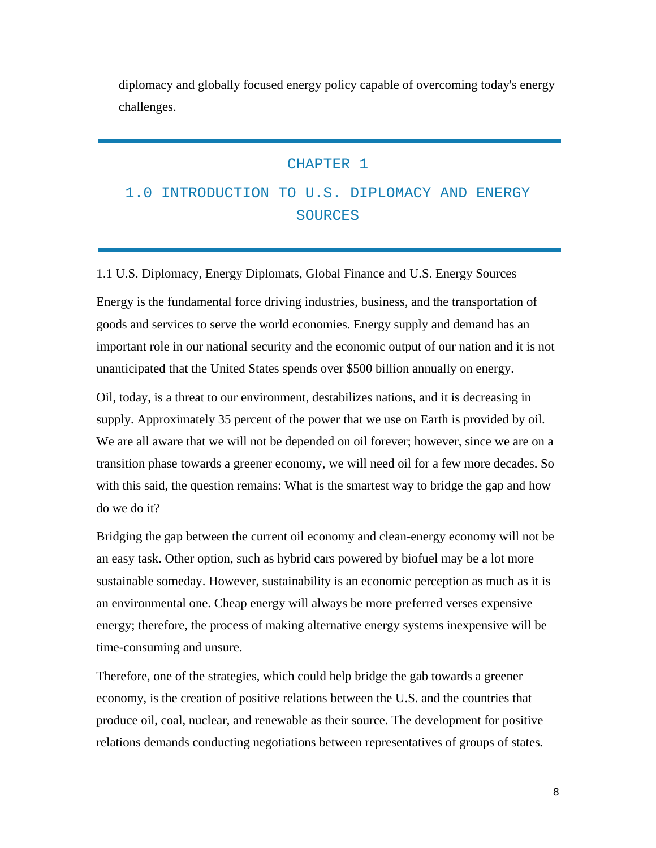diplomacy and globally focused energy policy capable of overcoming today's energy challenges.

#### CHAPTER 1

#### 1.0 INTRODUCTION TO U.S. DIPLOMACY AND ENERGY **SOURCES**

1.1 U.S. Diplomacy, Energy Diplomats, Global Finance and U.S. Energy Sources

Energy is the fundamental force driving industries, business, and the transportation of goods and services to serve the world economies. Energy supply and demand has an important role in our national security and the economic output of our nation and it is not unanticipated that the United States spends over \$500 billion annually on energy.

Oil, today, is a threat to our environment, destabilizes nations, and it is decreasing in supply. Approximately 35 percent of the power that we use on Earth is provided by oil. We are all aware that we will not be depended on oil forever; however, since we are on a transition phase towards a greener economy, we will need oil for a few more decades. So with this said, the question remains: What is the smartest way to bridge the gap and how do we do it?

Bridging the gap between the current oil economy and clean-energy economy will not be an easy task. Other option, such as hybrid cars powered by biofuel may be a lot more sustainable someday. However, sustainability is an economic perception as much as it is an environmental one. Cheap energy will always be more preferred verses expensive energy; therefore, the process of making alternative energy systems inexpensive will be time-consuming and unsure.

Therefore, one of the strategies, which could help bridge the gab towards a greener economy, is the creation of positive relations between the U.S. and the countries that produce oil, coal, nuclear, and renewable as their source*.* The development for positive relations demands conducting negotiations between representatives of groups of states*.*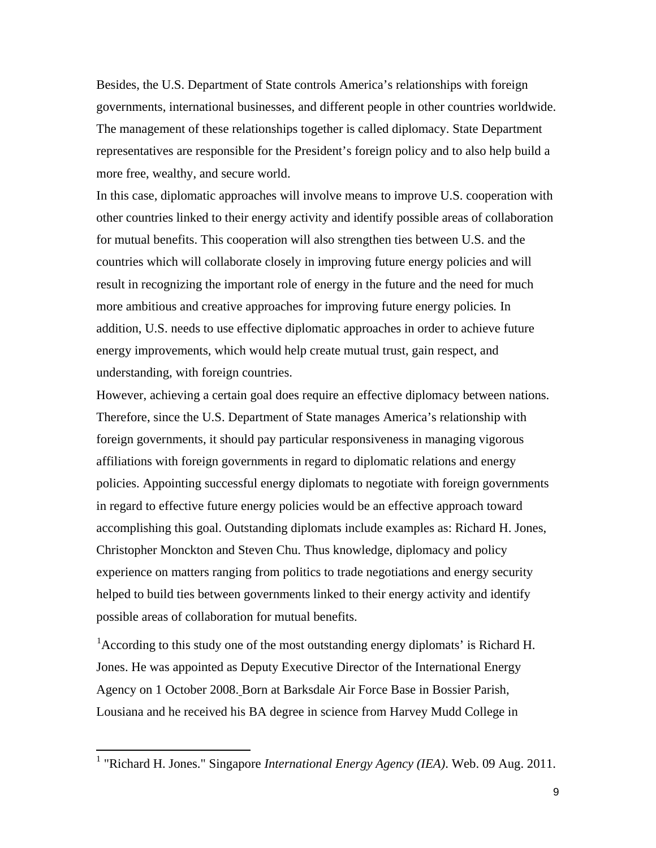Besides, the U.S. Department of State controls America's relationships with foreign governments, international businesses, and different people in other countries worldwide. The management of these relationships together is called diplomacy. State Department representatives are responsible for the President's foreign policy and to also help build a more free, wealthy, and secure world.

In this case, diplomatic approaches will involve means to improve U.S. cooperation with other countries linked to their energy activity and identify possible areas of collaboration for mutual benefits. This cooperation will also strengthen ties between U.S. and the countries which will collaborate closely in improving future energy policies and will result in recognizing the important role of energy in the future and the need for much more ambitious and creative approaches for improving future energy policies*.* In addition, U.S. needs to use effective diplomatic approaches in order to achieve future energy improvements, which would help create mutual trust, gain respect, and understanding, with foreign countries.

However, achieving a certain goal does require an effective diplomacy between nations. Therefore, since the U.S. Department of State manages America's relationship with foreign governments, it should pay particular responsiveness in managing vigorous affiliations with foreign governments in regard to diplomatic relations and energy policies. Appointing successful energy diplomats to negotiate with foreign governments in regard to effective future energy policies would be an effective approach toward accomplishing this goal. Outstanding diplomats include examples as: Richard H. Jones, Christopher Monckton and Steven Chu. Thus knowledge, diplomacy and policy experience on matters ranging from politics to trade negotiations and energy security helped to build ties between governments linked to their energy activity and identify possible areas of collaboration for mutual benefits.

<sup>[1](#page-9-0)</sup> According to this study one of the most outstanding energy diplomats' is Richard H. Jones. He was appointed as Deputy Executive Director of the International Energy Agency on 1 October 2008. Born at Barksdale Air Force Base in Bossier Parish, Lousiana and he received his BA degree in science from Harvey Mudd College in

<span id="page-9-0"></span> <sup>1</sup> "Richard H. Jones." Singapore *International Energy Agency (IEA)*. Web. 09 Aug. 2011.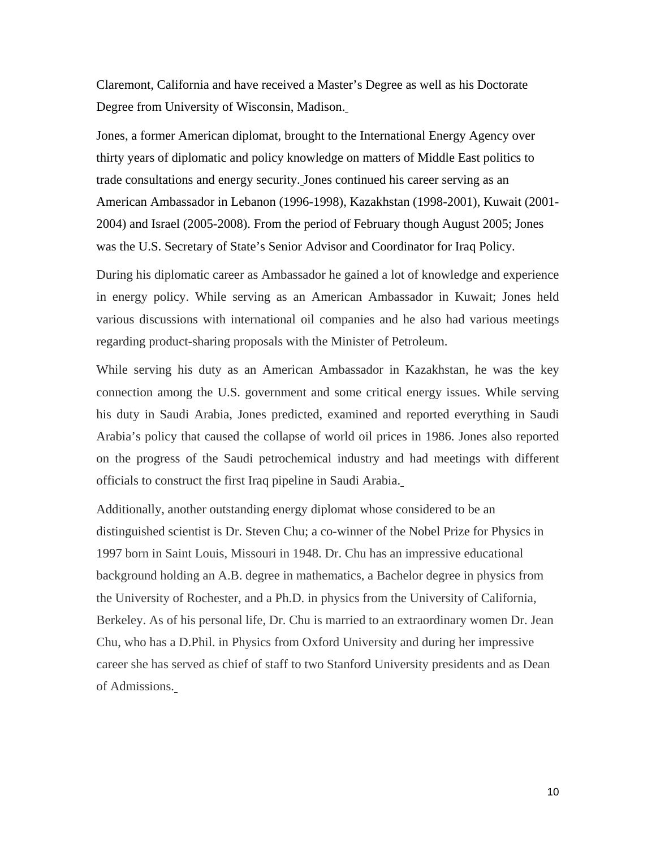Claremont, California and have received a Master's Degree as well as his Doctorate Degree from University of Wisconsin, Madison.

Jones, a former American diplomat, brought to the International Energy Agency over thirty years of diplomatic and policy knowledge on matters of Middle East politics to trade consultations and energy security. Jones continued his career serving as an American Ambassador in Lebanon (1996-1998), Kazakhstan (1998-2001), Kuwait (2001- 2004) and Israel (2005-2008). From the period of February though August 2005; Jones was the U.S. Secretary of State's Senior Advisor and Coordinator for Iraq Policy.

During his diplomatic career as Ambassador he gained a lot of knowledge and experience in energy policy. While serving as an American Ambassador in Kuwait; Jones held various discussions with international oil companies and he also had various meetings regarding product-sharing proposals with the Minister of Petroleum.

While serving his duty as an American Ambassador in Kazakhstan, he was the key connection among the U.S. government and some critical energy issues. While serving his duty in Saudi Arabia, Jones predicted, examined and reported everything in Saudi Arabia's policy that caused the collapse of world oil prices in 1986. Jones also reported on the progress of the Saudi petrochemical industry and had meetings with different officials to construct the first Iraq pipeline in Saudi Arabia.

Additionally, another outstanding energy diplomat whose considered to be an distinguished scientist is Dr. Steven Chu; a co-winner of the Nobel Prize for Physics in 1997 born in Saint Louis, Missouri in 1948. Dr. Chu has an impressive educational background holding an A.B. degree in mathematics, a Bachelor degree in physics from the University of Rochester, and a Ph.D. in physics from the University of California, Berkeley. As of his personal life, Dr. Chu is married to an extraordinary women Dr. Jean Chu, who has a D.Phil. in Physics from Oxford University and during her impressive career she has served as chief of staff to two Stanford University presidents and as Dean of Admissions.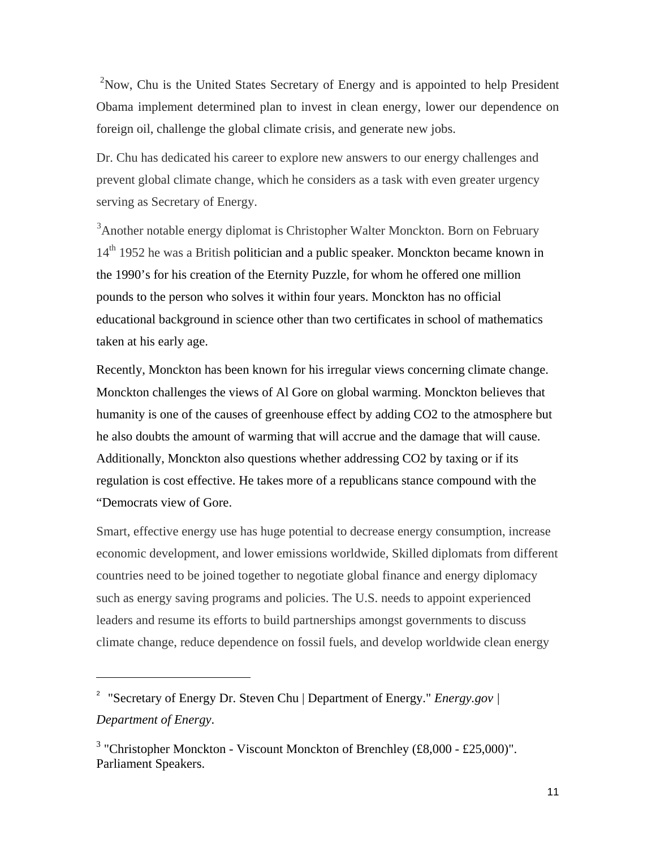<sup>[2](#page-11-0)</sup>Now, Chu is the United States Secretary of Energy and is appointed to help President Obama implement determined plan to invest in clean energy, lower our dependence on foreign oil, challenge the global climate crisis, and generate new jobs.

Dr. Chu has dedicated his career to explore new answers to our energy challenges and prevent global climate change, which he considers as a task with even greater urgency serving as Secretary of Energy.

<sup>[3](#page-11-1)</sup> Another notable energy diplomat is Christopher Walter Monckton. Born on February 14<sup>th</sup> 1952 he was a British politician and a public speaker. Monckton became known in the 1990's for his creation of the Eternity Puzzle, for whom he offered one million pounds to the person who solves it within four years. Monckton has no official educational background in science other than two certificates in school of mathematics taken at his early age.

Recently, Monckton has been known for his irregular views concerning climate change. Monckton challenges the views of Al Gore on global warming. Monckton believes that humanity is one of the causes of greenhouse effect by adding CO2 to the atmosphere but he also doubts the amount of warming that will accrue and the damage that will cause. Additionally, Monckton also questions whether addressing CO2 by taxing or if its regulation is cost effective. He takes more of a republicans stance compound with the "Democrats view of Gore.

Smart, effective energy use has huge potential to decrease energy consumption, increase economic development, and lower emissions worldwide, Skilled diplomats from different countries need to be joined together to negotiate global finance and energy diplomacy such as energy saving programs and policies. The U.S. needs to appoint experienced leaders and resume its efforts to build partnerships amongst governments to discuss climate change, reduce dependence on fossil fuels, and develop worldwide clean energy

 $\overline{a}$ 

<span id="page-11-0"></span><sup>&</sup>lt;sup>2</sup> "Secretary of Energy Dr. Steven Chu | Department of Energy." *Energy.gov* | *Department of Energy*.

<span id="page-11-1"></span><sup>&</sup>lt;sup>3</sup> "Christopher Monckton - [Viscount Monckton of Brenchley \(£8,000 -](http://www.parliamentspeakers.com/Speaker/Christopher+Monckton++Viscount+Monckton+of+Brenchley) £25,000)". Parliament Speakers.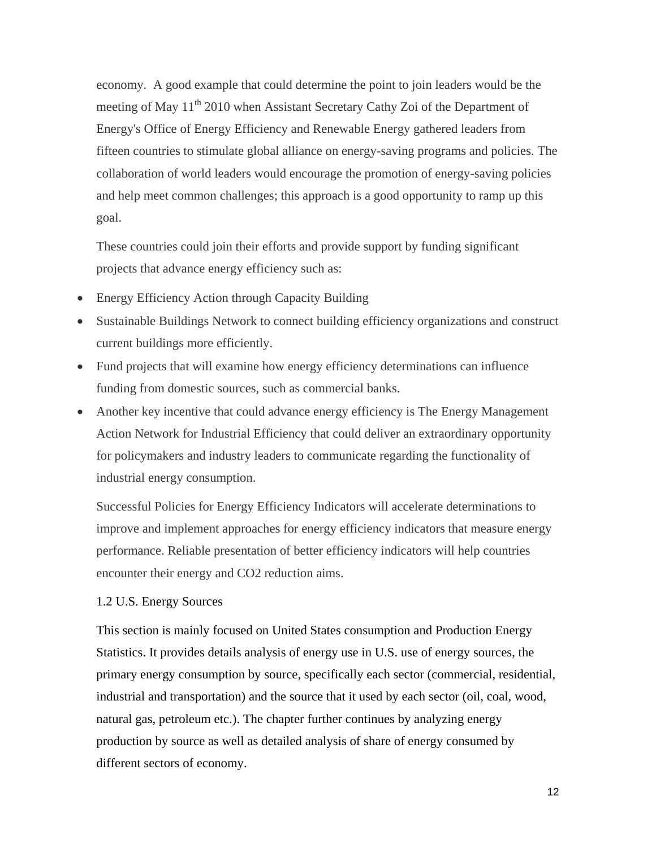economy. A good example that could determine the point to join leaders would be the meeting of May  $11^{th}$  2010 when Assistant Secretary Cathy Zoi of the Department of Energy's Office of Energy Efficiency and Renewable Energy gathered leaders from fifteen countries to stimulate global alliance on energy-saving programs and policies. The collaboration of world leaders would encourage the promotion of energy-saving policies and help meet common challenges; this approach is a good opportunity to ramp up this goal.

These countries could join their efforts and provide support by funding significant projects that advance energy efficiency such as:

- Energy Efficiency Action through Capacity Building
- Sustainable Buildings Network to connect building efficiency organizations and construct current buildings more efficiently.
- Fund projects that will examine how energy efficiency determinations can influence funding from domestic sources, such as commercial banks.
- Another key incentive that could advance energy efficiency is The Energy Management Action Network for Industrial Efficiency that could deliver an extraordinary opportunity for policymakers and industry leaders to communicate regarding the functionality of industrial energy consumption.

Successful Policies for Energy Efficiency Indicators will accelerate determinations to improve and implement approaches for energy efficiency indicators that measure energy performance. Reliable presentation of better efficiency indicators will help countries encounter their energy and CO2 reduction aims.

#### 1.2 U.S. Energy Sources

This section is mainly focused on United States consumption and Production Energy Statistics. It provides details analysis of energy use in U.S. use of energy sources, the primary energy consumption by source, specifically each sector (commercial, residential, industrial and transportation) and the source that it used by each sector (oil, coal, wood, natural gas, petroleum etc.). The chapter further continues by analyzing energy production by source as well as detailed analysis of share of energy consumed by different sectors of economy.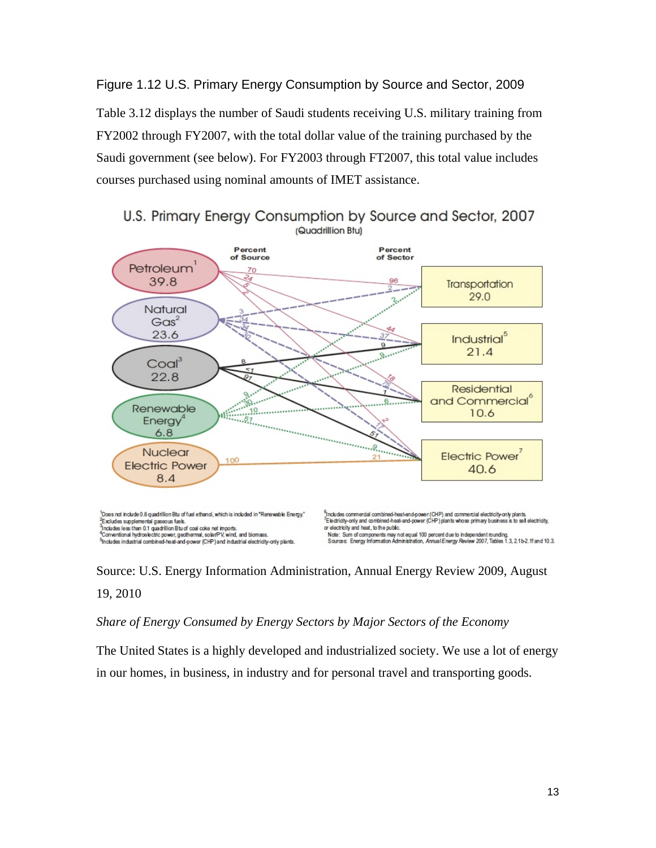Figure 1.12 U.S. Primary Energy Consumption by Source and Sector, 2009 Table 3.12 displays the number of Saudi students receiving U.S. military training from FY2002 through FY2007, with the total dollar value of the training purchased by the Saudi government (see below). For FY2003 through FT2007, this total value includes courses purchased using nominal amounts of IMET assistance.



U.S. Primary Energy Consumption by Source and Sector, 2007 (Quadrillion Btu)

Source: U.S. Energy Information Administration, [Annual Energy Review 2009,](http://205.254.135.24/totalenergy/data/annual/) August 19, 2010

#### *Share of Energy Consumed by Energy Sectors by Major Sectors of the Economy*

The United States is a highly developed and industrialized society. We use a lot of energy in our homes, in business, in industry and for personal travel and transporting goods.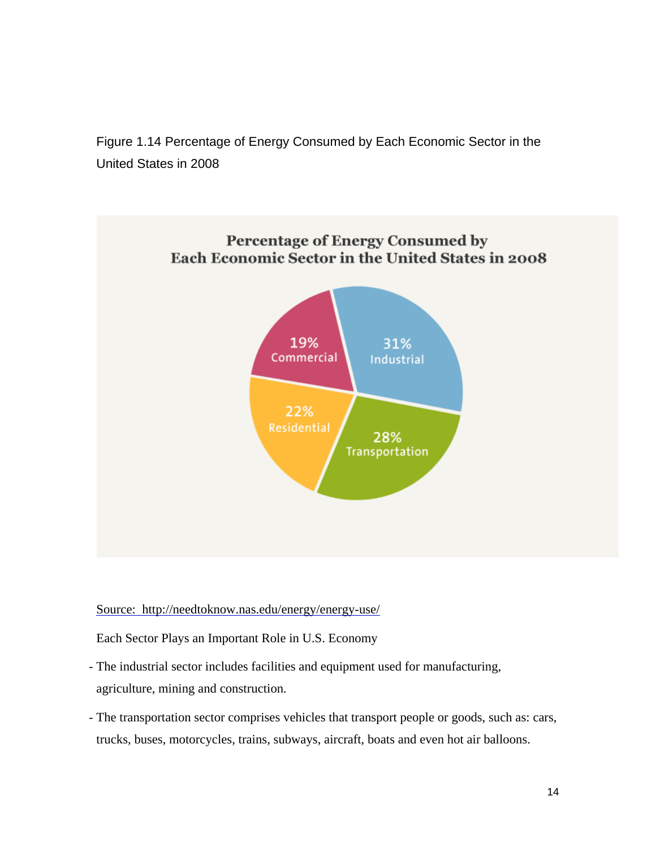Figure 1.14 Percentage of Energy Consumed by Each Economic Sector in the United States in 2008



Source: http://needtoknow.nas.edu/energy/energy-use/

Each Sector Plays an Important Role in U.S. Economy

- The industrial sector includes facilities and equipment used for manufacturing, agriculture, mining and construction.
- The transportation sector comprises vehicles that transport people or goods, such as: cars, trucks, buses, motorcycles, trains, subways, aircraft, boats and even hot air balloons.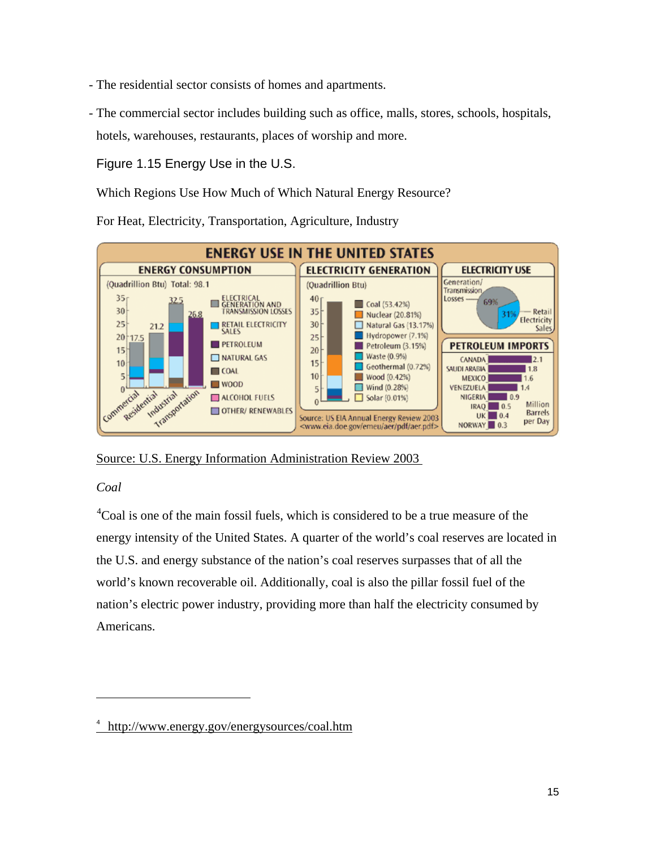- The residential sector consists of homes and apartments.
- The commercial sector includes building such as office, malls, stores, schools, hospitals, hotels, warehouses, restaurants, places of worship and more.

#### Figure 1.15 Energy Use in the U.S.

Which Regions Use How Much of Which Natural Energy Resource?

For Heat, Electricity, Transportation, Agriculture, Industry



Source: U.S. Energy Information Administration Review 2003

#### *Coal*

 $\overline{a}$ 

<sup>[4](#page-15-0)</sup>Coal is one of the main fossil fuels, which is considered to be a true measure of the energy intensity of the United States. A quarter of the world's coal reserves are located in the U.S. and energy substance of the nation's coal reserves surpasses that of all the world's known recoverable oil. Additionally, coal is also the pillar fossil fuel of the nation's electric power industry, providing more than half the electricity consumed by Americans.

<span id="page-15-0"></span><sup>&</sup>lt;sup>4</sup> <http://www.energy.gov/energysources/coal.htm>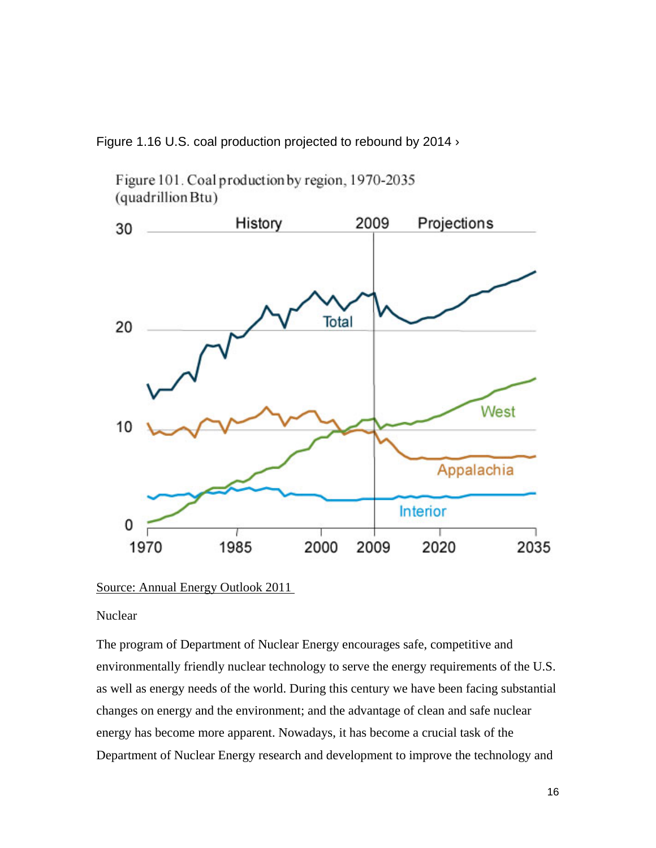Figure 1.16 U.S. coal production projected to rebound by 2014  $\rightarrow$ 

Figure 101. Coal production by region, 1970-2035 (quadrillion Btu)



Source: Annual Energy Outlook 2011

**Nuclear** 

The program of Department of Nuclear Energy encourages safe, competitive and environmentally friendly nuclear technology to serve the energy requirements of the U.S. as well as energy needs of the world. During this century we have been facing substantial changes on energy and the environment; and the advantage of clean and safe nuclear energy has become more apparent. Nowadays, it has become a crucial task of the Department of Nuclear Energy research and development to improve the technology and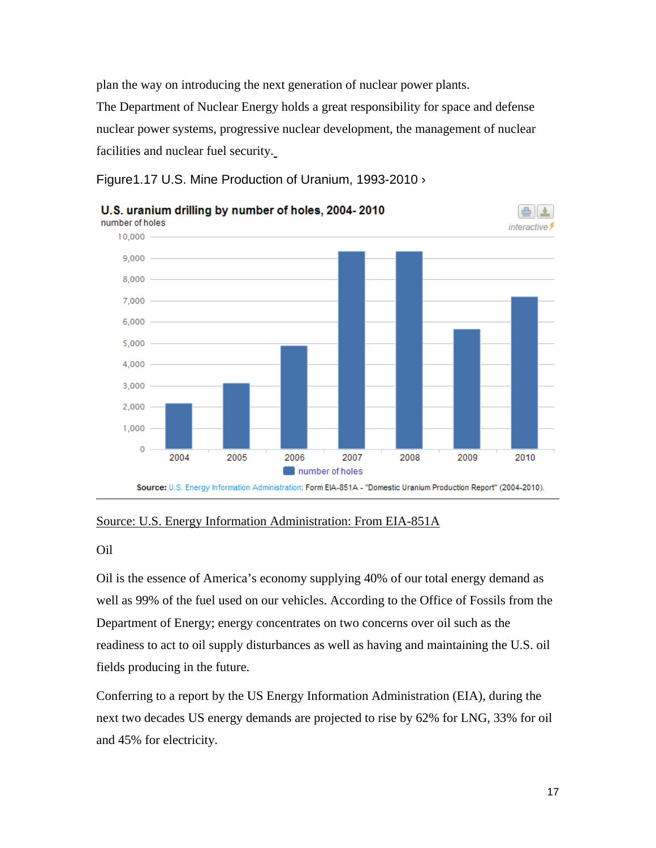plan the way on introducing the next generation of nuclear power plants.

The Department of Nuclear Energy holds a great responsibility for space and defense nuclear power systems, progressive nuclear development, the management of nuclear facilities and nuclear fuel security.

Figure1.17 U.S. Mine Production of Uranium, 1993-2010 ›



#### Source: U.S. Energy Information Administration: From EIA-851A

Oil

Oil is the essence of America's economy supplying 40% of our total energy demand as well as 99% of the fuel used on our vehicles. According to the Office of Fossils from the Department of Energy; energy concentrates on two concerns over oil such as the readiness to act to oil supply disturbances as well as having and maintaining the U.S. oil fields producing in the future.

Conferring to a report by the US Energy Information Administration (EIA), during the next two decades US energy demands are projected to rise by 62% for LNG, 33% for oil and 45% for electricity.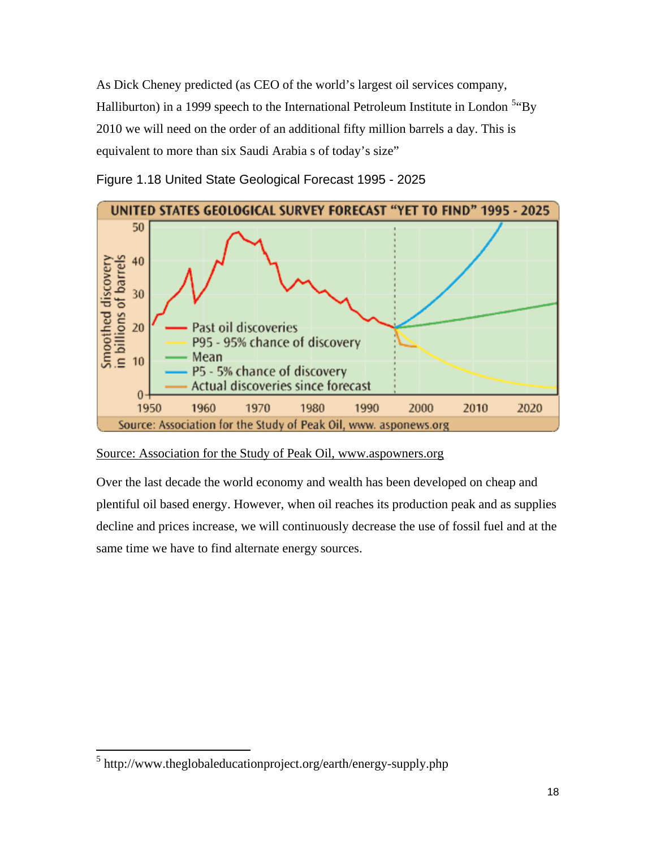As Dick Cheney predicted (as CEO of the world's largest oil services company, Halliburton) in a 1999 speech to the International Petroleum Institute in London <sup>[5](#page-18-0)</sup> By 2010 we will need on the order of an additional fifty million barrels a day. This is equivalent to more than six Saudi Arabia s of today's size"



Figure 1.18 United State Geological Forecast 1995 - 2025

#### Source: Association for the Study of Peak Oil, www.aspowners.org

Over the last decade the world economy and wealth has been developed on cheap and plentiful oil based energy. However, when oil reaches its production peak and as supplies decline and prices increase, we will continuously decrease the use of fossil fuel and at the same time we have to find alternate energy sources.

<span id="page-18-0"></span> <sup>5</sup> http://www.theglobaleducationproject.org/earth/energy-supply.php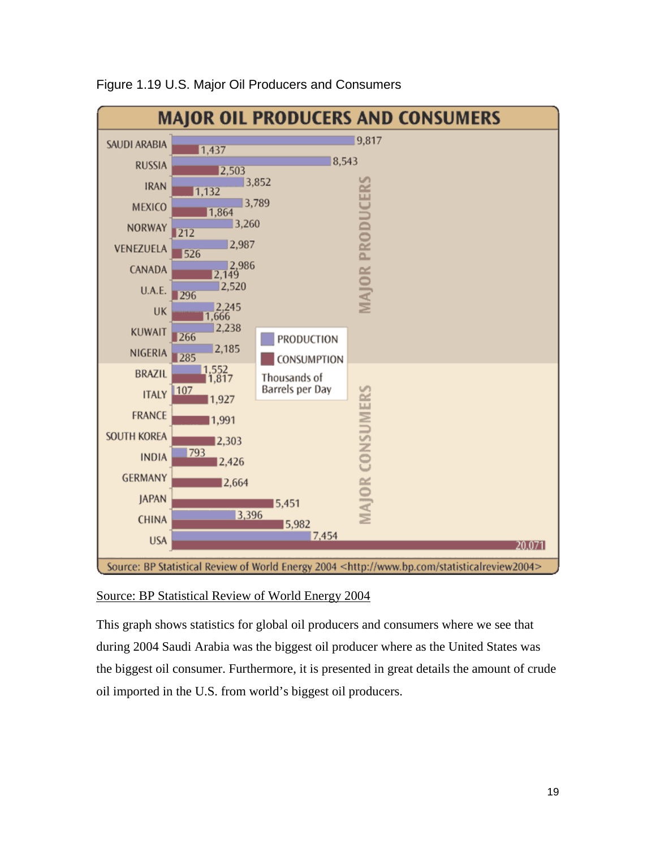

#### Figure 1.19 U.S. Major Oil Producers and Consumers

#### Source: BP Statistical Review of World Energy 2004

This graph shows statistics for global oil producers and consumers where we see that during 2004 Saudi Arabia was the biggest oil producer where as the United States was the biggest oil consumer. Furthermore, it is presented in great details the amount of crude oil imported in the U.S. from world's biggest oil producers.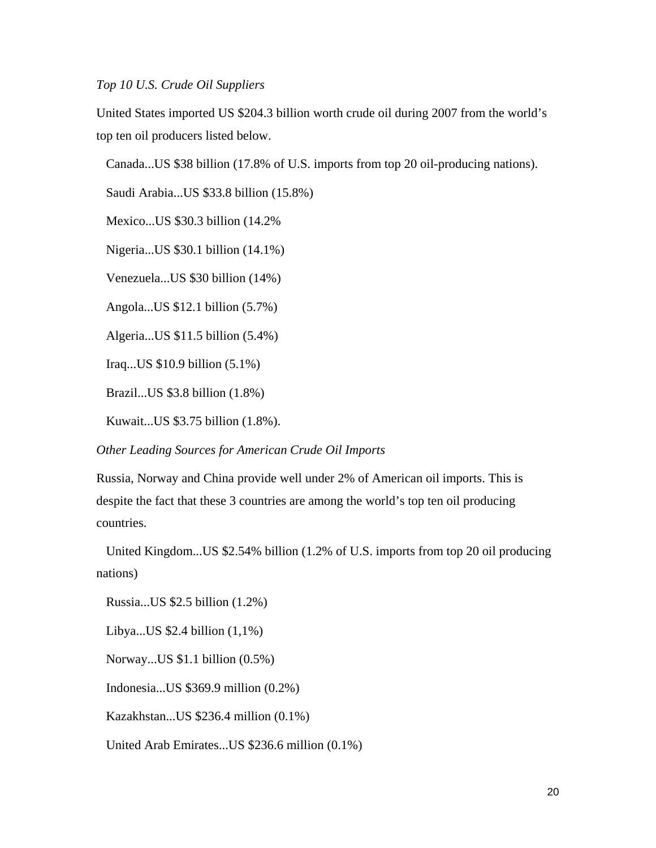*Top 10 U.S. Crude Oil Suppliers*

United States imported US \$204.3 billion worth crude oil during 2007 from the world's top ten oil producers listed below.

Canada...US \$38 billion (17.8% of U.S. imports from top 20 oil-producing nations).

Saudi Arabia...US \$33.8 billion (15.8%)

Mexico...US \$30.3 billion (14.2%

Nigeria...US \$30.1 billion (14.1%)

Venezuela...US \$30 billion (14%)

Angola...US \$12.1 billion (5.7%)

Algeria...US \$11.5 billion (5.4%)

Iraq...US \$10.9 billion (5.1%)

Brazil...US \$3.8 billion (1.8%)

Kuwait...US \$3.75 billion (1.8%).

*Other Leading Sources for American Crude Oil Imports*

Russia, Norway and China provide well under 2% of American oil imports. This is despite the fact that these 3 countries are among the world's top ten oil producing countries.

 United Kingdom...US \$2.54% billion (1.2% of U.S. imports from top 20 oil producing nations)

Russia...US \$2.5 billion (1.2%)

Libya...US \$2.4 billion (1,1%)

Norway...US \$1.1 billion (0.5%)

Indonesia...US \$369.9 million (0.2%)

Kazakhstan...US \$236.4 million (0.1%)

United Arab Emirates...US \$236.6 million (0.1%)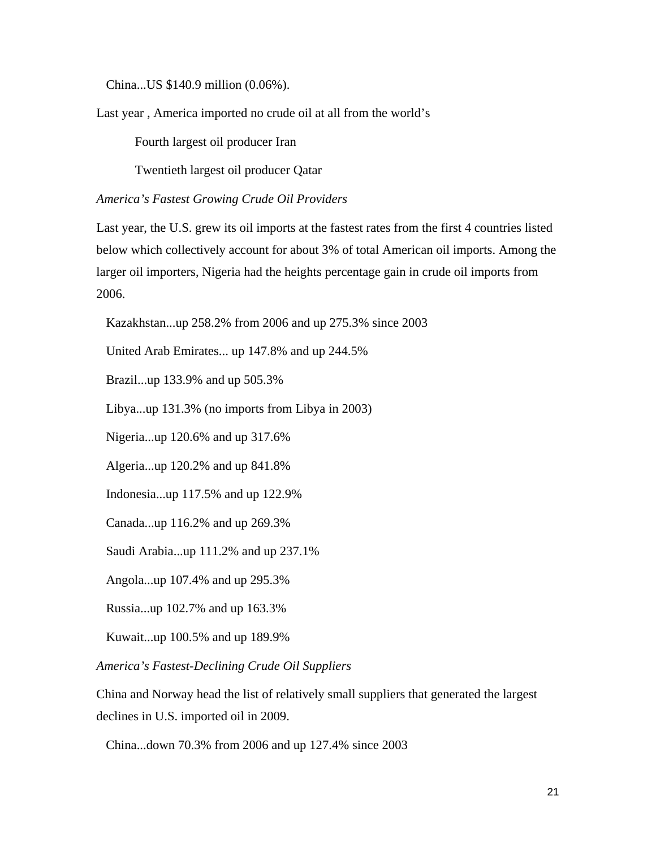China...US \$140.9 million (0.06%).

Last year , America imported no crude oil at all from the world's

Fourth largest oil producer Iran

Twentieth largest oil producer Qatar

*America's Fastest Growing Crude Oil Providers*

Last year, the U.S. grew its oil imports at the fastest rates from the first 4 countries listed below which collectively account for about 3% of total American oil imports. Among the larger oil importers, Nigeria had the heights percentage gain in crude oil imports from 2006.

Kazakhstan...up 258.2% from 2006 and up 275.3% since 2003

United Arab Emirates... up 147.8% and up 244.5%

Brazil...up 133.9% and up 505.3%

Libya...up 131.3% (no imports from Libya in 2003)

Nigeria...up 120.6% and up 317.6%

Algeria...up 120.2% and up 841.8%

Indonesia...up 117.5% and up 122.9%

Canada...up 116.2% and up 269.3%

Saudi Arabia...up 111.2% and up 237.1%

Angola...up 107.4% and up 295.3%

Russia...up 102.7% and up 163.3%

Kuwait...up 100.5% and up 189.9%

*America's Fastest-Declining Crude Oil Suppliers*

China and Norway head the list of relatively small suppliers that generated the largest declines in U.S. imported oil in 2009.

China...down 70.3% from 2006 and up 127.4% since 2003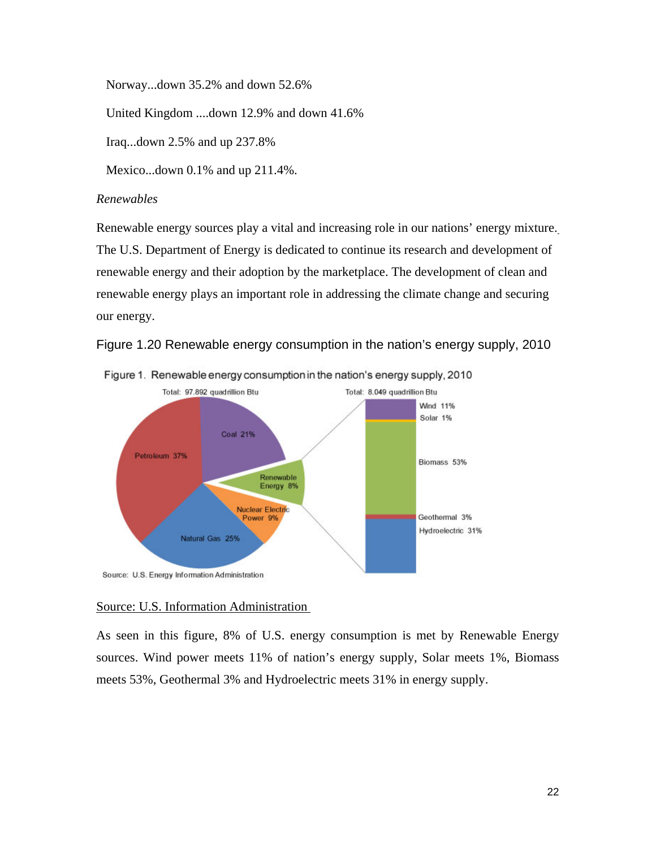Norway...down 35.2% and down 52.6%

United Kingdom ....down 12.9% and down 41.6%

Iraq...down 2.5% and up 237.8%

Mexico...down 0.1% and up 211.4%.

#### *Renewables*

Renewable energy sources play a vital and increasing role in our nations' energy mixture. The U.S. Department of Energy is dedicated to continue its research and development of renewable energy and their adoption by the marketplace. The development of clean and renewable energy plays an important role in addressing the climate change and securing our energy.





#### Source: U.S. Information Administration

As seen in this figure, 8% of U.S. energy consumption is met by Renewable Energy sources. Wind power meets 11% of nation's energy supply, Solar meets 1%, Biomass meets 53%, Geothermal 3% and Hydroelectric meets 31% in energy supply.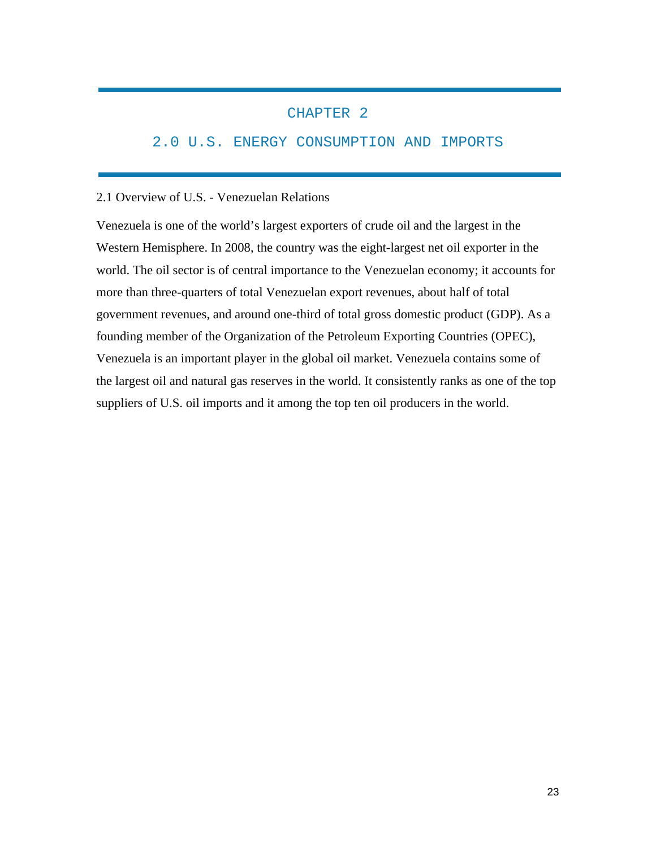#### CHAPTER 2

#### 2.0 U.S. ENERGY CONSUMPTION AND IMPORTS

#### 2.1 Overview of U.S. - Venezuelan Relations

Venezuela is one of the world's largest exporters of crude oil and the largest in the Western Hemisphere. In 2008, the country was the eight-largest net oil exporter in the world. The oil sector is of central importance to the Venezuelan economy; it accounts for more than three-quarters of total Venezuelan export revenues, about half of total government revenues, and around one-third of total gross domestic product (GDP). As a founding member of the Organization of the Petroleum Exporting Countries (OPEC), Venezuela is an important player in the global oil market. Venezuela contains some of the largest oil and natural gas reserves in the world. It consistently ranks as one of the top suppliers of U.S. oil imports and it among the top ten oil producers in the world.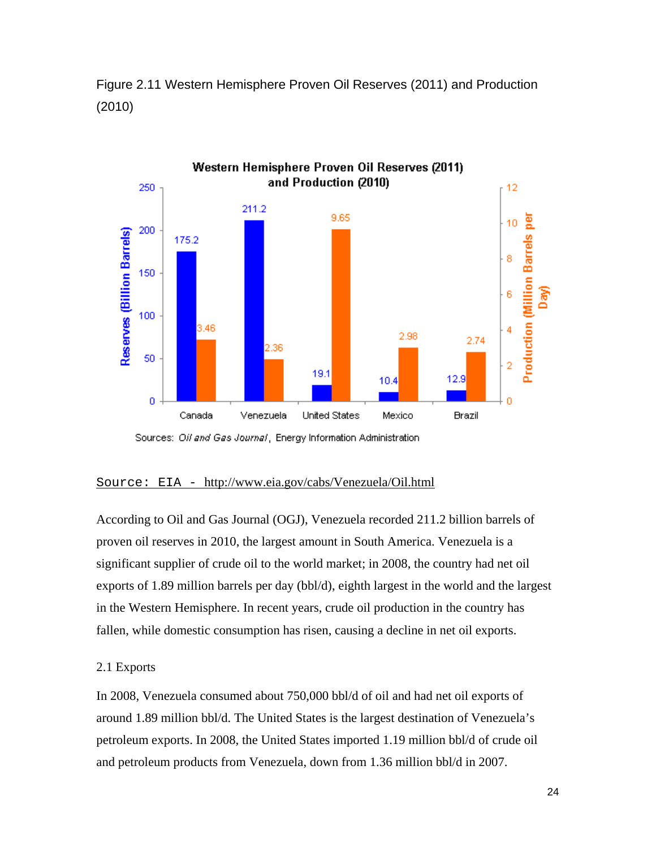

Figure 2.11 Western Hemisphere Proven Oil Reserves (2011) and Production (2010)

Sources: Oil and Gas Journal, Energy Information Administration

#### Source: EIA - <http://www.eia.gov/cabs/Venezuela/Oil.html>

According to Oil and Gas Journal (OGJ), Venezuela recorded 211.2 billion barrels of proven oil reserves in 2010, the largest amount in South America. Venezuela is a significant supplier of crude oil to the world market; in 2008, the country had net oil exports of 1.89 million barrels per day (bbl/d), eighth largest in the world and the largest in the Western Hemisphere. In recent years, crude oil production in the country has fallen, while domestic consumption has risen, causing a decline in net oil exports.

#### 2.1 Exports

In 2008, Venezuela consumed about 750,000 bbl/d of oil and had net oil exports of around 1.89 million bbl/d. The United States is the largest destination of Venezuela's petroleum exports. In 2008, the United States imported 1.19 million bbl/d of crude oil and petroleum products from Venezuela, down from 1.36 million bbl/d in 2007.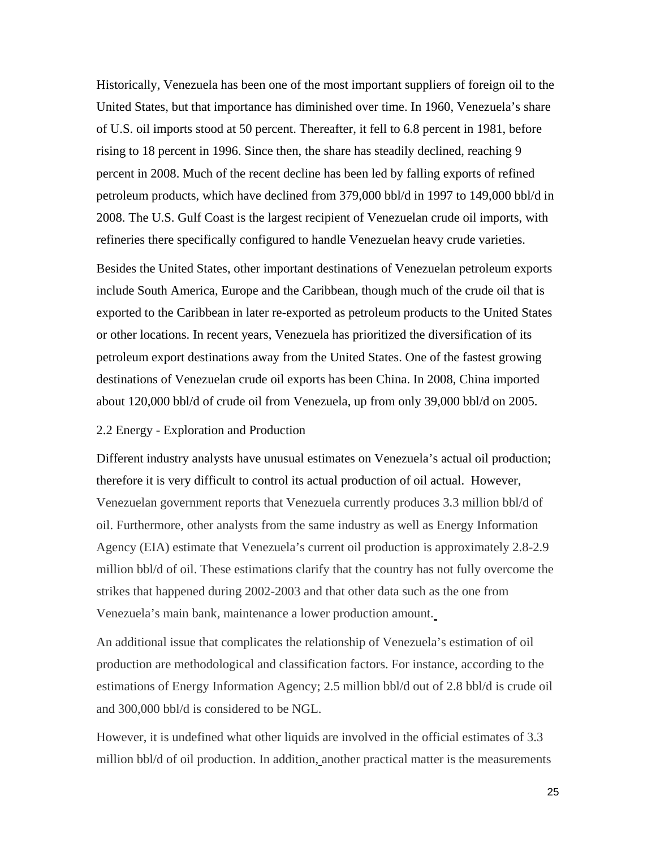Historically, Venezuela has been one of the most important suppliers of foreign oil to the United States, but that importance has diminished over time. In 1960, Venezuela's share of U.S. oil imports stood at 50 percent. Thereafter, it fell to 6.8 percent in 1981, before rising to 18 percent in 1996. Since then, the share has steadily declined, reaching 9 percent in 2008. Much of the recent decline has been led by falling exports of refined petroleum products, which have declined from 379,000 bbl/d in 1997 to 149,000 bbl/d in 2008. The U.S. Gulf Coast is the largest recipient of Venezuelan crude oil imports, with refineries there specifically configured to handle Venezuelan heavy crude varieties.

Besides the United States, other important destinations of Venezuelan petroleum exports include South America, Europe and the Caribbean, though much of the crude oil that is exported to the Caribbean in later re-exported as petroleum products to the United States or other locations. In recent years, Venezuela has prioritized the diversification of its petroleum export destinations away from the United States. One of the fastest growing destinations of Venezuelan crude oil exports has been China. In 2008, China imported about 120,000 bbl/d of crude oil from Venezuela, up from only 39,000 bbl/d on 2005.

#### 2.2 Energy - Exploration and Production

Different industry analysts have unusual estimates on Venezuela's actual oil production; therefore it is very difficult to control its actual production of oil actual.However, Venezuelan government reports that Venezuela currently produces 3.3 million bbl/d of oil. Furthermore, other analysts from the same industry as well as Energy Information Agency (EIA) estimate that Venezuela's current oil production is approximately 2.8-2.9 million bbl/d of oil. These estimations clarify that the country has not fully overcome the strikes that happened during 2002-2003 and that other data such as the one from Venezuela's main bank, maintenance a lower production amount.

An additional issue that complicates the relationship of Venezuela's estimation of oil production are methodological and classification factors. For instance, according to the estimations of Energy Information Agency; 2.5 million bbl/d out of 2.8 bbl/d is crude oil and 300,000 bbl/d is considered to be NGL.

However, it is undefined what other liquids are involved in the official estimates of 3.3 million bbl/d of oil production. In addition, another practical matter is the measurements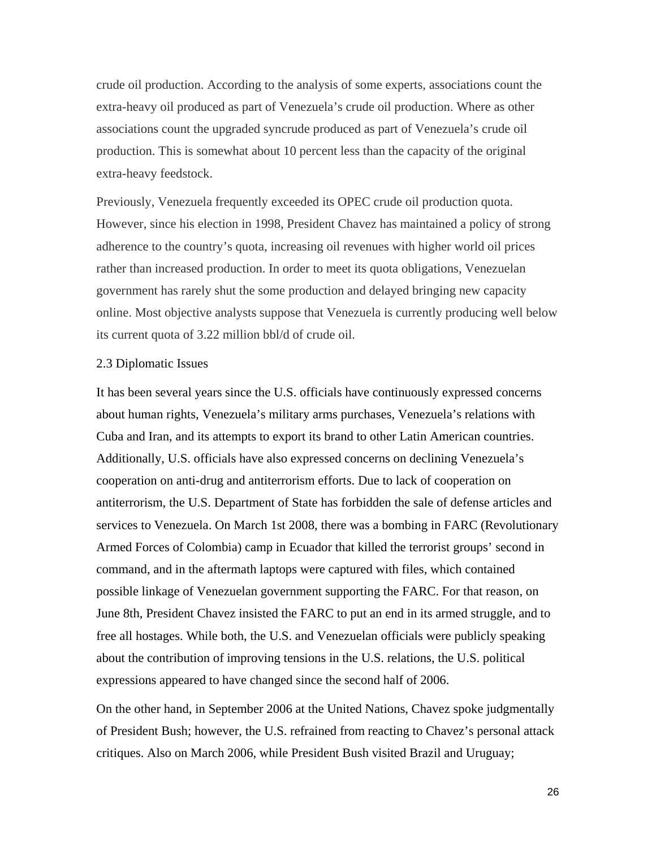crude oil production. According to the analysis of some experts, associations count the extra-heavy oil produced as part of Venezuela's crude oil production. Where as other associations count the upgraded syncrude produced as part of Venezuela's crude oil production. This is somewhat about 10 percent less than the capacity of the original extra-heavy feedstock.

Previously, Venezuela frequently exceeded its OPEC crude oil production quota. However, since his election in 1998, President Chavez has maintained a policy of strong adherence to the country's quota, increasing oil revenues with higher world oil prices rather than increased production. In order to meet its quota obligations, Venezuelan government has rarely shut the some production and delayed bringing new capacity online. Most objective analysts suppose that Venezuela is currently producing well below its current quota of 3.22 million bbl/d of crude oil.

#### 2.3 Diplomatic Issues

It has been several years since the U.S. officials have continuously expressed concerns about human rights, Venezuela's military arms purchases, Venezuela's relations with Cuba and Iran, and its attempts to export its brand to other Latin American countries. Additionally, U.S. officials have also expressed concerns on declining Venezuela's cooperation on anti-drug and antiterrorism efforts. Due to lack of cooperation on antiterrorism, the U.S. Department of State has forbidden the sale of defense articles and services to Venezuela. On March 1st 2008, there was a bombing in FARC (Revolutionary Armed Forces of Colombia) camp in Ecuador that killed the terrorist groups' second in command, and in the aftermath laptops were captured with files, which contained possible linkage of Venezuelan government supporting the FARC. For that reason, on June 8th, President Chavez insisted the FARC to put an end in its armed struggle, and to free all hostages. While both, the U.S. and Venezuelan officials were publicly speaking about the contribution of improving tensions in the U.S. relations, the U.S. political expressions appeared to have changed since the second half of 2006.

On the other hand, in September 2006 at the United Nations, Chavez spoke judgmentally of President Bush; however, the U.S. refrained from reacting to Chavez's personal attack critiques. Also on March 2006, while President Bush visited Brazil and Uruguay;

26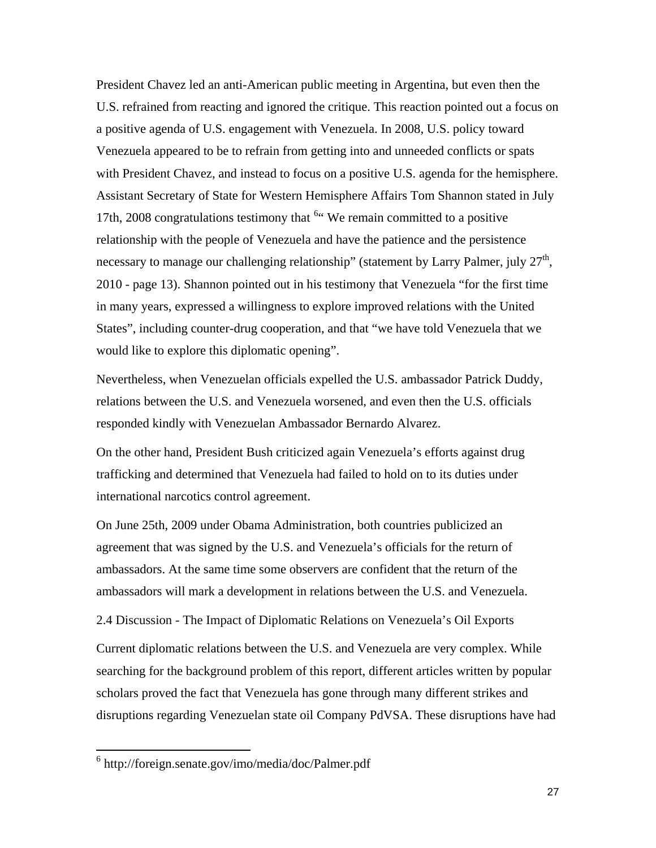President Chavez led an anti-American public meeting in Argentina, but even then the U.S. refrained from reacting and ignored the critique. This reaction pointed out a focus on a positive agenda of U.S. engagement with Venezuela. In 2008, U.S. policy toward Venezuela appeared to be to refrain from getting into and unneeded conflicts or spats with President Chavez, and instead to focus on a positive U.S. agenda for the hemisphere. Assistant Secretary of State for Western Hemisphere Affairs Tom Shannon stated in July 17th, 2008 congratulations testimony that  $64$  $64$  We remain committed to a positive relationship with the people of Venezuela and have the patience and the persistence necessary to manage our challenging relationship" (statement by Larry Palmer, july  $27<sup>th</sup>$ , 2010 - page 13). Shannon pointed out in his testimony that Venezuela "for the first time in many years, expressed a willingness to explore improved relations with the United States", including counter-drug cooperation, and that "we have told Venezuela that we would like to explore this diplomatic opening".

Nevertheless, when Venezuelan officials expelled the U.S. ambassador Patrick Duddy, relations between the U.S. and Venezuela worsened, and even then the U.S. officials responded kindly with Venezuelan Ambassador Bernardo Alvarez.

On the other hand, President Bush criticized again Venezuela's efforts against drug trafficking and determined that Venezuela had failed to hold on to its duties under international narcotics control agreement.

On June 25th, 2009 under Obama Administration, both countries publicized an agreement that was signed by the U.S. and Venezuela's officials for the return of ambassadors. At the same time some observers are confident that the return of the ambassadors will mark a development in relations between the U.S. and Venezuela.

2.4 Discussion - The Impact of Diplomatic Relations on Venezuela's Oil Exports

Current diplomatic relations between the U.S. and Venezuela are very complex. While searching for the background problem of this report, different articles written by popular scholars proved the fact that Venezuela has gone through many different strikes and disruptions regarding Venezuelan state oil Company PdVSA. These disruptions have had

<span id="page-27-0"></span> <sup>6</sup> http://foreign.senate.gov/imo/media/doc/Palmer.pdf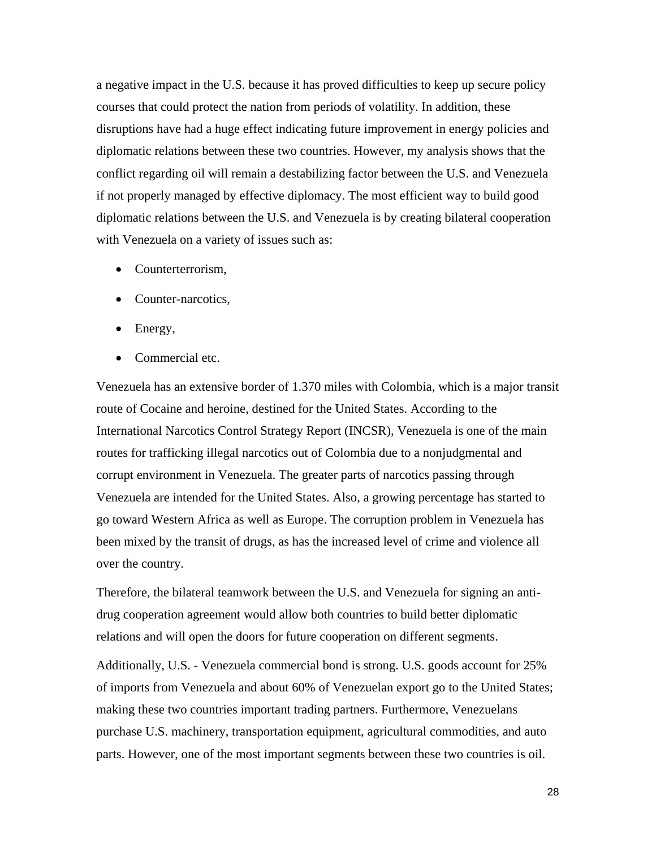a negative impact in the U.S. because it has proved difficulties to keep up secure policy courses that could protect the nation from periods of volatility. In addition, these disruptions have had a huge effect indicating future improvement in energy policies and diplomatic relations between these two countries. However, my analysis shows that the conflict regarding oil will remain a destabilizing factor between the U.S. and Venezuela if not properly managed by effective diplomacy. The most efficient way to build good diplomatic relations between the U.S. and Venezuela is by creating bilateral cooperation with Venezuela on a variety of issues such as:

- Counterterrorism,
- Counter-narcotics,
- Energy,
- Commercial etc.

Venezuela has an extensive border of 1.370 miles with Colombia, which is a major transit route of Cocaine and heroine, destined for the United States. According to the International Narcotics Control Strategy Report (INCSR), Venezuela is one of the main routes for trafficking illegal narcotics out of Colombia due to a nonjudgmental and corrupt environment in Venezuela. The greater parts of narcotics passing through Venezuela are intended for the United States. Also, a growing percentage has started to go toward Western Africa as well as Europe. The corruption problem in Venezuela has been mixed by the transit of drugs, as has the increased level of crime and violence all over the country.

Therefore, the bilateral teamwork between the U.S. and Venezuela for signing an antidrug cooperation agreement would allow both countries to build better diplomatic relations and will open the doors for future cooperation on different segments.

Additionally, U.S. - Venezuela commercial bond is strong. U.S. goods account for 25% of imports from Venezuela and about 60% of Venezuelan export go to the United States; making these two countries important trading partners. Furthermore, Venezuelans purchase U.S. machinery, transportation equipment, agricultural commodities, and auto parts. However, one of the most important segments between these two countries is oil.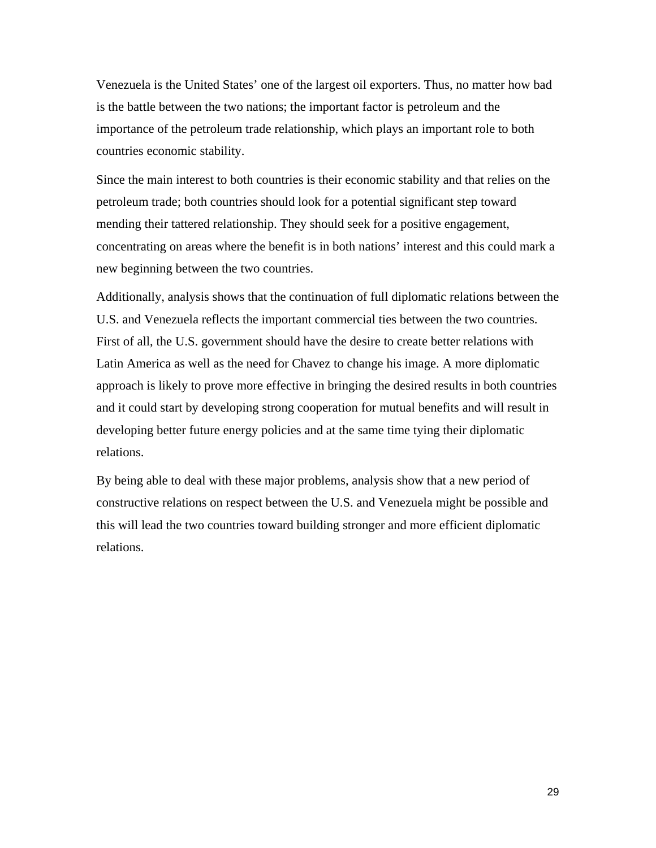Venezuela is the United States' one of the largest oil exporters. Thus, no matter how bad is the battle between the two nations; the important factor is petroleum and the importance of the petroleum trade relationship, which plays an important role to both countries economic stability.

Since the main interest to both countries is their economic stability and that relies on the petroleum trade; both countries should look for a potential significant step toward mending their tattered relationship. They should seek for a positive engagement, concentrating on areas where the benefit is in both nations' interest and this could mark a new beginning between the two countries.

Additionally, analysis shows that the continuation of full diplomatic relations between the U.S. and Venezuela reflects the important commercial ties between the two countries. First of all, the U.S. government should have the desire to create better relations with Latin America as well as the need for Chavez to change his image. A more diplomatic approach is likely to prove more effective in bringing the desired results in both countries and it could start by developing strong cooperation for mutual benefits and will result in developing better future energy policies and at the same time tying their diplomatic relations.

By being able to deal with these major problems, analysis show that a new period of constructive relations on respect between the U.S. and Venezuela might be possible and this will lead the two countries toward building stronger and more efficient diplomatic relations.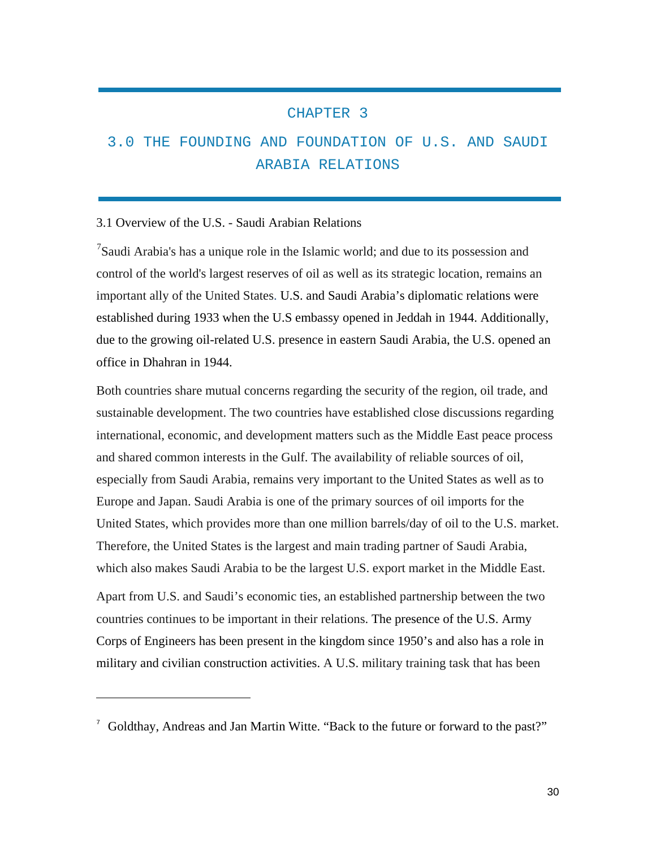#### CHAPTER 3

### 3.0 THE FOUNDING AND FOUNDATION OF U.S. AND SAUDI ARABIA RELATIONS

#### 3.1 Overview of the U.S. - Saudi Arabian Relations

 $\overline{a}$ 

 $7$ Saudi Arabia's has a unique role in the Islamic world; and due to its possession and control of the world's largest reserves of oil as well as its strategic location, remains an important ally of the United States. U.S. and Saudi Arabia's diplomatic relations were established during 1933 when the U.S embassy opened in Jeddah in 1944. Additionally, due to the growing oil-related U.S. presence in eastern Saudi Arabia, the U.S. opened an office in Dhahran in 1944.

Both countries share mutual concerns regarding the security of the region, oil trade, and sustainable development. The two countries have established close discussions regarding international, economic, and development matters such as the Middle East peace process and shared common interests in the Gulf. The availability of reliable sources of oil, especially from Saudi Arabia, remains very important to the United States as well as to Europe and Japan. Saudi Arabia is one of the primary sources of oil imports for the United States, which provides more than one million barrels/day of oil to the U.S. market. Therefore, the United States is the largest and main trading partner of Saudi Arabia, which also makes Saudi Arabia to be the largest U.S. export market in the Middle East.

Apart from U.S. and Saudi's economic ties, an established partnership between the two countries continues to be important in their relations. The presence of the U.S. Army Corps of Engineers has been present in the kingdom since 1950's and also has a role in military and civilian construction activities. A U.S. military training task that has been

<span id="page-30-0"></span><sup>7</sup> [Goldthay, Andreas and Jan Martin Witte.](http://www.drilling-workoverrigs.com/xxnews.aspx?id=24) "Back to the future or forward to the past?"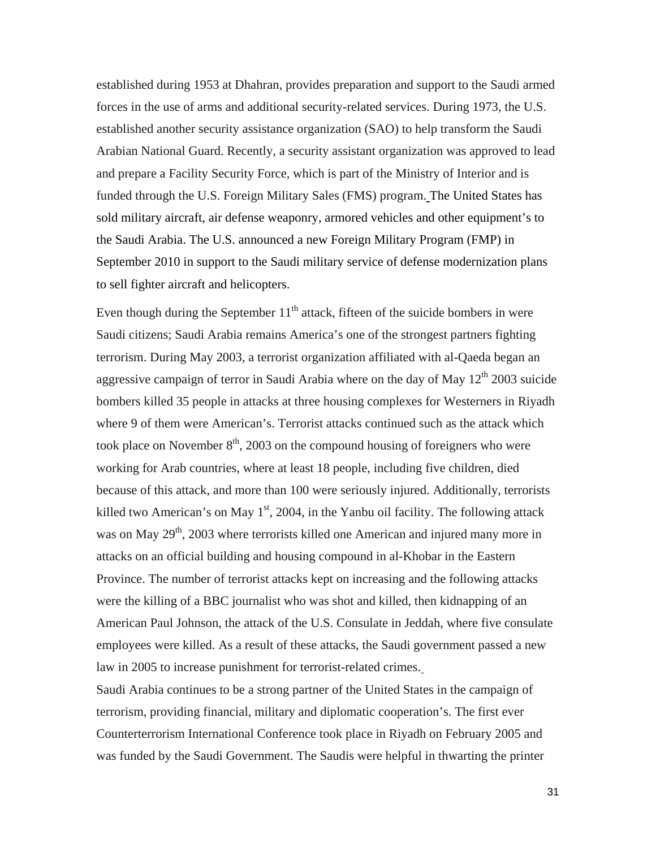established during 1953 at Dhahran, provides preparation and support to the Saudi armed forces in the use of arms and additional security-related services. During 1973, the U.S. established another security assistance organization (SAO) to help transform the Saudi Arabian National Guard. Recently, a security assistant organization was approved to lead and prepare a Facility Security Force, which is part of the Ministry of Interior and is funded through the U.S. Foreign Military Sales (FMS) program. The United States has sold military aircraft, air defense weaponry, armored vehicles and other equipment's to the Saudi Arabia. The U.S. announced a new Foreign Military Program (FMP) in September 2010 in support to the Saudi military service of defense modernization plans to sell fighter aircraft and helicopters.

Even though during the September  $11<sup>th</sup>$  attack, fifteen of the suicide bombers in were Saudi citizens; Saudi Arabia remains America's one of the strongest partners fighting terrorism. During May 2003, a terrorist organization affiliated with al-Qaeda began an aggressive campaign of terror in Saudi Arabia where on the day of May  $12<sup>th</sup>$  2003 suicide bombers killed 35 people in attacks at three housing complexes for Westerners in Riyadh where 9 of them were American's. Terrorist attacks continued such as the attack which took place on November  $8<sup>th</sup>$ , 2003 on the compound housing of foreigners who were working for Arab countries, where at least 18 people, including five children, died because of this attack, and more than 100 were seriously injured. Additionally, terrorists killed two American's on May  $1<sup>st</sup>$ , 2004, in the Yanbu oil facility. The following attack was on May 29<sup>th</sup>, 2003 where terrorists killed one American and injured many more in attacks on an official building and housing compound in al-Khobar in the Eastern Province. The number of terrorist attacks kept on increasing and the following attacks were the killing of a BBC journalist who was shot and killed, then kidnapping of an American Paul Johnson, the attack of the U.S. Consulate in Jeddah, where five consulate employees were killed. As a result of these attacks, the Saudi government passed a new law in 2005 to increase punishment for terrorist-related crimes.

Saudi Arabia continues to be a strong partner of the United States in the campaign of terrorism, providing financial, military and diplomatic cooperation's. The first ever Counterterrorism International Conference took place in Riyadh on February 2005 and was funded by the Saudi Government. The Saudis were helpful in thwarting the printer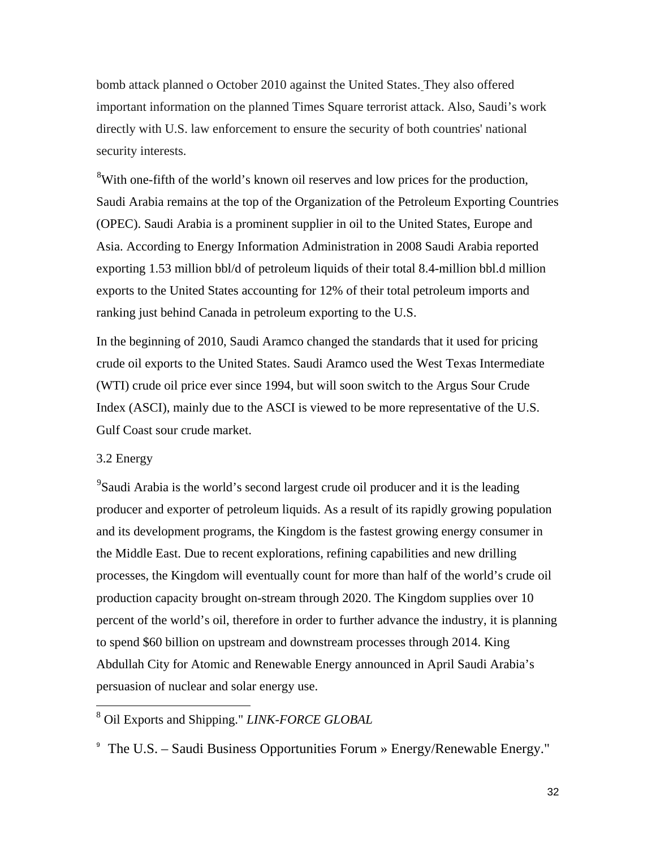bomb attack planned o October 2010 against the United States. They also offered important information on the planned Times Square terrorist attack. Also, Saudi's work directly with U.S. law enforcement to ensure the security of both countries' national security interests.

<sup>[8](#page-32-0)</sup>With one-fifth of the world's known oil reserves and low prices for the production, Saudi Arabia remains at the top of the Organization of the Petroleum Exporting Countries (OPEC). Saudi Arabia is a prominent supplier in oil to the United States, Europe and Asia. According to Energy Information Administration in 2008 Saudi Arabia reported exporting 1.53 million bbl/d of petroleum liquids of their total 8.4-million bbl.d million exports to the United States accounting for 12% of their total petroleum imports and ranking just behind Canada in petroleum exporting to the U.S.

In the beginning of 2010, Saudi Aramco changed the standards that it used for pricing crude oil exports to the United States. Saudi Aramco used the West Texas Intermediate (WTI) crude oil price ever since 1994, but will soon switch to the Argus Sour Crude Index (ASCI), mainly due to the ASCI is viewed to be more representative of the U.S. Gulf Coast sour crude market.

#### 3.2 Energy

<sup>[9](#page-32-1)</sup>Saudi Arabia is the world's second largest crude oil producer and it is the leading producer and exporter of petroleum liquids. As a result of its rapidly growing population and its development programs, the Kingdom is the fastest growing energy consumer in the Middle East. Due to recent explorations, refining capabilities and new drilling processes, the Kingdom will eventually count for more than half of the world's crude oil production capacity brought on-stream through 2020. The Kingdom supplies over 10 percent of the world's oil, therefore in order to further advance the industry, it is planning to spend \$60 billion on upstream and downstream processes through 2014. King Abdullah City for Atomic and Renewable Energy announced in April Saudi Arabia's persuasion of nuclear and solar energy use.

#### <span id="page-32-0"></span>8 Oil Exports and Shipping." *LINK-FORCE GLOBAL*

<span id="page-32-1"></span>9 The U.S. – Saudi Business Opportunities Forum » Energy/Renewable Energy."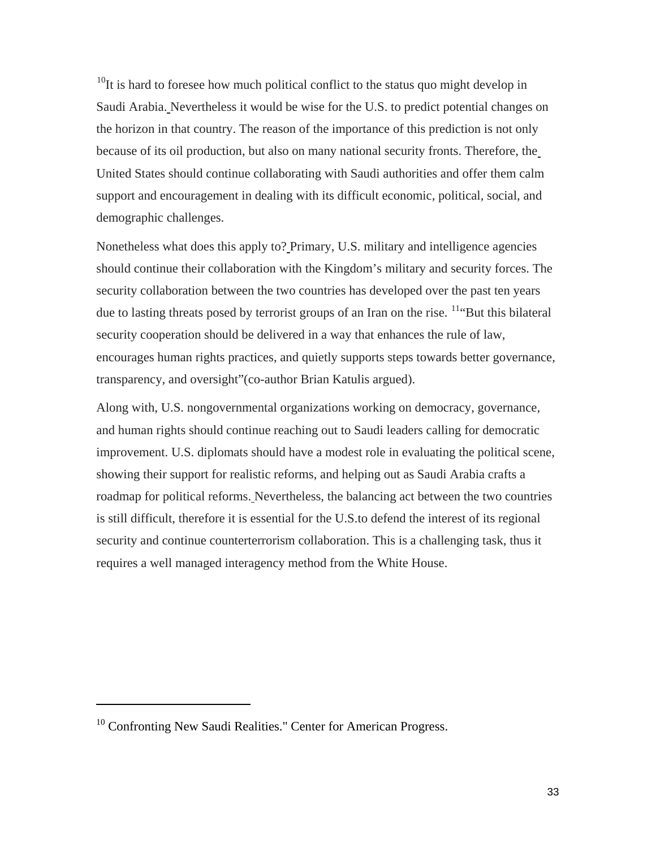$10$ It is hard to foresee how much political conflict to the status quo might develop in Saudi Arabia. Nevertheless it would be wise for the U.S. to predict potential changes on the horizon in that country. The reason of the importance of this prediction is not only because of its oil production, but also on many national security fronts. Therefore, the United States should continue collaborating with Saudi authorities and offer them calm support and encouragement in dealing with its difficult economic, political, social, and demographic challenges.

Nonetheless what does this apply to? Primary, U.S. military and intelligence agencies should continue their collaboration with the Kingdom's military and security forces. The security collaboration between the two countries has developed over the past ten years due to lasting threats posed by terrorist groups of an Iran on the rise. <sup>[11](#page-33-1)"</sup>But this bilateral security cooperation should be delivered in a way that enhances the rule of law, encourages human rights practices, and quietly supports steps towards better governance, transparency, and oversight"(co-author Brian Katulis argued).

Along with, U.S. nongovernmental organizations working on democracy, governance, and human rights should continue reaching out to Saudi leaders calling for democratic improvement. U.S. diplomats should have a modest role in evaluating the political scene, showing their support for realistic reforms, and helping out as Saudi Arabia crafts a roadmap for political reforms. Nevertheless, the balancing act between the two countries is still difficult, therefore it is essential for the U.S.to defend the interest of its regional security and continue counterterrorism collaboration. This is a challenging task, thus it requires a well managed interagency method from the White House.

 $\overline{a}$ 

<span id="page-33-1"></span><span id="page-33-0"></span><sup>&</sup>lt;sup>10</sup> Confronting New Saudi Realities." Center for American Progress.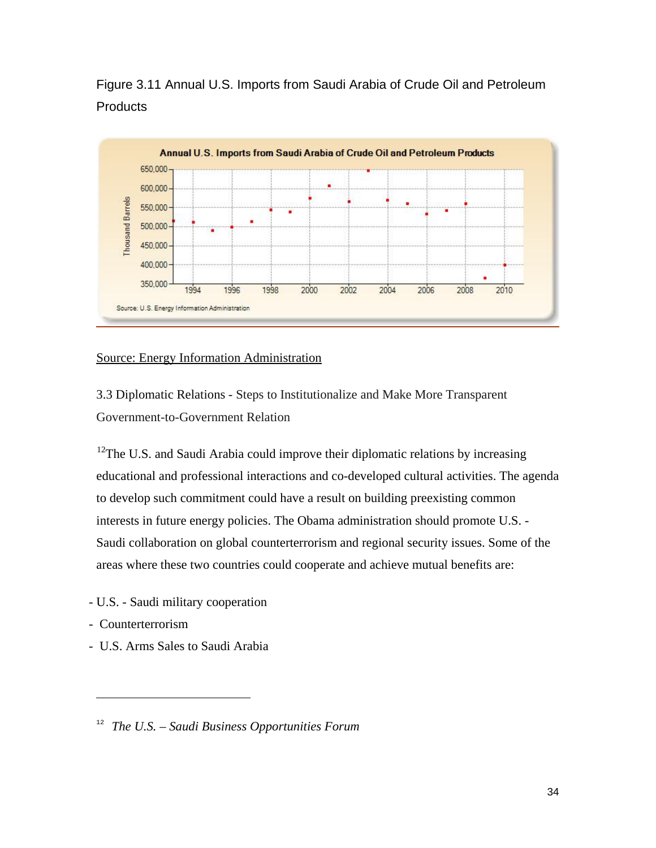Figure 3.11 Annual U.S. Imports from Saudi Arabia of Crude Oil and Petroleum **Products** 



#### Source: Energy Information Administration

3.3 Diplomatic Relations - Steps to Institutionalize and Make More Transparent Government-to-Government Relation

 $12$ The U.S. and Saudi Arabia could improve their diplomatic relations by increasing educational and professional interactions and co-developed cultural activities. The agenda to develop such commitment could have a result on building preexisting common interests in future energy policies. The Obama administration should promote U.S. - Saudi collaboration on global counterterrorism and regional security issues. Some of the areas where these two countries could cooperate and achieve mutual benefits are:

- U.S. Saudi military cooperation
- Counterterrorism

 $\overline{a}$ 

- U.S. Arms Sales to Saudi Arabia

<span id="page-34-0"></span><sup>12</sup> *The U.S. – Saudi Business Opportunities Forum*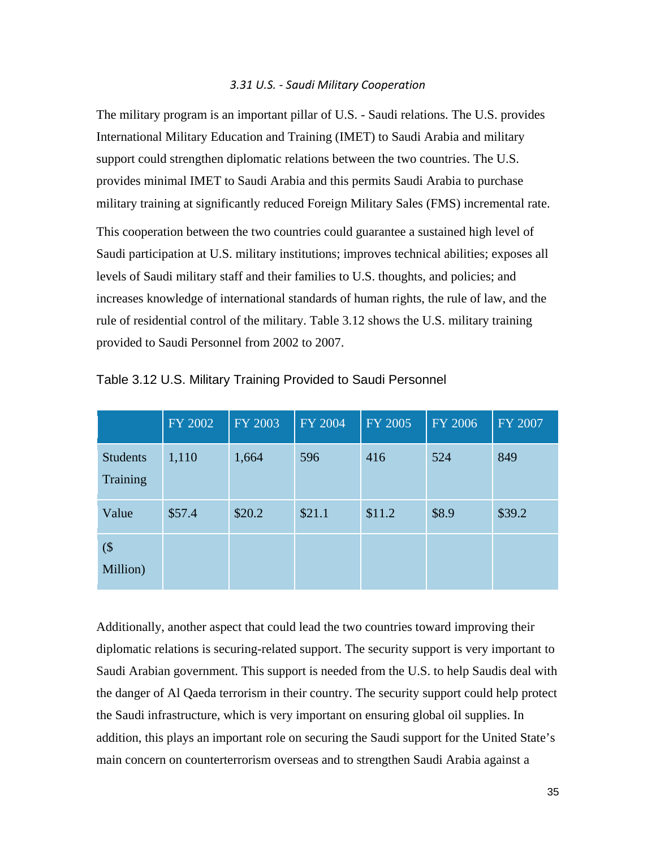#### *3.31 U.S. - Saudi Military Cooperation*

The military program is an important pillar of U.S. - Saudi relations. The U.S. provides International Military Education and Training (IMET) to Saudi Arabia and military support could strengthen diplomatic relations between the two countries. The U.S. provides minimal IMET to Saudi Arabia and this permits Saudi Arabia to purchase military training at significantly reduced Foreign Military Sales (FMS) incremental rate.

This cooperation between the two countries could guarantee a sustained high level of Saudi participation at U.S. military institutions; improves technical abilities; exposes all levels of Saudi military staff and their families to U.S. thoughts, and policies; and increases knowledge of international standards of human rights, the rule of law, and the rule of residential control of the military. Table 3.12 shows the U.S. military training provided to Saudi Personnel from 2002 to 2007.

|                             | FY 2002 | FY 2003 | FY 2004 | <b>FY 2005</b> | <b>FY 2006</b> | FY 2007 |
|-----------------------------|---------|---------|---------|----------------|----------------|---------|
| <b>Students</b><br>Training | 1,110   | 1,664   | 596     | 416            | 524            | 849     |
| Value                       | \$57.4  | \$20.2  | \$21.1  | \$11.2         | \$8.9          | \$39.2  |
| $($ \$<br>Million)          |         |         |         |                |                |         |

Table 3.12 U.S. Military Training Provided to Saudi Personnel

Additionally, another aspect that could lead the two countries toward improving their diplomatic relations is securing-related support. The security support is very important to Saudi Arabian government. This support is needed from the U.S. to help Saudis deal with the danger of Al Qaeda terrorism in their country. The security support could help protect the Saudi infrastructure, which is very important on ensuring global oil supplies. In addition, this plays an important role on securing the Saudi support for the United State's main concern on counterterrorism overseas and to strengthen Saudi Arabia against a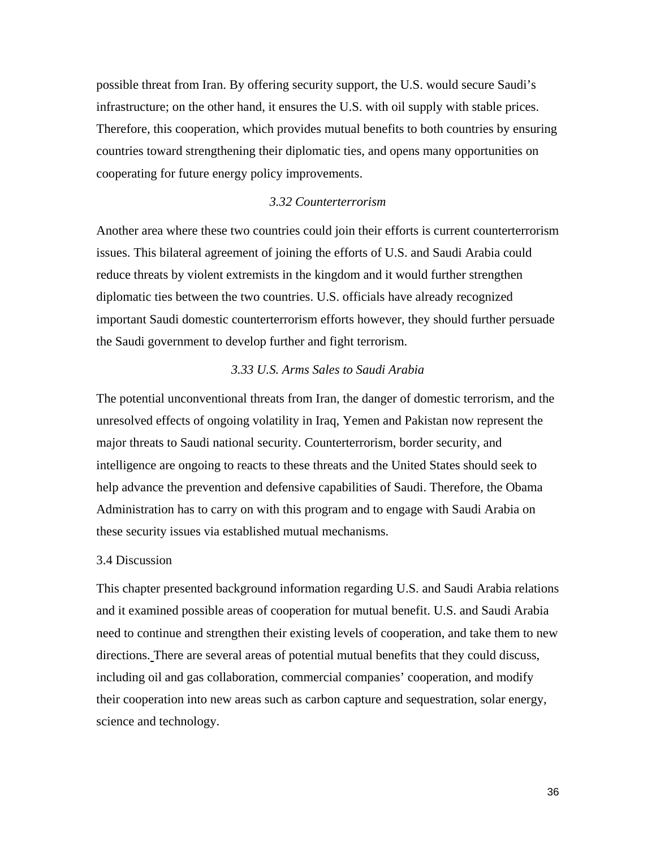possible threat from Iran. By offering security support, the U.S. would secure Saudi's infrastructure; on the other hand, it ensures the U.S. with oil supply with stable prices. Therefore, this cooperation, which provides mutual benefits to both countries by ensuring countries toward strengthening their diplomatic ties, and opens many opportunities on cooperating for future energy policy improvements.

### *3.32 Counterterrorism*

Another area where these two countries could join their efforts is current counterterrorism issues. This bilateral agreement of joining the efforts of U.S. and Saudi Arabia could reduce threats by violent extremists in the kingdom and it would further strengthen diplomatic ties between the two countries. U.S. officials have already recognized important Saudi domestic counterterrorism efforts however, they should further persuade the Saudi government to develop further and fight terrorism.

### *3.33 U.S. Arms Sales to Saudi Arabia*

The potential unconventional threats from Iran, the danger of domestic terrorism, and the unresolved effects of ongoing volatility in Iraq, Yemen and Pakistan now represent the major threats to Saudi national security. Counterterrorism, border security, and intelligence are ongoing to reacts to these threats and the United States should seek to help advance the prevention and defensive capabilities of Saudi. Therefore, the Obama Administration has to carry on with this program and to engage with Saudi Arabia on these security issues via established mutual mechanisms.

#### 3.4 Discussion

This chapter presented background information regarding U.S. and Saudi Arabia relations and it examined possible areas of cooperation for mutual benefit. U.S. and Saudi Arabia need to continue and strengthen their existing levels of cooperation, and take them to new directions. There are several areas of potential mutual benefits that they could discuss, including oil and gas collaboration, commercial companies' cooperation, and modify their cooperation into new areas such as carbon capture and sequestration, solar energy, science and technology.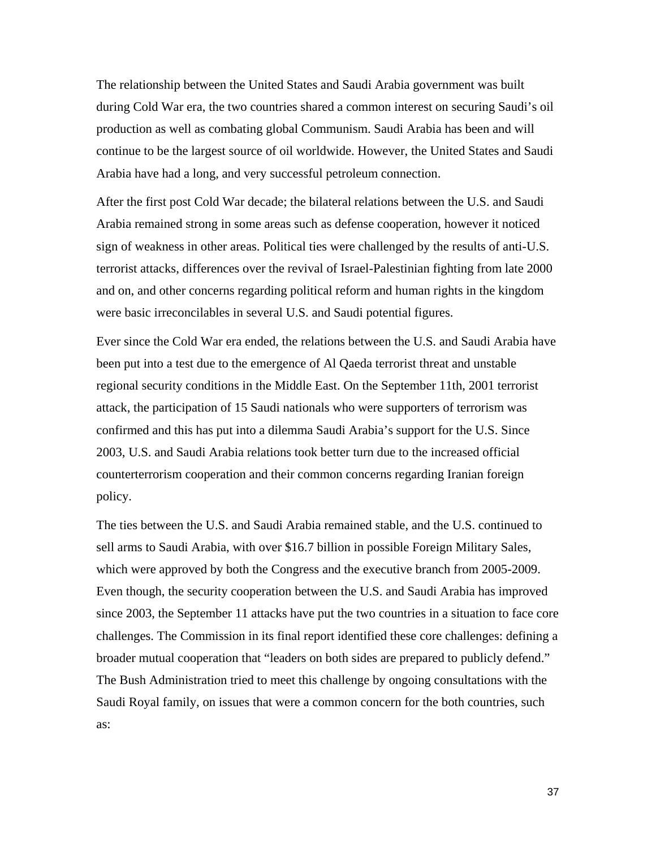The relationship between the United States and Saudi Arabia government was built during Cold War era, the two countries shared a common interest on securing Saudi's oil production as well as combating global Communism. Saudi Arabia has been and will continue to be the largest source of oil worldwide. However, the United States and Saudi Arabia have had a long, and very successful petroleum connection.

After the first post Cold War decade; the bilateral relations between the U.S. and Saudi Arabia remained strong in some areas such as defense cooperation, however it noticed sign of weakness in other areas. Political ties were challenged by the results of anti-U.S. terrorist attacks, differences over the revival of Israel-Palestinian fighting from late 2000 and on, and other concerns regarding political reform and human rights in the kingdom were basic irreconcilables in several U.S. and Saudi potential figures.

Ever since the Cold War era ended, the relations between the U.S. and Saudi Arabia have been put into a test due to the emergence of Al Qaeda terrorist threat and unstable regional security conditions in the Middle East. On the September 11th, 2001 terrorist attack, the participation of 15 Saudi nationals who were supporters of terrorism was confirmed and this has put into a dilemma Saudi Arabia's support for the U.S. Since 2003, U.S. and Saudi Arabia relations took better turn due to the increased official counterterrorism cooperation and their common concerns regarding Iranian foreign policy.

The ties between the U.S. and Saudi Arabia remained stable, and the U.S. continued to sell arms to Saudi Arabia, with over \$16.7 billion in possible Foreign Military Sales, which were approved by both the Congress and the executive branch from 2005-2009. Even though, the security cooperation between the U.S. and Saudi Arabia has improved since 2003, the September 11 attacks have put the two countries in a situation to face core challenges. The Commission in its final report identified these core challenges: defining a broader mutual cooperation that "leaders on both sides are prepared to publicly defend." The Bush Administration tried to meet this challenge by ongoing consultations with the Saudi Royal family, on issues that were a common concern for the both countries, such as: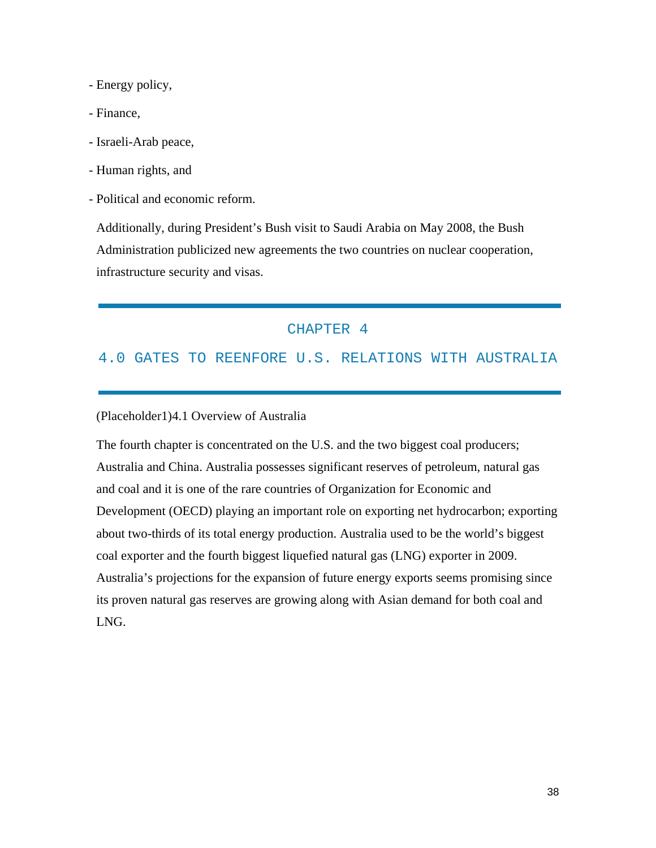- Energy policy,
- Finance,
- Israeli-Arab peace,
- Human rights, and
- Political and economic reform.

Additionally, during President's Bush visit to Saudi Arabia on May 2008, the Bush Administration publicized new agreements the two countries on nuclear cooperation, infrastructure security and visas.

## CHAPTER 4

## 4.0 GATES TO REENFORE U.S. RELATIONS WITH AUSTRALIA

### (Placeholder1)4.1 Overview of Australia

The fourth chapter is concentrated on the U.S. and the two biggest coal producers; Australia and China. Australia possesses significant reserves of petroleum, natural gas and coal and it is one of the rare countries of Organization for Economic and Development (OECD) playing an important role on exporting net hydrocarbon; exporting about two-thirds of its total energy production. Australia used to be the world's biggest coal exporter and the fourth biggest liquefied natural gas (LNG) exporter in 2009. Australia's projections for the expansion of future energy exports seems promising since its proven natural gas reserves are growing along with Asian demand for both coal and LNG.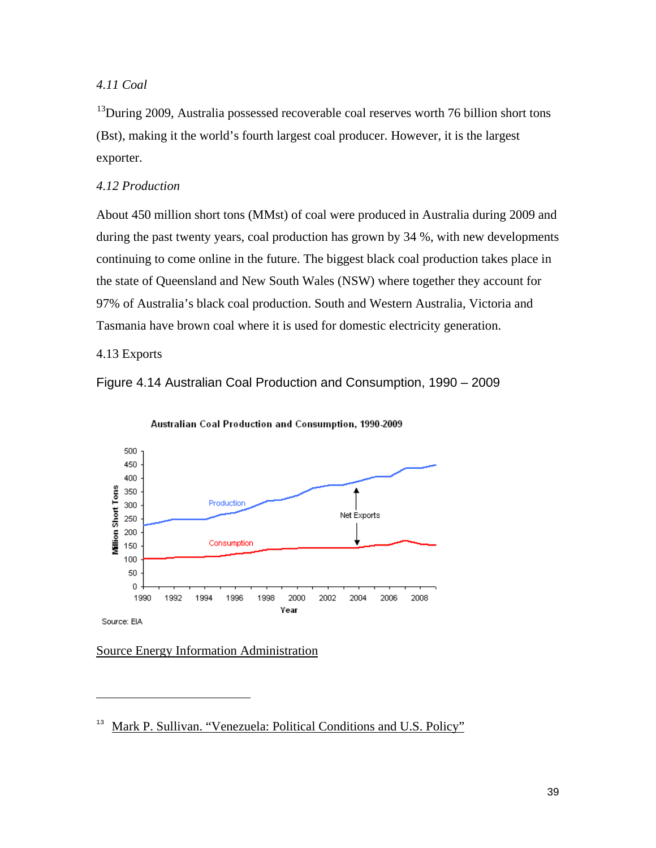## *4.11 Coal*

 $13$ During 2009, Australia possessed recoverable coal reserves worth 76 billion short tons (Bst), making it the world's fourth largest coal producer. However, it is the largest exporter.

## *4.12 Production*

About 450 million short tons (MMst) of coal were produced in Australia during 2009 and during the past twenty years, coal production has grown by 34 %, with new developments continuing to come online in the future. The biggest black coal production takes place in the state of Queensland and New South Wales (NSW) where together they account for 97% of Australia's black coal production. South and Western Australia, Victoria and Tasmania have brown coal where it is used for domestic electricity generation.

4.13 Exports

 $\overline{a}$ 







## Source Energy Information Administration

<span id="page-39-0"></span>Mark P. Sullivan. "Venezuela: Political Conditions and U.S. Policy"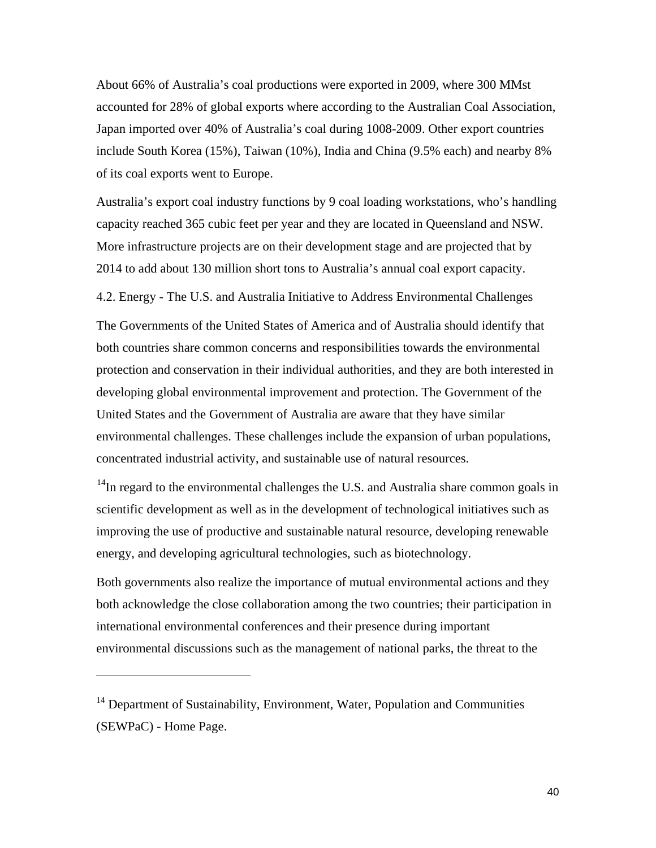About 66% of Australia's coal productions were exported in 2009, where 300 MMst accounted for 28% of global exports where according to the Australian Coal Association, Japan imported over 40% of Australia's coal during 1008-2009. Other export countries include South Korea (15%), Taiwan (10%), India and China (9.5% each) and nearby 8% of its coal exports went to Europe.

Australia's export coal industry functions by 9 coal loading workstations, who's handling capacity reached 365 cubic feet per year and they are located in Queensland and NSW. More infrastructure projects are on their development stage and are projected that by 2014 to add about 130 million short tons to Australia's annual coal export capacity.

4.2. Energy - The U.S. and Australia Initiative to Address Environmental Challenges

The Governments of the United States of America and of Australia should identify that both countries share common concerns and responsibilities towards the environmental protection and conservation in their individual authorities, and they are both interested in developing global environmental improvement and protection. The Government of the United States and the Government of Australia are aware that they have similar environmental challenges. These challenges include the expansion of urban populations, concentrated industrial activity, and sustainable use of natural resources.

 $14$ In regard to the environmental challenges the U.S. and Australia share common goals in scientific development as well as in the development of technological initiatives such as improving the use of productive and sustainable natural resource, developing renewable energy, and developing agricultural technologies, such as biotechnology.

Both governments also realize the importance of mutual environmental actions and they both acknowledge the close collaboration among the two countries; their participation in international environmental conferences and their presence during important environmental discussions such as the management of national parks, the threat to the

 $\overline{a}$ 

<span id="page-40-0"></span><sup>&</sup>lt;sup>14</sup> Department of Sustainability, Environment, Water, Population and Communities (SEWPaC) - Home Page.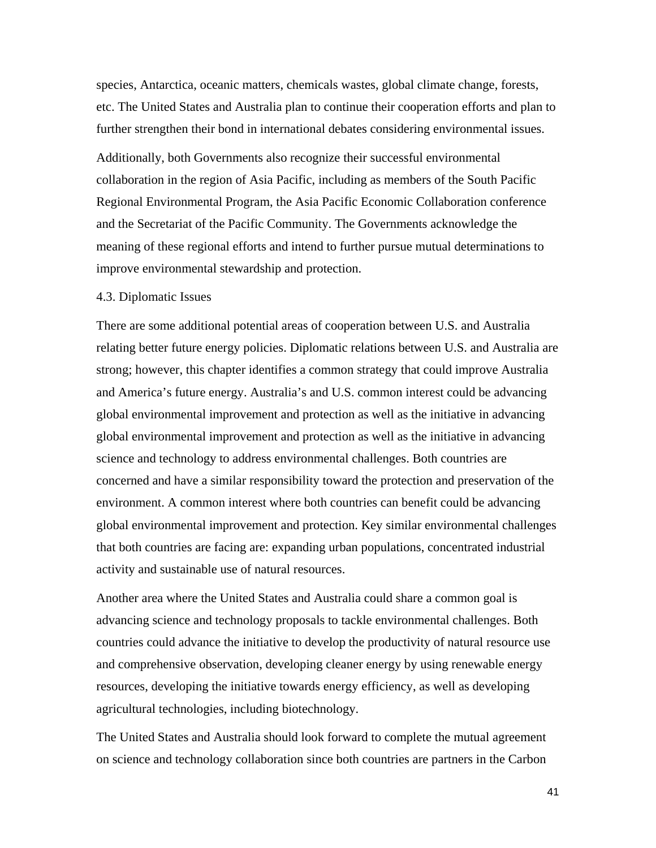species, Antarctica, oceanic matters, chemicals wastes, global climate change, forests, etc. The United States and Australia plan to continue their cooperation efforts and plan to further strengthen their bond in international debates considering environmental issues.

Additionally, both Governments also recognize their successful environmental collaboration in the region of Asia Pacific, including as members of the South Pacific Regional Environmental Program, the Asia Pacific Economic Collaboration conference and the Secretariat of the Pacific Community. The Governments acknowledge the meaning of these regional efforts and intend to further pursue mutual determinations to improve environmental stewardship and protection.

#### 4.3. Diplomatic Issues

There are some additional potential areas of cooperation between U.S. and Australia relating better future energy policies. Diplomatic relations between U.S. and Australia are strong; however, this chapter identifies a common strategy that could improve Australia and America's future energy. Australia's and U.S. common interest could be advancing global environmental improvement and protection as well as the initiative in advancing global environmental improvement and protection as well as the initiative in advancing science and technology to address environmental challenges. Both countries are concerned and have a similar responsibility toward the protection and preservation of the environment. A common interest where both countries can benefit could be advancing global environmental improvement and protection. Key similar environmental challenges that both countries are facing are: expanding urban populations, concentrated industrial activity and sustainable use of natural resources.

Another area where the United States and Australia could share a common goal is advancing science and technology proposals to tackle environmental challenges. Both countries could advance the initiative to develop the productivity of natural resource use and comprehensive observation, developing cleaner energy by using renewable energy resources, developing the initiative towards energy efficiency, as well as developing agricultural technologies, including biotechnology.

The United States and Australia should look forward to complete the mutual agreement on science and technology collaboration since both countries are partners in the Carbon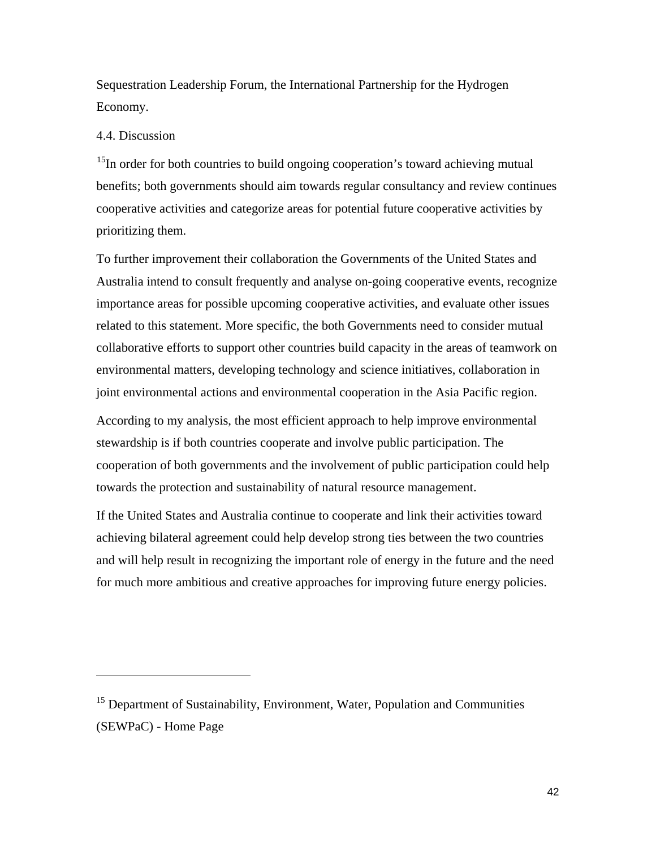Sequestration Leadership Forum, the International Partnership for the Hydrogen Economy.

#### 4.4. Discussion

 $\overline{a}$ 

<sup>15</sup>In order for both countries to build ongoing cooperation's toward achieving mutual benefits; both governments should aim towards regular consultancy and review continues cooperative activities and categorize areas for potential future cooperative activities by prioritizing them.

To further improvement their collaboration the Governments of the United States and Australia intend to consult frequently and analyse on-going cooperative events, recognize importance areas for possible upcoming cooperative activities, and evaluate other issues related to this statement. More specific, the both Governments need to consider mutual collaborative efforts to support other countries build capacity in the areas of teamwork on environmental matters, developing technology and science initiatives, collaboration in joint environmental actions and environmental cooperation in the Asia Pacific region.

According to my analysis, the most efficient approach to help improve environmental stewardship is if both countries cooperate and involve public participation. The cooperation of both governments and the involvement of public participation could help towards the protection and sustainability of natural resource management.

If the United States and Australia continue to cooperate and link their activities toward achieving bilateral agreement could help develop strong ties between the two countries and will help result in recognizing the important role of energy in the future and the need for much more ambitious and creative approaches for improving future energy policies.

<span id="page-42-0"></span> $15$  Department of Sustainability, Environment, Water, Population and Communities (SEWPaC) - Home Page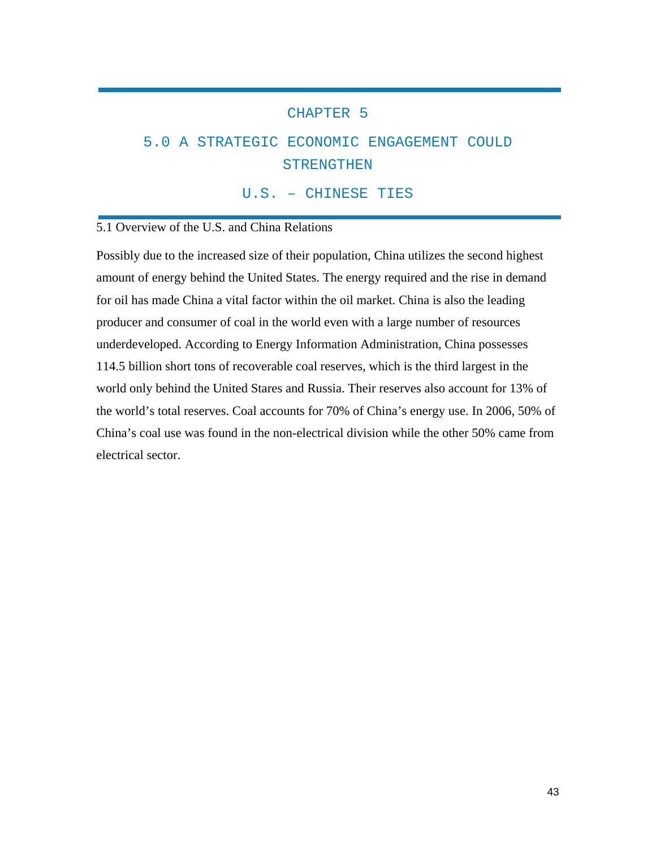## CHAPTER 5

## 5.0 A STRATEGIC ECONOMIC ENGAGEMENT COULD STRENGTHEN

U.S. – CHINESE TIES

### 5.1 Overview of the U.S. and China Relations

Possibly due to the increased size of their population, China utilizes the second highest amount of energy behind the United States. The energy required and the rise in demand for oil has made China a vital factor within the oil market. China is also the leading producer and consumer of coal in the world even with a large number of resources underdeveloped. According to Energy Information Administration, China possesses 114.5 billion short tons of recoverable coal reserves, which is the third largest in the world only behind the United Stares and Russia. Their reserves also account for 13% of the world's total reserves. Coal accounts for 70% of China's energy use. In 2006, 50% of China's coal use was found in the non-electrical division while the other 50% came from electrical sector.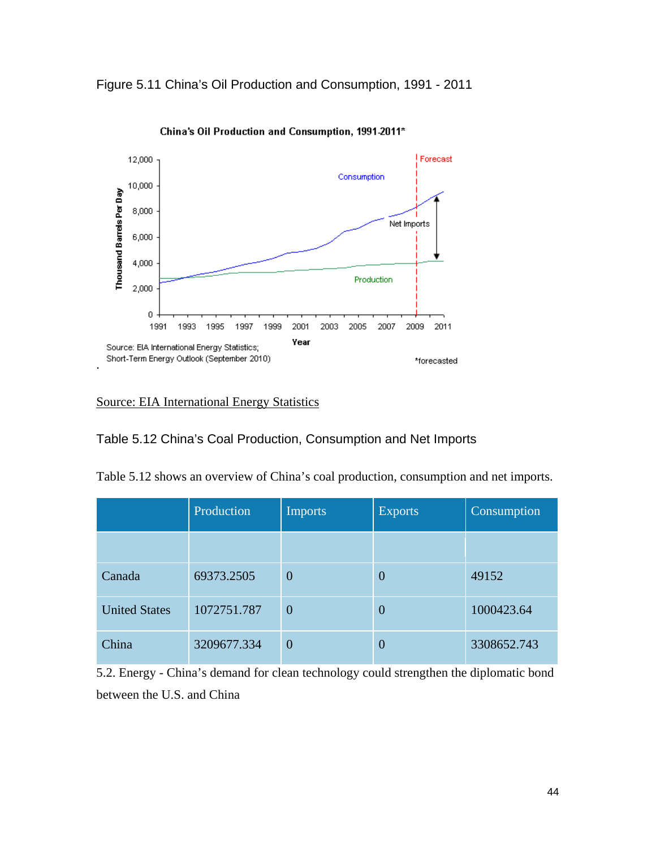Figure 5.11 China's Oil Production and Consumption, 1991 - 2011



China's Oil Production and Consumption, 1991-2011\*

## Source: EIA International Energy Statistics

Table 5.12 China's Coal Production, Consumption and Net Imports

|  | Table 5.12 shows an overview of China's coal production, consumption and net imports. |
|--|---------------------------------------------------------------------------------------|
|  |                                                                                       |

|                      | Production  | <b>Imports</b> | <b>Exports</b> | Consumption |
|----------------------|-------------|----------------|----------------|-------------|
|                      |             |                |                |             |
| Canada               | 69373.2505  | $\overline{0}$ | $\overline{0}$ | 49152       |
| <b>United States</b> | 1072751.787 | $\overline{0}$ | $\overline{0}$ | 1000423.64  |
| China                | 3209677.334 | $\overline{0}$ | $\overline{0}$ | 3308652.743 |

5.2. Energy - China's demand for clean technology could strengthen the diplomatic bond between the U.S. and China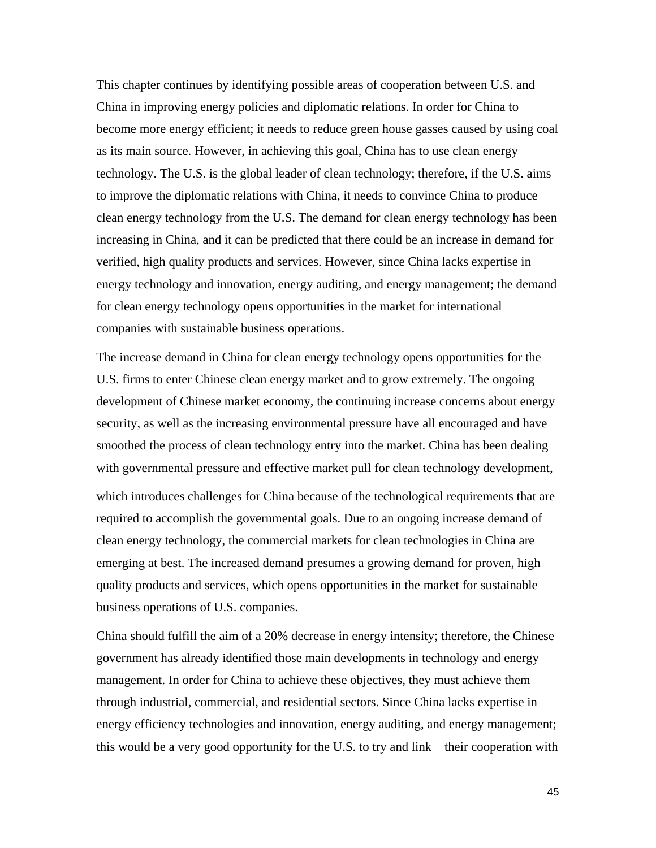This chapter continues by identifying possible areas of cooperation between U.S. and China in improving energy policies and diplomatic relations. In order for China to become more energy efficient; it needs to reduce green house gasses caused by using coal as its main source. However, in achieving this goal, China has to use clean energy technology. The U.S. is the global leader of clean technology; therefore, if the U.S. aims to improve the diplomatic relations with China, it needs to convince China to produce clean energy technology from the U.S. The demand for clean energy technology has been increasing in China, and it can be predicted that there could be an increase in demand for verified, high quality products and services. However, since China lacks expertise in energy technology and innovation, energy auditing, and energy management; the demand for clean energy technology opens opportunities in the market for international companies with sustainable business operations.

The increase demand in China for clean energy technology opens opportunities for the U.S. firms to enter Chinese clean energy market and to grow extremely. The ongoing development of Chinese market economy, the continuing increase concerns about energy security, as well as the increasing environmental pressure have all encouraged and have smoothed the process of clean technology entry into the market. China has been dealing with governmental pressure and effective market pull for clean technology development, which introduces challenges for China because of the technological requirements that are required to accomplish the governmental goals. Due to an ongoing increase demand of clean energy technology, the commercial markets for clean technologies in China are emerging at best. The increased demand presumes a growing demand for proven, high quality products and services, which opens opportunities in the market for sustainable business operations of U.S. companies.

China should fulfill the aim of a 20% decrease in energy intensity; therefore, the Chinese government has already identified those main developments in technology and energy management. In order for China to achieve these objectives, they must achieve them through industrial, commercial, and residential sectors. Since China lacks expertise in energy efficiency technologies and innovation, energy auditing, and energy management; this would be a very good opportunity for the U.S. to try and link their cooperation with

45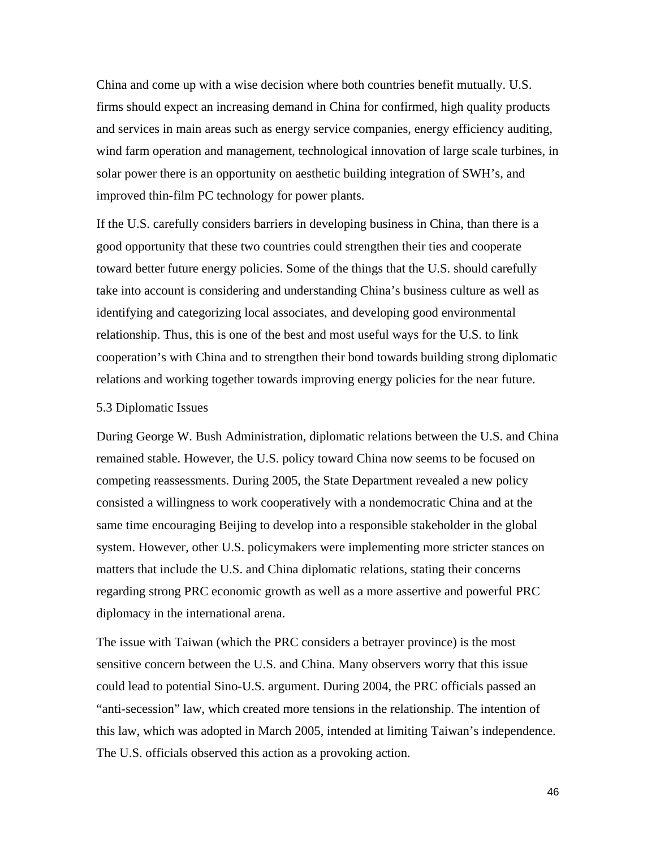China and come up with a wise decision where both countries benefit mutually. U.S. firms should expect an increasing demand in China for confirmed, high quality products and services in main areas such as energy service companies, energy efficiency auditing, wind farm operation and management, technological innovation of large scale turbines, in solar power there is an opportunity on aesthetic building integration of SWH's, and improved thin-film PC technology for power plants.

If the U.S. carefully considers barriers in developing business in China, than there is a good opportunity that these two countries could strengthen their ties and cooperate toward better future energy policies. Some of the things that the U.S. should carefully take into account is considering and understanding China's business culture as well as identifying and categorizing local associates, and developing good environmental relationship. Thus, this is one of the best and most useful ways for the U.S. to link cooperation's with China and to strengthen their bond towards building strong diplomatic relations and working together towards improving energy policies for the near future.

#### 5.3 Diplomatic Issues

During George W. Bush Administration, diplomatic relations between the U.S. and China remained stable. However, the U.S. policy toward China now seems to be focused on competing reassessments. During 2005, the State Department revealed a new policy consisted a willingness to work cooperatively with a nondemocratic China and at the same time encouraging Beijing to develop into a responsible stakeholder in the global system. However, other U.S. policymakers were implementing more stricter stances on matters that include the U.S. and China diplomatic relations, stating their concerns regarding strong PRC economic growth as well as a more assertive and powerful PRC diplomacy in the international arena.

The issue with Taiwan (which the PRC considers a betrayer province) is the most sensitive concern between the U.S. and China. Many observers worry that this issue could lead to potential Sino-U.S. argument. During 2004, the PRC officials passed an "anti-secession" law, which created more tensions in the relationship. The intention of this law, which was adopted in March 2005, intended at limiting Taiwan's independence. The U.S. officials observed this action as a provoking action.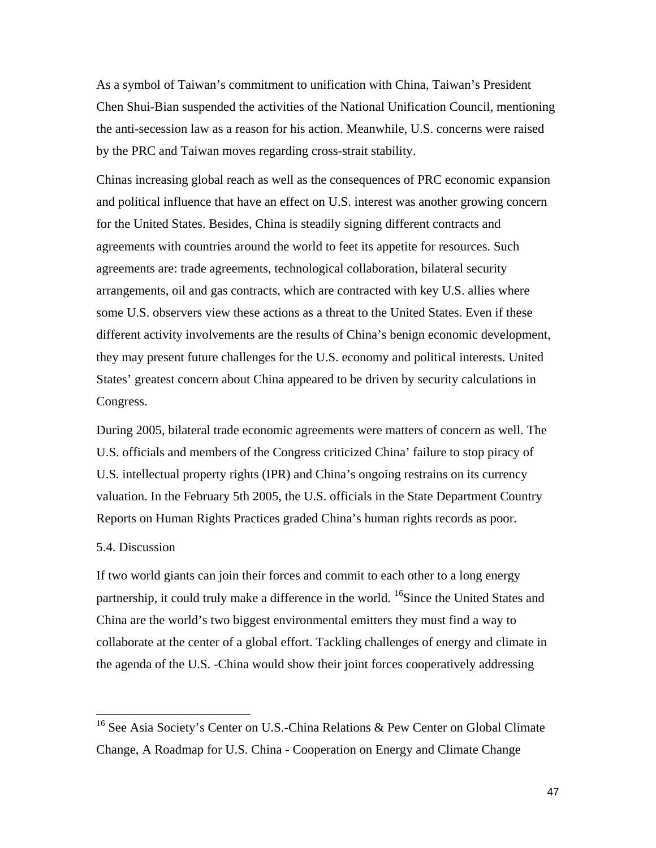As a symbol of Taiwan's commitment to unification with China, Taiwan's President Chen Shui-Bian suspended the activities of the National Unification Council, mentioning the anti-secession law as a reason for his action. Meanwhile, U.S. concerns were raised by the PRC and Taiwan moves regarding cross-strait stability.

Chinas increasing global reach as well as the consequences of PRC economic expansion and political influence that have an effect on U.S. interest was another growing concern for the United States. Besides, China is steadily signing different contracts and agreements with countries around the world to feet its appetite for resources. Such agreements are: trade agreements, technological collaboration, bilateral security arrangements, oil and gas contracts, which are contracted with key U.S. allies where some U.S. observers view these actions as a threat to the United States. Even if these different activity involvements are the results of China's benign economic development, they may present future challenges for the U.S. economy and political interests. United States' greatest concern about China appeared to be driven by security calculations in Congress.

During 2005, bilateral trade economic agreements were matters of concern as well. The U.S. officials and members of the Congress criticized China' failure to stop piracy of U.S. intellectual property rights (IPR) and China's ongoing restrains on its currency valuation. In the February 5th 2005, the U.S. officials in the State Department Country Reports on Human Rights Practices graded China's human rights records as poor.

## 5.4. Discussion

If two world giants can join their forces and commit to each other to a long energy partnership, it could truly make a difference in the world. <sup>[16](#page-47-0)</sup>Since the United States and China are the world's two biggest environmental emitters they must find a way to collaborate at the center of a global effort. Tackling challenges of energy and climate in the agenda of the U.S. -China would show their joint forces cooperatively addressing

<span id="page-47-0"></span><sup>&</sup>lt;sup>16</sup> See Asia Society's Center on U.S.-China Relations & Pew Center on Global Climate Change, A Roadmap for U.S. China - Cooperation on Energy and Climate Change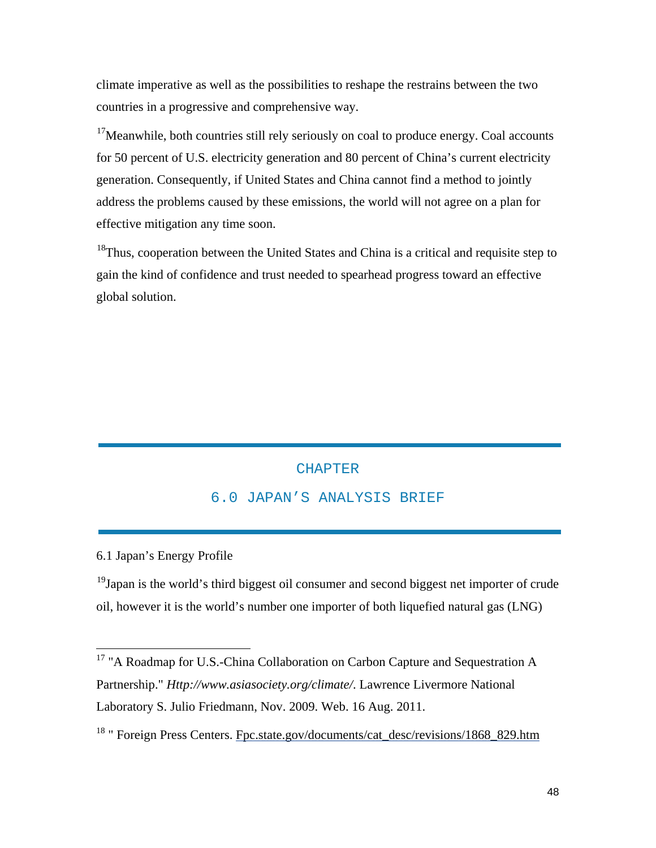climate imperative as well as the possibilities to reshape the restrains between the two countries in a progressive and comprehensive way.

 $17$ Meanwhile, both countries still rely seriously on coal to produce energy. Coal accounts for 50 percent of U.S. electricity generation and 80 percent of China's current electricity generation. Consequently, if United States and China cannot find a method to jointly address the problems caused by these emissions, the world will not agree on a plan for effective mitigation any time soon.

<sup>18</sup>Thus, cooperation between the United States and China is a critical and requisite step to gain the kind of confidence and trust needed to spearhead progress toward an effective global solution.

# **CHAPTER** 6.0 JAPAN'S ANALYSIS BRIEF

6.1 Japan's Energy Profile

 $19$ Japan is the world's third biggest oil consumer and second biggest net importer of crude oil, however it is the world's number one importer of both liquefied natural gas (LNG)

<span id="page-48-2"></span><span id="page-48-0"></span><sup>&</sup>lt;sup>17</sup> "A Roadmap for U.S.-China Collaboration on Carbon Capture and Sequestration A Partnership." *Http://www.asiasociety.org/climate/*. Lawrence Livermore National Laboratory S. Julio Friedmann, Nov. 2009. Web. 16 Aug. 2011.

<span id="page-48-1"></span><sup>&</sup>lt;sup>18</sup> " Foreign Press Centers. Fpc.state.gov/documents/cat\_desc/revisions/1868\_829.htm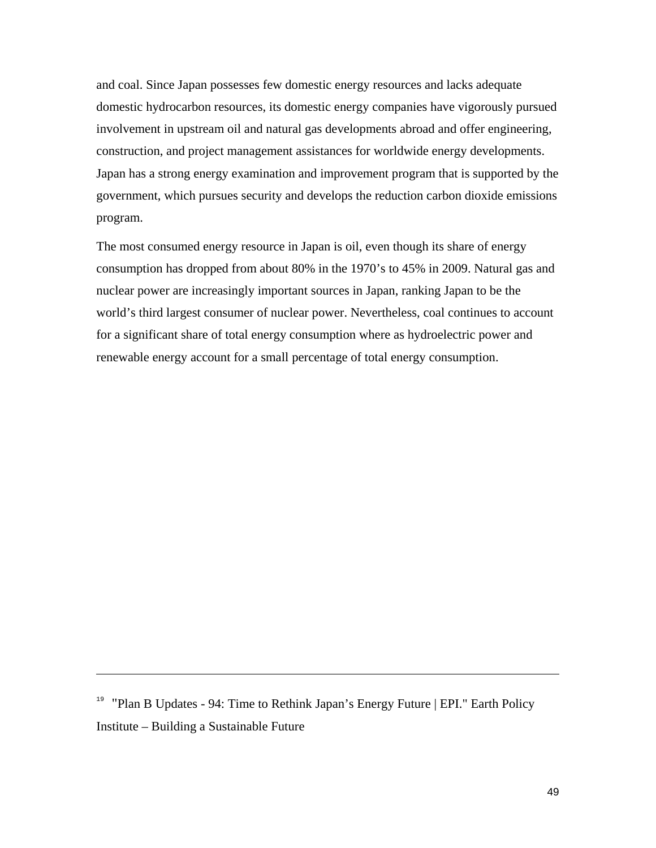and coal. Since Japan possesses few domestic energy resources and lacks adequate domestic hydrocarbon resources, its domestic energy companies have vigorously pursued involvement in upstream oil and natural gas developments abroad and offer engineering, construction, and project management assistances for worldwide energy developments. Japan has a strong energy examination and improvement program that is supported by the government, which pursues security and develops the reduction carbon dioxide emissions program.

The most consumed energy resource in Japan is oil, even though its share of energy consumption has dropped from about 80% in the 1970's to 45% in 2009. Natural gas and nuclear power are increasingly important sources in Japan, ranking Japan to be the world's third largest consumer of nuclear power. Nevertheless, coal continues to account for a significant share of total energy consumption where as hydroelectric power and renewable energy account for a small percentage of total energy consumption.

 $\overline{a}$ 

<sup>&</sup>lt;sup>19</sup> "Plan B Updates - 94: Time to Rethink Japan's Energy Future | EPI." Earth Policy Institute – Building a Sustainable Future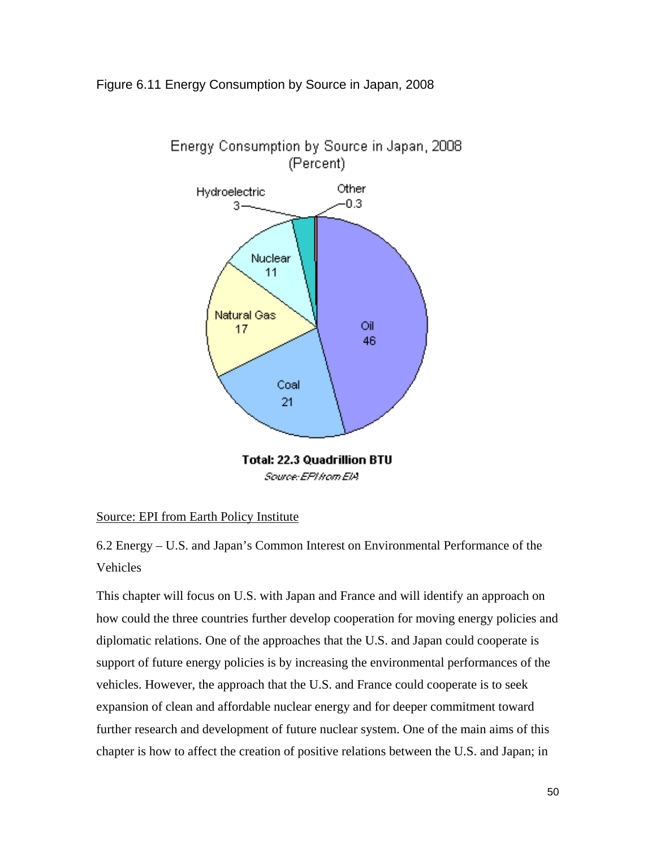## Figure 6.11 Energy Consumption by Source in Japan, 2008



**Total: 22.3 Quadrillion BTU** Source: EPI hom EIA

#### Source: EPI from Earth Policy Institute

6.2 Energy – U.S. and Japan's Common Interest on Environmental Performance of the Vehicles

This chapter will focus on U.S. with Japan and France and will identify an approach on how could the three countries further develop cooperation for moving energy policies and diplomatic relations. One of the approaches that the U.S. and Japan could cooperate is support of future energy policies is by increasing the environmental performances of the vehicles. However, the approach that the U.S. and France could cooperate is to seek expansion of clean and affordable nuclear energy and for deeper commitment toward further research and development of future nuclear system. One of the main aims of this chapter is how to affect the creation of positive relations between the U.S. and Japan; in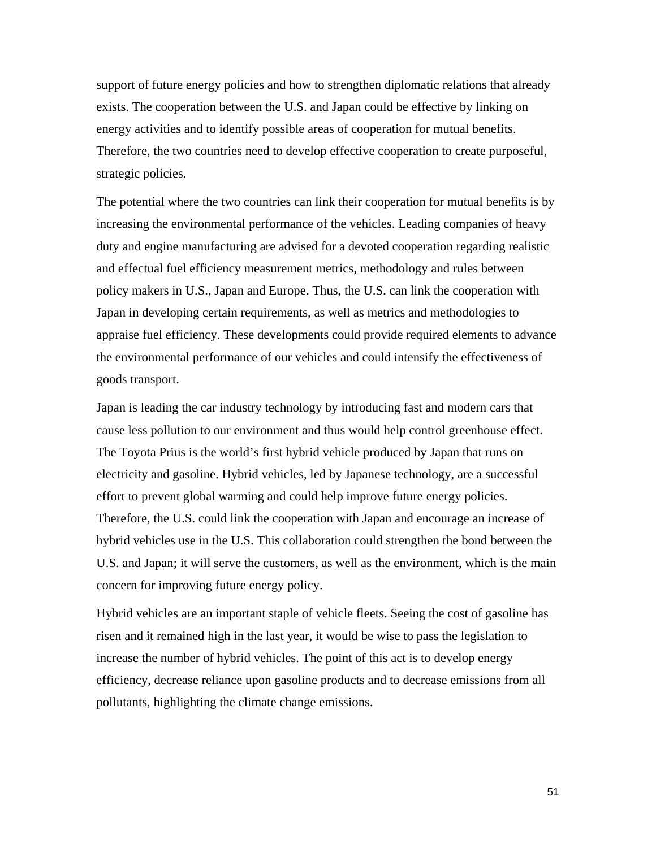support of future energy policies and how to strengthen diplomatic relations that already exists. The cooperation between the U.S. and Japan could be effective by linking on energy activities and to identify possible areas of cooperation for mutual benefits. Therefore, the two countries need to develop effective cooperation to create purposeful, strategic policies.

The potential where the two countries can link their cooperation for mutual benefits is by increasing the environmental performance of the vehicles. Leading companies of heavy duty and engine manufacturing are advised for a devoted cooperation regarding realistic and effectual fuel efficiency measurement metrics, methodology and rules between policy makers in U.S., Japan and Europe. Thus, the U.S. can link the cooperation with Japan in developing certain requirements, as well as metrics and methodologies to appraise fuel efficiency. These developments could provide required elements to advance the environmental performance of our vehicles and could intensify the effectiveness of goods transport.

Japan is leading the car industry technology by introducing fast and modern cars that cause less pollution to our environment and thus would help control greenhouse effect. The Toyota Prius is the world's first hybrid vehicle produced by Japan that runs on electricity and gasoline. Hybrid vehicles, led by Japanese technology, are a successful effort to prevent global warming and could help improve future energy policies. Therefore, the U.S. could link the cooperation with Japan and encourage an increase of hybrid vehicles use in the U.S. This collaboration could strengthen the bond between the U.S. and Japan; it will serve the customers, as well as the environment, which is the main concern for improving future energy policy.

Hybrid vehicles are an important staple of vehicle fleets. Seeing the cost of gasoline has risen and it remained high in the last year, it would be wise to pass the legislation to increase the number of hybrid vehicles. The point of this act is to develop energy efficiency, decrease reliance upon gasoline products and to decrease emissions from all pollutants, highlighting the climate change emissions.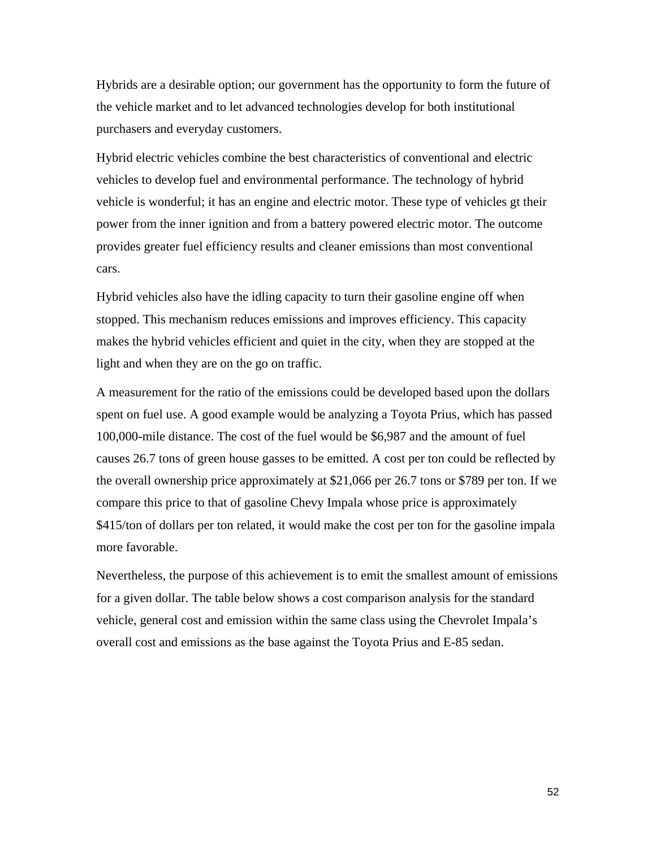Hybrids are a desirable option; our government has the opportunity to form the future of the vehicle market and to let advanced technologies develop for both institutional purchasers and everyday customers.

Hybrid electric vehicles combine the best characteristics of conventional and electric vehicles to develop fuel and environmental performance. The technology of hybrid vehicle is wonderful; it has an engine and electric motor. These type of vehicles gt their power from the inner ignition and from a battery powered electric motor. The outcome provides greater fuel efficiency results and cleaner emissions than most conventional cars.

Hybrid vehicles also have the idling capacity to turn their gasoline engine off when stopped. This mechanism reduces emissions and improves efficiency. This capacity makes the hybrid vehicles efficient and quiet in the city, when they are stopped at the light and when they are on the go on traffic.

A measurement for the ratio of the emissions could be developed based upon the dollars spent on fuel use. A good example would be analyzing a Toyota Prius, which has passed 100,000-mile distance. The cost of the fuel would be \$6,987 and the amount of fuel causes 26.7 tons of green house gasses to be emitted. A cost per ton could be reflected by the overall ownership price approximately at \$21,066 per 26.7 tons or \$789 per ton. If we compare this price to that of gasoline Chevy Impala whose price is approximately \$415/ton of dollars per ton related, it would make the cost per ton for the gasoline impala more favorable.

Nevertheless, the purpose of this achievement is to emit the smallest amount of emissions for a given dollar. The table below shows a cost comparison analysis for the standard vehicle, general cost and emission within the same class using the Chevrolet Impala's overall cost and emissions as the base against the Toyota Prius and E-85 sedan.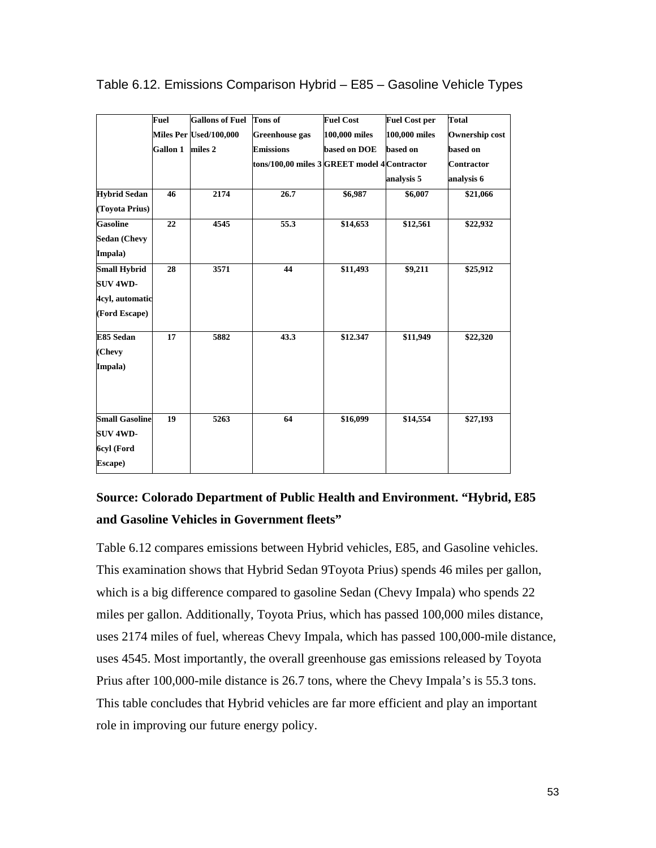|                       | Fuel            | <b>Gallons of Fuel</b> | <b>Tons of</b>                               | <b>Fuel Cost</b> | <b>Fuel Cost per</b> | <b>Total</b>      |
|-----------------------|-----------------|------------------------|----------------------------------------------|------------------|----------------------|-------------------|
|                       |                 | Miles Per Used/100,000 | <b>Greenhouse</b> gas                        | 100,000 miles    | 100,000 miles        | Ownership cost    |
|                       | <b>Gallon 1</b> | miles 2                | <b>Emissions</b>                             | based on DOE     | based on             | based on          |
|                       |                 |                        | tons/100,00 miles 3 GREET model 4 Contractor |                  |                      | <b>Contractor</b> |
|                       |                 |                        |                                              |                  | analysis 5           | analysis 6        |
| <b>Hybrid Sedan</b>   | 46              | 2174                   | 26.7                                         | \$6,987          | \$6,007              | \$21,066          |
| (Toyota Prius)        |                 |                        |                                              |                  |                      |                   |
| <b>Gasoline</b>       | 22              | 4545                   | 55.3                                         | \$14,653         | \$12,561             | \$22,932          |
| <b>Sedan (Chevy</b>   |                 |                        |                                              |                  |                      |                   |
| Impala)               |                 |                        |                                              |                  |                      |                   |
| <b>Small Hybrid</b>   | 28              | 3571                   | 44                                           | \$11,493         | \$9,211              | \$25,912          |
| <b>SUV 4WD-</b>       |                 |                        |                                              |                  |                      |                   |
| 4cyl, automatic       |                 |                        |                                              |                  |                      |                   |
| (Ford Escape)         |                 |                        |                                              |                  |                      |                   |
| E85 Sedan             | 17              | 5882                   | 43.3                                         | \$12.347         | \$11,949             | \$22,320          |
| (Chevy                |                 |                        |                                              |                  |                      |                   |
| Impala)               |                 |                        |                                              |                  |                      |                   |
| <b>Small Gasoline</b> | 19              | 5263                   | 64                                           | \$16,099         | \$14,554             | \$27,193          |
| <b>SUV 4WD-</b>       |                 |                        |                                              |                  |                      |                   |
| 6cyl (Ford            |                 |                        |                                              |                  |                      |                   |
| Escape)               |                 |                        |                                              |                  |                      |                   |

Table 6.12. Emissions Comparison Hybrid – E85 – Gasoline Vehicle Types

## **Source: Colorado Department of Public Health and Environment. "Hybrid, E85 and Gasoline Vehicles in Government fleets"**

Table 6.12 compares emissions between Hybrid vehicles, E85, and Gasoline vehicles. This examination shows that Hybrid Sedan 9Toyota Prius) spends 46 miles per gallon, which is a big difference compared to gasoline Sedan (Chevy Impala) who spends 22 miles per gallon. Additionally, Toyota Prius, which has passed 100,000 miles distance, uses 2174 miles of fuel, whereas Chevy Impala, which has passed 100,000-mile distance, uses 4545. Most importantly, the overall greenhouse gas emissions released by Toyota Prius after 100,000-mile distance is 26.7 tons, where the Chevy Impala's is 55.3 tons. This table concludes that Hybrid vehicles are far more efficient and play an important role in improving our future energy policy.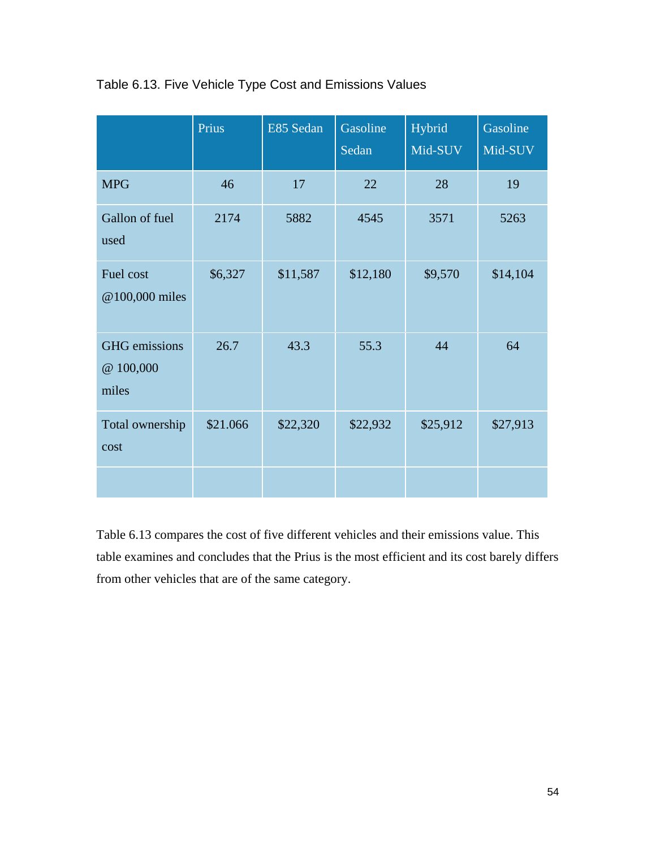|                                            | Prius    | E85 Sedan | Gasoline<br>Sedan | Hybrid<br>Mid-SUV | Gasoline<br>Mid-SUV |
|--------------------------------------------|----------|-----------|-------------------|-------------------|---------------------|
| <b>MPG</b>                                 | 46       | 17        | 22                | 28                | 19                  |
| Gallon of fuel<br>used                     | 2174     | 5882      | 4545              | 3571              | 5263                |
| Fuel cost<br>@100,000 miles                | \$6,327  | \$11,587  | \$12,180          | \$9,570           | \$14,104            |
| <b>GHG</b> emissions<br>@ 100,000<br>miles | 26.7     | 43.3      | 55.3              | 44                | 64                  |
| Total ownership<br>cost                    | \$21.066 | \$22,320  | \$22,932          | \$25,912          | \$27,913            |
|                                            |          |           |                   |                   |                     |

## Table 6.13. Five Vehicle Type Cost and Emissions Values

Table 6.13 compares the cost of five different vehicles and their emissions value. This table examines and concludes that the Prius is the most efficient and its cost barely differs from other vehicles that are of the same category.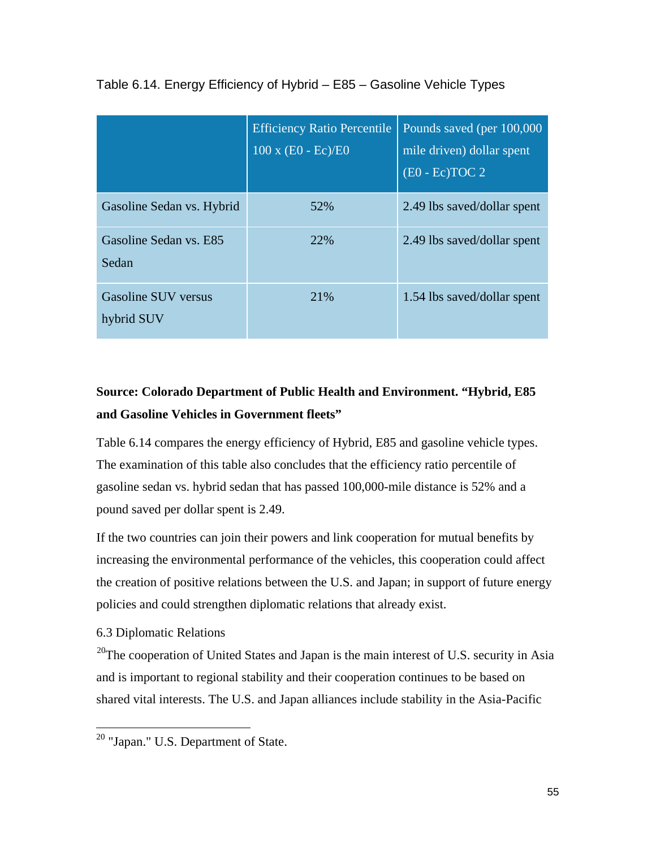|                                   | <b>Efficiency Ratio Percentile</b><br>$100 \times (E0 - Ec)/E0$ | Pounds saved (per 100,000)<br>mile driven) dollar spent<br>$(EO - Ec) TOC 2$ |
|-----------------------------------|-----------------------------------------------------------------|------------------------------------------------------------------------------|
| Gasoline Sedan vs. Hybrid         | 52%                                                             | 2.49 lbs saved/dollar spent                                                  |
| Gasoline Sedan vs. E85<br>Sedan   | 22%                                                             | 2.49 lbs saved/dollar spent                                                  |
| Gasoline SUV versus<br>hybrid SUV | 21%                                                             | 1.54 lbs saved/dollar spent                                                  |

Table 6.14. Energy Efficiency of Hybrid – E85 – Gasoline Vehicle Types

## **Source: Colorado Department of Public Health and Environment. "Hybrid, E85 and Gasoline Vehicles in Government fleets"**

Table 6.14 compares the energy efficiency of Hybrid, E85 and gasoline vehicle types. The examination of this table also concludes that the efficiency ratio percentile of gasoline sedan vs. hybrid sedan that has passed 100,000-mile distance is 52% and a pound saved per dollar spent is 2.49.

If the two countries can join their powers and link cooperation for mutual benefits by increasing the environmental performance of the vehicles, this cooperation could affect the creation of positive relations between the U.S. and Japan; in support of future energy policies and could strengthen diplomatic relations that already exist.

## 6.3 Diplomatic Relations

 $^{20}$ The cooperation of United States and Japan is the main interest of U.S. security in Asia and is important to regional stability and their cooperation continues to be based on shared vital interests. The U.S. and Japan alliances include stability in the Asia-Pacific

<span id="page-55-0"></span> <sup>20</sup> "Japan." U.S. Department of State.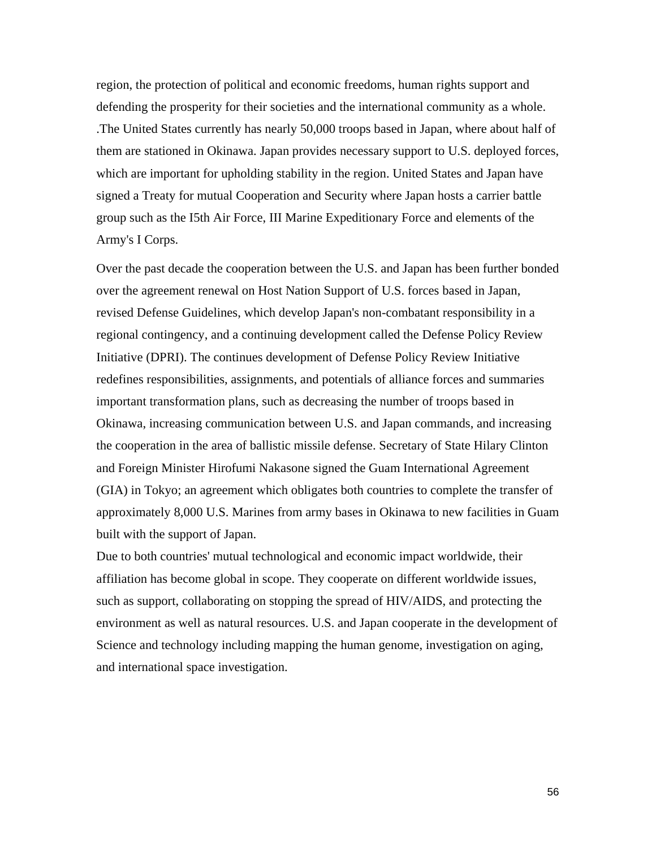region, the protection of political and economic freedoms, human rights support and defending the prosperity for their societies and the international community as a whole. .The United States currently has nearly 50,000 troops based in Japan, where about half of them are stationed in Okinawa. Japan provides necessary support to U.S. deployed forces, which are important for upholding stability in the region. United States and Japan have signed a Treaty for mutual Cooperation and Security where Japan hosts a carrier battle group such as the I5th Air Force, III Marine Expeditionary Force and elements of the Army's I Corps.

Over the past decade the cooperation between the U.S. and Japan has been further bonded over the agreement renewal on Host Nation Support of U.S. forces based in Japan, revised Defense Guidelines, which develop Japan's non-combatant responsibility in a regional contingency, and a continuing development called the Defense Policy Review Initiative (DPRI). The continues development of Defense Policy Review Initiative redefines responsibilities, assignments, and potentials of alliance forces and summaries important transformation plans, such as decreasing the number of troops based in Okinawa, increasing communication between U.S. and Japan commands, and increasing the cooperation in the area of ballistic missile defense. Secretary of State Hilary Clinton and Foreign Minister Hirofumi Nakasone signed the Guam International Agreement (GIA) in Tokyo; an agreement which obligates both countries to complete the transfer of approximately 8,000 U.S. Marines from army bases in Okinawa to new facilities in Guam built with the support of Japan.

Due to both countries' mutual technological and economic impact worldwide, their affiliation has become global in scope. They cooperate on different worldwide issues, such as support, collaborating on stopping the spread of HIV/AIDS, and protecting the environment as well as natural resources. U.S. and Japan cooperate in the development of Science and technology including mapping the human genome, investigation on aging, and international space investigation.

56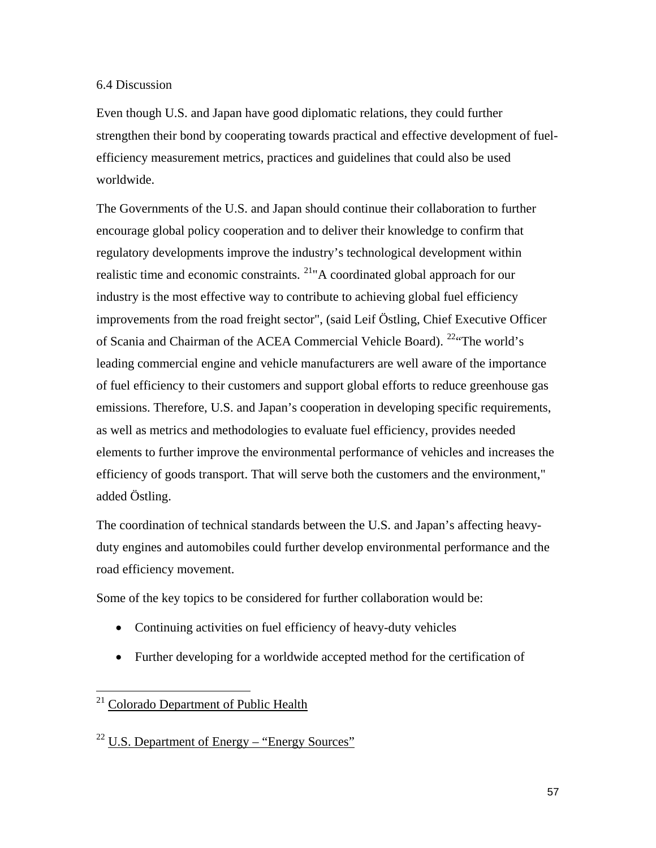#### 6.4 Discussion

Even though U.S. and Japan have good diplomatic relations, they could further strengthen their bond by cooperating towards practical and effective development of fuelefficiency measurement metrics, practices and guidelines that could also be used worldwide.

The Governments of the U.S. and Japan should continue their collaboration to further encourage global policy cooperation and to deliver their knowledge to confirm that regulatory developments improve the industry's technological development within realistic time and economic constraints. <sup>21</sup> A coordinated global approach for our industry is the most effective way to contribute to achieving global fuel efficiency improvements from the road freight sector", (said Leif Östling, Chief Executive Officer of Scania and Chairman of the ACEA Commercial Vehicle Board). <sup>[22](#page-57-1)</sup> The world's leading commercial engine and vehicle manufacturers are well aware of the importance of fuel efficiency to their customers and support global efforts to reduce greenhouse gas emissions. Therefore, U.S. and Japan's cooperation in developing specific requirements, as well as metrics and methodologies to evaluate fuel efficiency, provides needed elements to further improve the environmental performance of vehicles and increases the efficiency of goods transport. That will serve both the customers and the environment," added Östling.

The coordination of technical standards between the U.S. and Japan's affecting heavyduty engines and automobiles could further develop environmental performance and the road efficiency movement.

Some of the key topics to be considered for further collaboration would be:

- Continuing activities on fuel efficiency of heavy-duty vehicles
- Further developing for a worldwide accepted method for the certification of

<span id="page-57-0"></span><sup>&</sup>lt;sup>21</sup> Colorado Department of Public Health

<span id="page-57-1"></span> $22$  U.S. Department of Energy – "Energy Sources"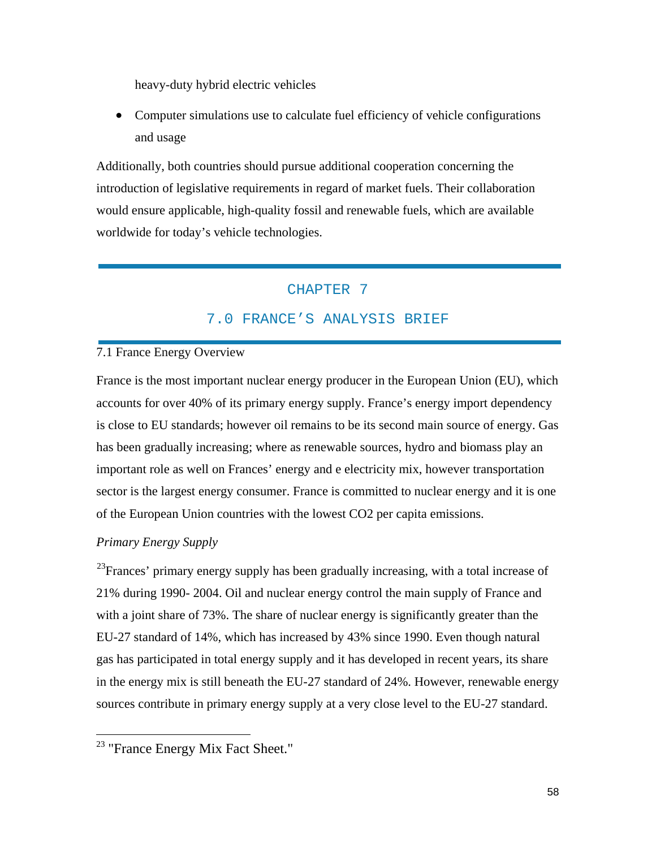heavy-duty hybrid electric vehicles

• Computer simulations use to calculate fuel efficiency of vehicle configurations and usage

Additionally, both countries should pursue additional cooperation concerning the introduction of legislative requirements in regard of market fuels. Their collaboration would ensure applicable, high-quality fossil and renewable fuels, which are available worldwide for today's vehicle technologies.

## CHAPTER 7

## 7.0 FRANCE'S ANALYSIS BRIEF

## 7.1 France Energy Overview

France is the most important nuclear energy producer in the European Union (EU), which accounts for over 40% of its primary energy supply. France's energy import dependency is close to EU standards; however oil remains to be its second main source of energy. Gas has been gradually increasing; where as renewable sources, hydro and biomass play an important role as well on Frances' energy and e electricity mix, however transportation sector is the largest energy consumer. France is committed to nuclear energy and it is one of the European Union countries with the lowest CO2 per capita emissions.

## *Primary Energy Supply*

<sup>23</sup>Frances' primary energy supply has been gradually increasing, with a total increase of 21% during 1990- 2004. Oil and nuclear energy control the main supply of France and with a joint share of 73%. The share of nuclear energy is significantly greater than the EU-27 standard of 14%, which has increased by 43% since 1990. Even though natural gas has participated in total energy supply and it has developed in recent years, its share in the energy mix is still beneath the EU-27 standard of 24%. However, renewable energy sources contribute in primary energy supply at a very close level to the EU-27 standard.

<span id="page-58-0"></span><sup>&</sup>lt;sup>23</sup> "France Energy Mix Fact Sheet."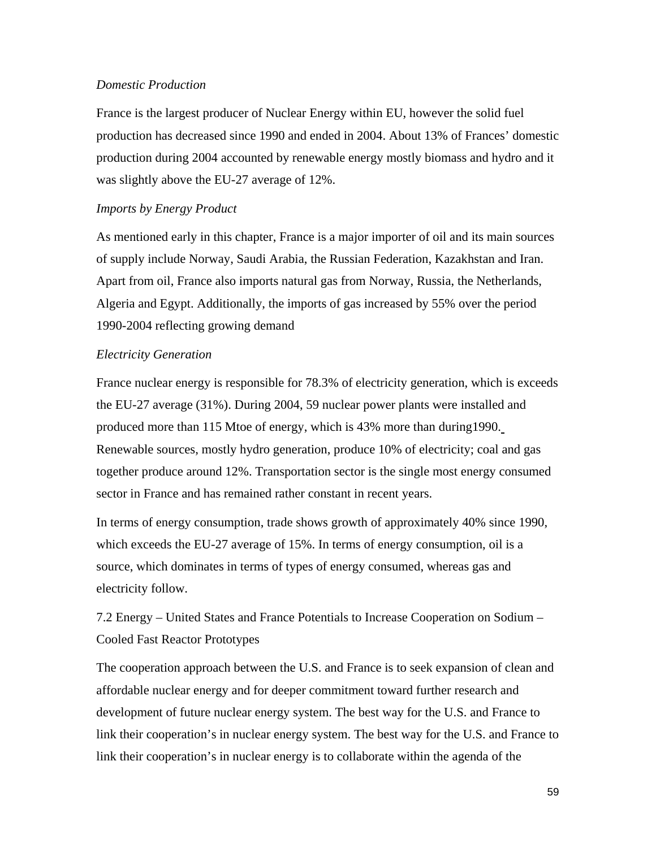#### *Domestic Production*

France is the largest producer of Nuclear Energy within EU, however the solid fuel production has decreased since 1990 and ended in 2004. About 13% of Frances' domestic production during 2004 accounted by renewable energy mostly biomass and hydro and it was slightly above the EU-27 average of 12%.

#### *Imports by Energy Product*

As mentioned early in this chapter, France is a major importer of oil and its main sources of supply include Norway, Saudi Arabia, the Russian Federation, Kazakhstan and Iran. Apart from oil, France also imports natural gas from Norway, Russia, the Netherlands, Algeria and Egypt. Additionally, the imports of gas increased by 55% over the period 1990-2004 reflecting growing demand

### *Electricity Generation*

France nuclear energy is responsible for 78.3% of electricity generation, which is exceeds the EU-27 average (31%). During 2004, 59 nuclear power plants were installed and produced more than 115 Mtoe of energy, which is 43% more than during1990. Renewable sources, mostly hydro generation, produce 10% of electricity; coal and gas together produce around 12%. Transportation sector is the single most energy consumed sector in France and has remained rather constant in recent years.

In terms of energy consumption, trade shows growth of approximately 40% since 1990, which exceeds the EU-27 average of 15%. In terms of energy consumption, oil is a source, which dominates in terms of types of energy consumed, whereas gas and electricity follow.

7.2 Energy – United States and France Potentials to Increase Cooperation on Sodium – Cooled Fast Reactor Prototypes

The cooperation approach between the U.S. and France is to seek expansion of clean and affordable nuclear energy and for deeper commitment toward further research and development of future nuclear energy system. The best way for the U.S. and France to link their cooperation's in nuclear energy system. The best way for the U.S. and France to link their cooperation's in nuclear energy is to collaborate within the agenda of the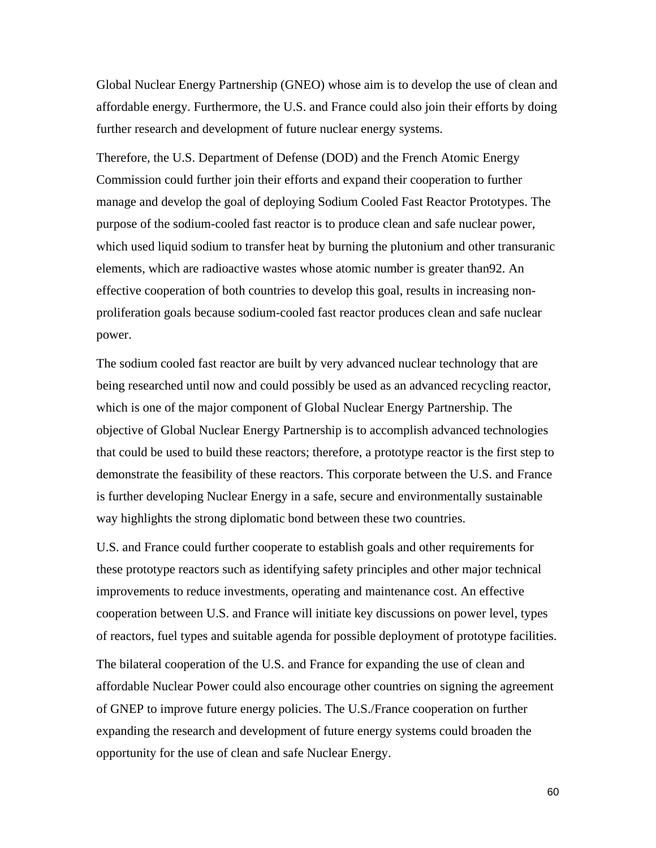Global Nuclear Energy Partnership (GNEO) whose aim is to develop the use of clean and affordable energy. Furthermore, the U.S. and France could also join their efforts by doing further research and development of future nuclear energy systems.

Therefore, the U.S. Department of Defense (DOD) and the French Atomic Energy Commission could further join their efforts and expand their cooperation to further manage and develop the goal of deploying Sodium Cooled Fast Reactor Prototypes. The purpose of the sodium-cooled fast reactor is to produce clean and safe nuclear power, which used liquid sodium to transfer heat by burning the plutonium and other transuranic elements, which are radioactive wastes whose atomic number is greater than92. An effective cooperation of both countries to develop this goal, results in increasing nonproliferation goals because sodium-cooled fast reactor produces clean and safe nuclear power.

The sodium cooled fast reactor are built by very advanced nuclear technology that are being researched until now and could possibly be used as an advanced recycling reactor, which is one of the major component of Global Nuclear Energy Partnership. The objective of Global Nuclear Energy Partnership is to accomplish advanced technologies that could be used to build these reactors; therefore, a prototype reactor is the first step to demonstrate the feasibility of these reactors. This corporate between the U.S. and France is further developing Nuclear Energy in a safe, secure and environmentally sustainable way highlights the strong diplomatic bond between these two countries.

U.S. and France could further cooperate to establish goals and other requirements for these prototype reactors such as identifying safety principles and other major technical improvements to reduce investments, operating and maintenance cost. An effective cooperation between U.S. and France will initiate key discussions on power level, types of reactors, fuel types and suitable agenda for possible deployment of prototype facilities.

The bilateral cooperation of the U.S. and France for expanding the use of clean and affordable Nuclear Power could also encourage other countries on signing the agreement of GNEP to improve future energy policies. The U.S./France cooperation on further expanding the research and development of future energy systems could broaden the opportunity for the use of clean and safe Nuclear Energy.

60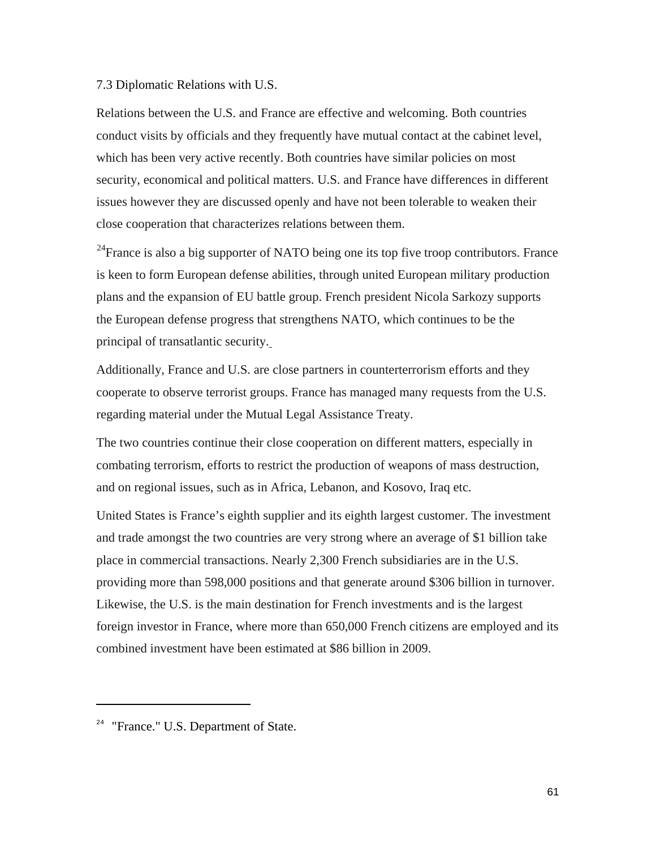#### 7.3 Diplomatic Relations with U.S.

Relations between the U.S. and France are effective and welcoming. Both countries conduct visits by officials and they frequently have mutual contact at the cabinet level, which has been very active recently. Both countries have similar policies on most security, economical and political matters. U.S. and France have differences in different issues however they are discussed openly and have not been tolerable to weaken their close cooperation that characterizes relations between them.

 $^{24}$ France is also a big supporter of NATO being one its top five troop contributors. France is keen to form European defense abilities, through united European military production plans and the expansion of EU battle group. French president Nicola Sarkozy supports the European defense progress that strengthens NATO, which continues to be the principal of transatlantic security.

Additionally, France and U.S. are close partners in counterterrorism efforts and they cooperate to observe terrorist groups. France has managed many requests from the U.S. regarding material under the Mutual Legal Assistance Treaty.

The two countries continue their close cooperation on different matters, especially in combating terrorism, efforts to restrict the production of weapons of mass destruction, and on regional issues, such as in Africa, Lebanon, and Kosovo, Iraq etc.

United States is France's eighth supplier and its eighth largest customer. The investment and trade amongst the two countries are very strong where an average of \$1 billion take place in commercial transactions. Nearly 2,300 French subsidiaries are in the U.S. providing more than 598,000 positions and that generate around \$306 billion in turnover. Likewise, the U.S. is the main destination for French investments and is the largest foreign investor in France, where more than 650,000 French citizens are employed and its combined investment have been estimated at \$86 billion in 2009.

 $\overline{a}$ 

<span id="page-61-0"></span><sup>&</sup>lt;sup>24</sup> "France." U.S. Department of State.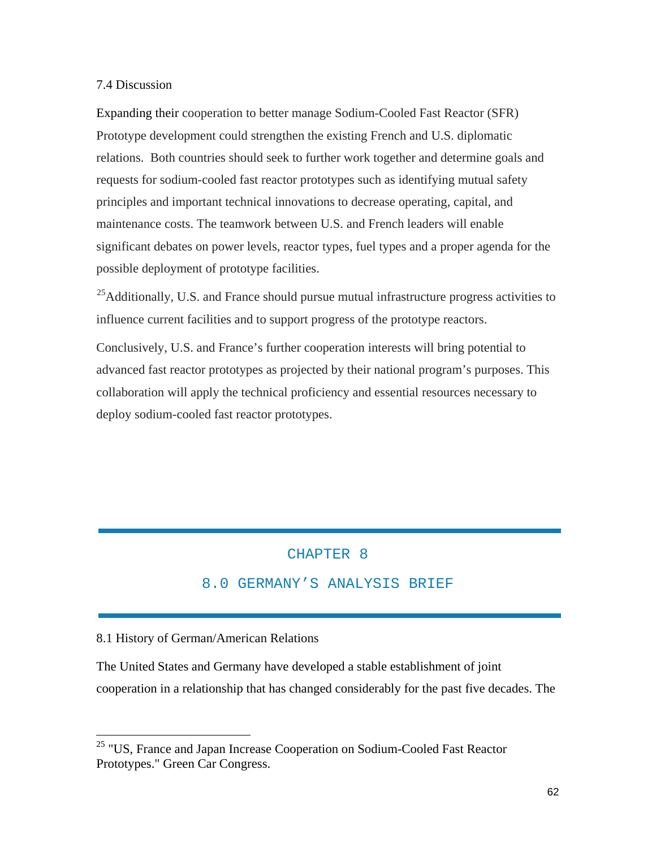### 7.4 Discussion

Expanding their cooperation to better manage Sodium-Cooled Fast Reactor (SFR) Prototype development could strengthen the existing French and U.S. diplomatic relations. Both countries should seek to further work together and determine goals and requests for sodium-cooled fast reactor prototypes such as identifying mutual safety principles and important technical innovations to decrease operating, capital, and maintenance costs. The teamwork between U.S. and French leaders will enable significant debates on power levels, reactor types, fuel types and a proper agenda for the possible deployment of prototype facilities.

<sup>25</sup>Additionally, U.S. and France should pursue mutual infrastructure progress activities to influence current facilities and to support progress of the prototype reactors.

Conclusively, U.S. and France's further cooperation interests will bring potential to advanced fast reactor prototypes as projected by their national program's purposes. This collaboration will apply the technical proficiency and essential resources necessary to deploy sodium-cooled fast reactor prototypes.

## CHAPTER 8

## 8.0 GERMANY'S ANALYSIS BRIEF

#### 8.1 History of German/American Relations

The United States and Germany have developed a stable establishment of joint cooperation in a relationship that has changed considerably for the past five decades. The

<span id="page-62-0"></span><sup>&</sup>lt;sup>25</sup> "US, France and Japan Increase Cooperation on Sodium-Cooled Fast Reactor Prototypes." Green Car Congress.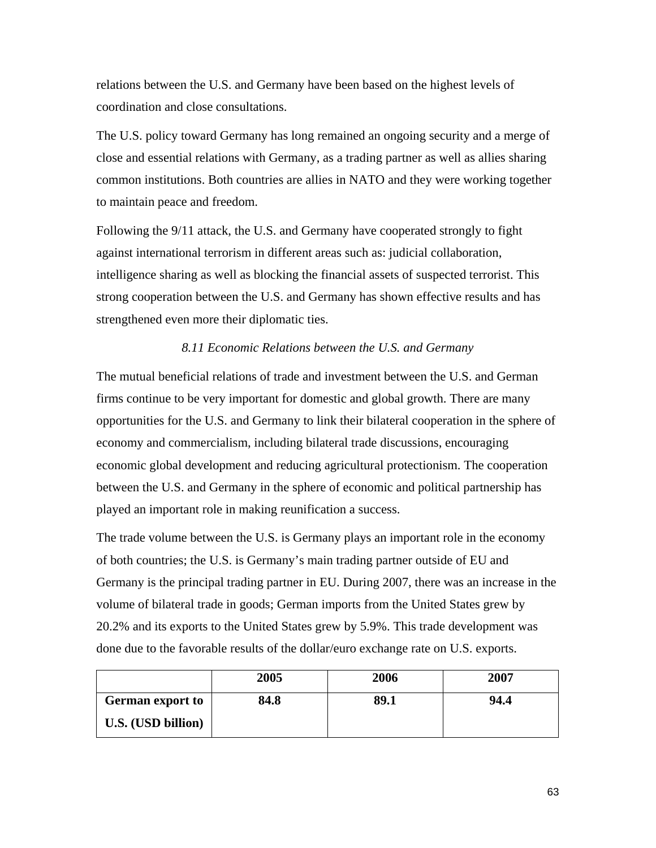relations between the U.S. and Germany have been based on the highest levels of coordination and close consultations.

The U.S. policy toward Germany has long remained an ongoing security and a merge of close and essential relations with Germany, as a trading partner as well as allies sharing common institutions. Both countries are allies in NATO and they were working together to maintain peace and freedom.

Following the 9/11 attack, the U.S. and Germany have cooperated strongly to fight against international terrorism in different areas such as: judicial collaboration, intelligence sharing as well as blocking the financial assets of suspected terrorist. This strong cooperation between the U.S. and Germany has shown effective results and has strengthened even more their diplomatic ties.

## *8.11 Economic Relations between the U.S. and Germany*

The mutual beneficial relations of trade and investment between the U.S. and German firms continue to be very important for domestic and global growth. There are many opportunities for the U.S. and Germany to link their bilateral cooperation in the sphere of economy and commercialism, including bilateral trade discussions, encouraging economic global development and reducing agricultural protectionism. The cooperation between the U.S. and Germany in the sphere of economic and political partnership has played an important role in making reunification a success.

The trade volume between the U.S. is Germany plays an important role in the economy of both countries; the U.S. is Germany's main trading partner outside of EU and Germany is the principal trading partner in EU. During 2007, there was an increase in the volume of bilateral trade in goods; German imports from the United States grew by 20.2% and its exports to the United States grew by 5.9%. This trade development was done due to the favorable results of the dollar/euro exchange rate on U.S. exports.

|                         | 2005 | 2006 | 2007 |
|-------------------------|------|------|------|
| <b>German</b> export to | 84.8 | 89.1 | 94.4 |
| U.S. (USD billion)      |      |      |      |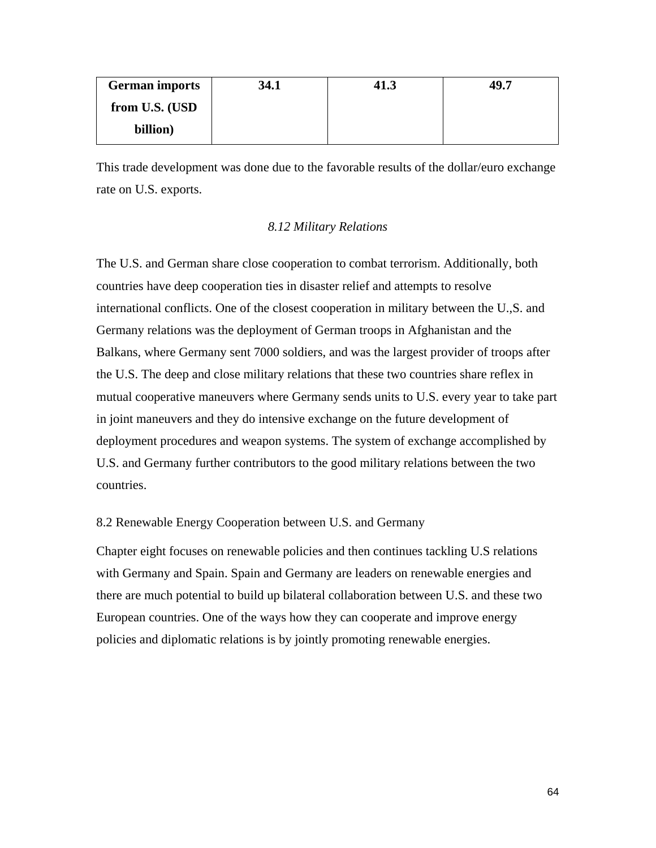| <b>German imports</b> | 34.1 | 41.J | 49.7 |
|-----------------------|------|------|------|
| from U.S. (USD)       |      |      |      |
| billion)              |      |      |      |

This trade development was done due to the favorable results of the dollar/euro exchange rate on U.S. exports.

## *8.12 Military Relations*

The U.S. and German share close cooperation to combat terrorism. Additionally, both countries have deep cooperation ties in disaster relief and attempts to resolve international conflicts. One of the closest cooperation in military between the U.,S. and Germany relations was the deployment of German troops in Afghanistan and the Balkans, where Germany sent 7000 soldiers, and was the largest provider of troops after the U.S. The deep and close military relations that these two countries share reflex in mutual cooperative maneuvers where Germany sends units to U.S. every year to take part in joint maneuvers and they do intensive exchange on the future development of deployment procedures and weapon systems. The system of exchange accomplished by U.S. and Germany further contributors to the good military relations between the two countries.

#### 8.2 Renewable Energy Cooperation between U.S. and Germany

Chapter eight focuses on renewable policies and then continues tackling U.S relations with Germany and Spain. Spain and Germany are leaders on renewable energies and there are much potential to build up bilateral collaboration between U.S. and these two European countries. One of the ways how they can cooperate and improve energy policies and diplomatic relations is by jointly promoting renewable energies.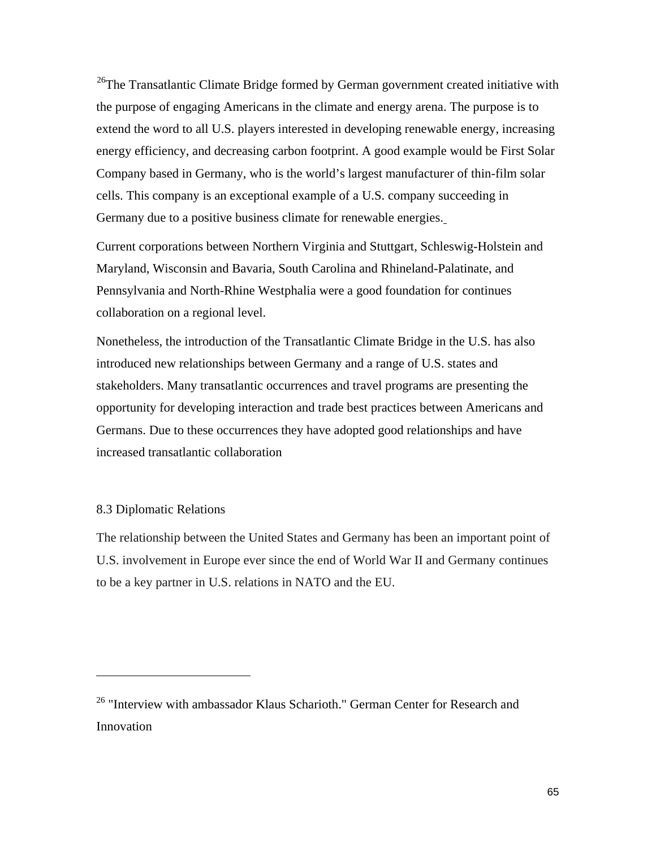$26$ The Transatlantic Climate Bridge formed by German government created initiative with the purpose of engaging Americans in the climate and energy arena. The purpose is to extend the word to all U.S. players interested in developing renewable energy, increasing energy efficiency, and decreasing carbon footprint. A good example would be First Solar Company based in Germany, who is the world's largest manufacturer of thin-film solar cells. This company is an exceptional example of a U.S. company succeeding in Germany due to a positive business climate for renewable energies.

Current corporations between Northern Virginia and Stuttgart, Schleswig-Holstein and Maryland, Wisconsin and Bavaria, South Carolina and Rhineland-Palatinate, and Pennsylvania and North-Rhine Westphalia were a good foundation for continues collaboration on a regional level.

Nonetheless, the introduction of the Transatlantic Climate Bridge in the U.S. has also introduced new relationships between Germany and a range of U.S. states and stakeholders. Many transatlantic occurrences and travel programs are presenting the opportunity for developing interaction and trade best practices between Americans and Germans. Due to these occurrences they have adopted good relationships and have increased transatlantic collaboration

## 8.3 Diplomatic Relations

 $\overline{a}$ 

The relationship between the United States and Germany has been an important point of U.S. involvement in Europe ever since the end of World War II and Germany continues to be a key partner in U.S. relations in NATO and the EU.

<span id="page-65-0"></span> $26$  "Interview with ambassador Klaus Scharioth." German Center for Research and Innovation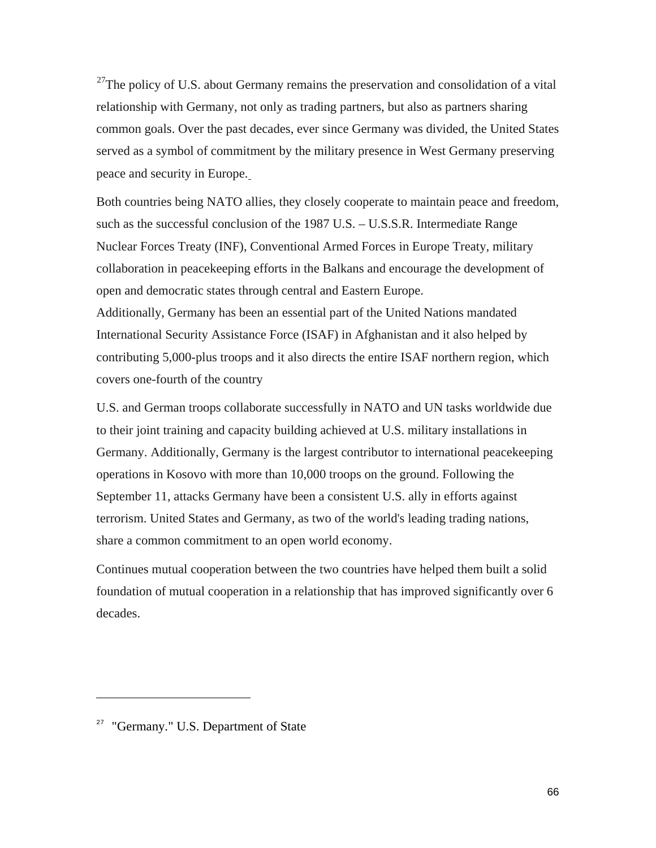$27$ The policy of U.S. about Germany remains the preservation and consolidation of a vital relationship with Germany, not only as trading partners, but also as partners sharing common goals. Over the past decades, ever since Germany was divided, the United States served as a symbol of commitment by the military presence in West Germany preserving peace and security in Europe.

Both countries being NATO allies, they closely cooperate to maintain peace and freedom, such as the successful conclusion of the 1987 U.S. – U.S.S.R. Intermediate Range Nuclear Forces Treaty (INF), Conventional Armed Forces in Europe Treaty, military collaboration in peacekeeping efforts in the Balkans and encourage the development of open and democratic states through central and Eastern Europe.

Additionally, Germany has been an essential part of the United Nations mandated International Security Assistance Force (ISAF) in Afghanistan and it also helped by contributing 5,000-plus troops and it also directs the entire ISAF northern region, which covers one-fourth of the country

U.S. and German troops collaborate successfully in NATO and UN tasks worldwide due to their joint training and capacity building achieved at U.S. military installations in Germany. Additionally, Germany is the largest contributor to international peacekeeping operations in Kosovo with more than 10,000 troops on the ground. Following the September 11, attacks Germany have been a consistent U.S. ally in efforts against terrorism. United States and Germany, as two of the world's leading trading nations, share a common commitment to an open world economy.

Continues mutual cooperation between the two countries have helped them built a solid foundation of mutual cooperation in a relationship that has improved significantly over 6 decades.

 $\overline{a}$ 

<span id="page-66-0"></span> $27$  "Germany." U.S. Department of State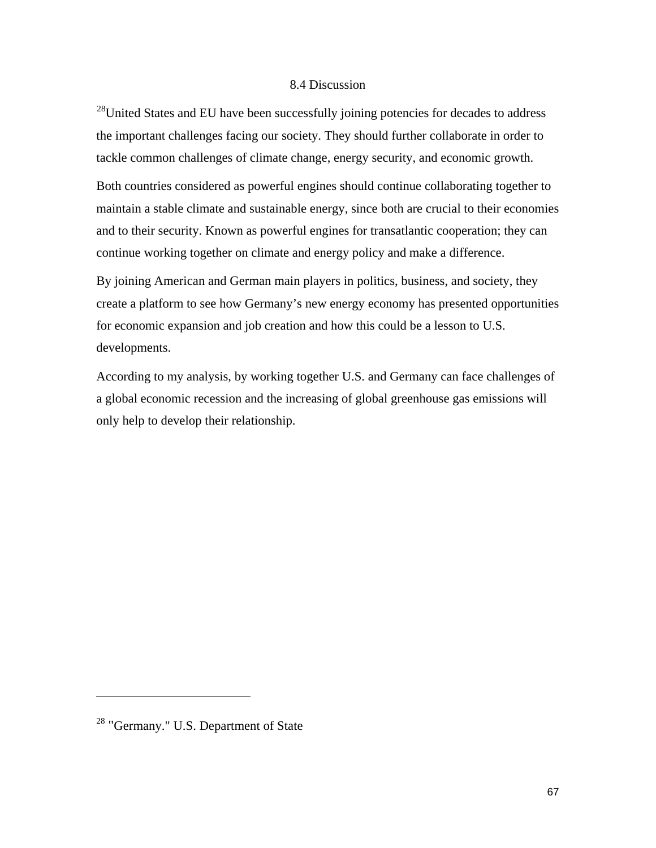#### 8.4 Discussion

 $^{28}$ United States and EU have been successfully joining potencies for decades to address the important challenges facing our society. They should further collaborate in order to tackle common challenges of climate change, energy security, and economic growth.

Both countries considered as powerful engines should continue collaborating together to maintain a stable climate and sustainable energy, since both are crucial to their economies and to their security. Known as powerful engines for transatlantic cooperation; they can continue working together on climate and energy policy and make a difference.

By joining American and German main players in politics, business, and society, they create a platform to see how Germany's new energy economy has presented opportunities for economic expansion and job creation and how this could be a lesson to U.S. developments.

According to my analysis, by working together U.S. and Germany can face challenges of a global economic recession and the increasing of global greenhouse gas emissions will only help to develop their relationship.

 $\overline{a}$ 

<span id="page-67-0"></span><sup>&</sup>lt;sup>28</sup> "Germany." U.S. Department of State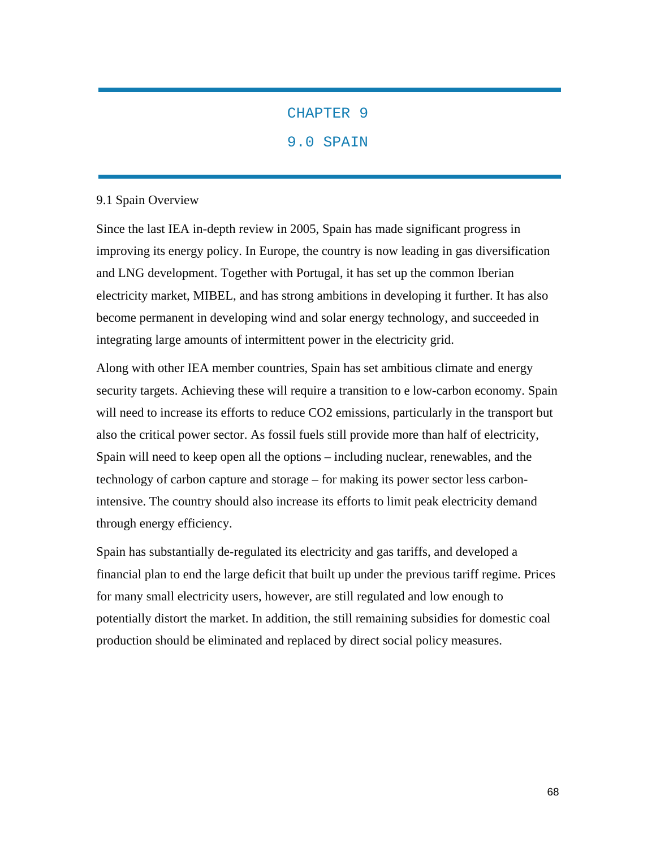## CHAPTER 9

## 9.0 SPAIN

#### 9.1 Spain Overview

Since the last IEA in-depth review in 2005, Spain has made significant progress in improving its energy policy. In Europe, the country is now leading in gas diversification and LNG development. Together with Portugal, it has set up the common Iberian electricity market, MIBEL, and has strong ambitions in developing it further. It has also become permanent in developing wind and solar energy technology, and succeeded in integrating large amounts of intermittent power in the electricity grid.

Along with other IEA member countries, Spain has set ambitious climate and energy security targets. Achieving these will require a transition to e low-carbon economy. Spain will need to increase its efforts to reduce CO2 emissions, particularly in the transport but also the critical power sector. As fossil fuels still provide more than half of electricity, Spain will need to keep open all the options – including nuclear, renewables, and the technology of carbon capture and storage – for making its power sector less carbonintensive. The country should also increase its efforts to limit peak electricity demand through energy efficiency.

Spain has substantially de-regulated its electricity and gas tariffs, and developed a financial plan to end the large deficit that built up under the previous tariff regime. Prices for many small electricity users, however, are still regulated and low enough to potentially distort the market. In addition, the still remaining subsidies for domestic coal production should be eliminated and replaced by direct social policy measures.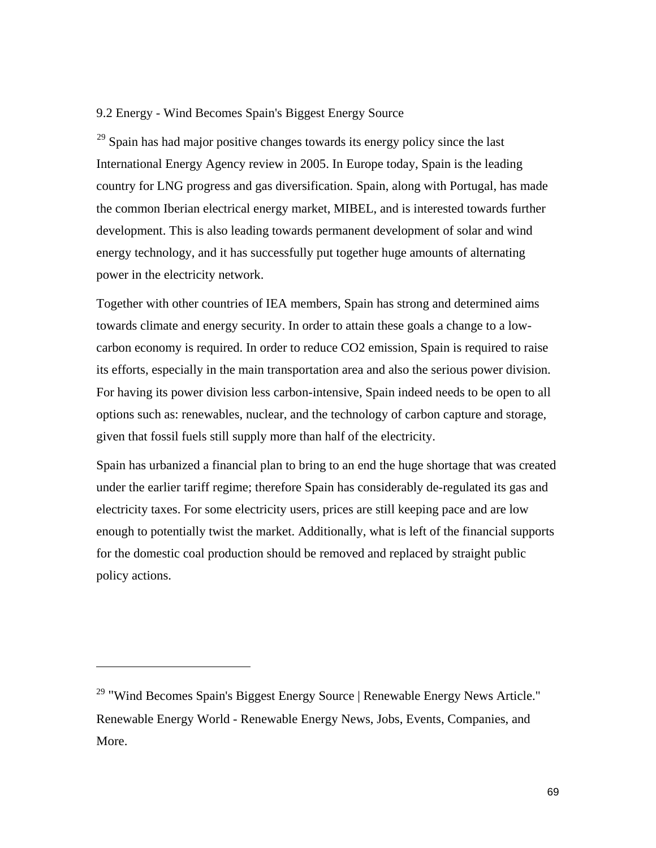## 9.2 Energy - Wind Becomes Spain's Biggest Energy Source

 $29$  Spain has had major positive changes towards its energy policy since the last International Energy Agency review in 2005. In Europe today, Spain is the leading country for LNG progress and gas diversification. Spain, along with Portugal, has made the common Iberian electrical energy market, MIBEL, and is interested towards further development. This is also leading towards permanent development of solar and wind energy technology, and it has successfully put together huge amounts of alternating power in the electricity network.

Together with other countries of IEA members, Spain has strong and determined aims towards climate and energy security. In order to attain these goals a change to a lowcarbon economy is required. In order to reduce CO2 emission, Spain is required to raise its efforts, especially in the main transportation area and also the serious power division. For having its power division less carbon-intensive, Spain indeed needs to be open to all options such as: renewables, nuclear, and the technology of carbon capture and storage, given that fossil fuels still supply more than half of the electricity.

Spain has urbanized a financial plan to bring to an end the huge shortage that was created under the earlier tariff regime; therefore Spain has considerably de-regulated its gas and electricity taxes. For some electricity users, prices are still keeping pace and are low enough to potentially twist the market. Additionally, what is left of the financial supports for the domestic coal production should be removed and replaced by straight public policy actions.

 $\overline{a}$ 

<span id="page-69-0"></span><sup>&</sup>lt;sup>29</sup> "Wind Becomes Spain's Biggest Energy Source | Renewable Energy News Article." Renewable Energy World - Renewable Energy News, Jobs, Events, Companies, and More.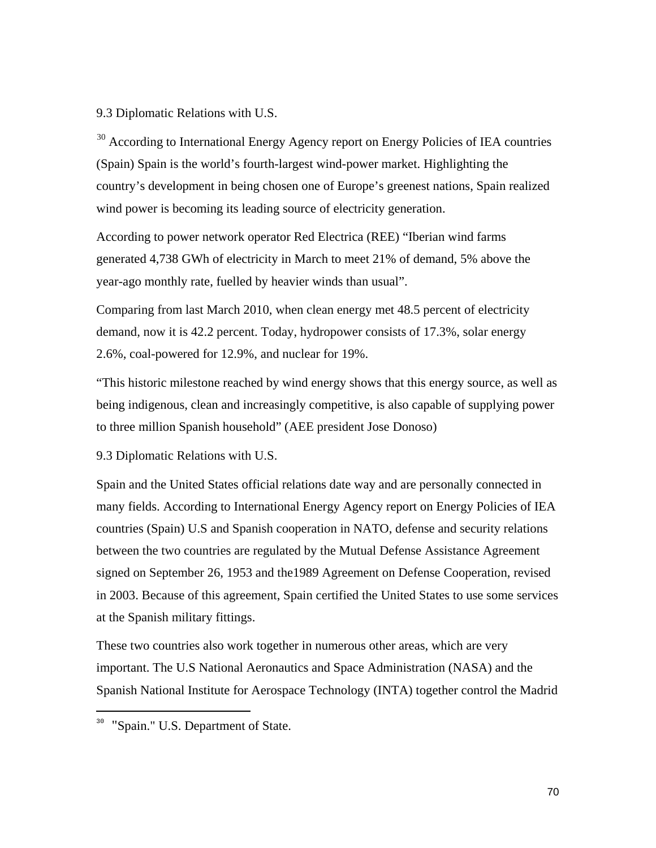#### 9.3 Diplomatic Relations with U.S.

<sup>[30](#page-70-0)</sup> According to International Energy Agency report on Energy Policies of IEA countries (Spain) Spain is the world's fourth-largest wind-power market. Highlighting the country's development in being chosen one of Europe's greenest nations, Spain realized wind power is becoming its leading source of electricity generation.

According to power network operator Red Electrica (REE) "Iberian wind farms generated 4,738 GWh of electricity in March to meet 21% of demand, 5% above the year-ago monthly rate, fuelled by heavier winds than usual".

Comparing from last March 2010, when clean energy met 48.5 percent of electricity demand, now it is 42.2 percent. Today, hydropower consists of 17.3%, solar energy 2.6%, coal-powered for 12.9%, and nuclear for 19%.

"This historic milestone reached by wind energy shows that this energy source, as well as being indigenous, clean and increasingly competitive, is also capable of supplying power to three million Spanish household" (AEE president Jose Donoso)

9.3 Diplomatic Relations with U.S.

Spain and the United States official relations date way and are personally connected in many fields. According to International Energy Agency report on Energy Policies of IEA countries (Spain) U.S and Spanish cooperation in NATO, defense and security relations between the two countries are regulated by the Mutual Defense Assistance Agreement signed on September 26, 1953 and the1989 Agreement on Defense Cooperation, revised in 2003. Because of this agreement, Spain certified the United States to use some services at the Spanish military fittings.

These two countries also work together in numerous other areas, which are very important. The U.S National Aeronautics and Space Administration (NASA) and the Spanish National Institute for Aerospace Technology (INTA) together control the Madrid

 $\overline{a}$ 

<span id="page-70-0"></span><sup>&</sup>lt;sup>30</sup> "Spain." U.S. Department of State.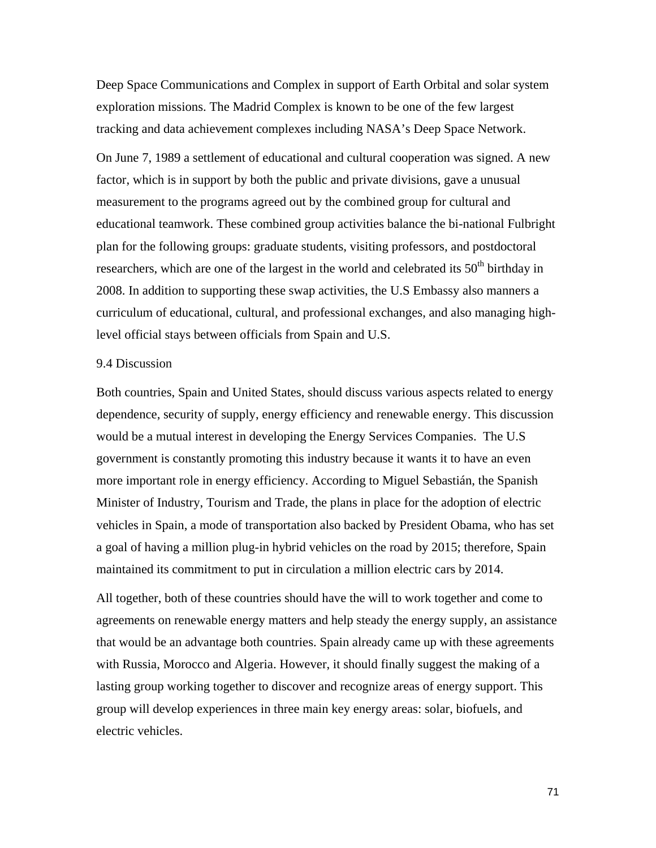Deep Space Communications and Complex in support of Earth Orbital and solar system exploration missions. The Madrid Complex is known to be one of the few largest tracking and data achievement complexes including NASA's Deep Space Network.

On June 7, 1989 a settlement of educational and cultural cooperation was signed. A new factor, which is in support by both the public and private divisions, gave a unusual measurement to the programs agreed out by the combined group for cultural and educational teamwork. These combined group activities balance the bi-national Fulbright plan for the following groups: graduate students, visiting professors, and postdoctoral researchers, which are one of the largest in the world and celebrated its  $50<sup>th</sup>$  birthday in 2008. In addition to supporting these swap activities, the U.S Embassy also manners a curriculum of educational, cultural, and professional exchanges, and also managing highlevel official stays between officials from Spain and U.S.

#### 9.4 Discussion

Both countries, Spain and United States, should discuss various aspects related to energy dependence, security of supply, energy efficiency and renewable energy. This discussion would be a mutual interest in developing the Energy Services Companies. The U.S government is constantly promoting this industry because it wants it to have an even more important role in energy efficiency. According to Miguel Sebastián, the Spanish Minister of Industry, Tourism and Trade, the plans in place for the adoption of electric vehicles in Spain, a mode of transportation also backed by President Obama, who has set a goal of having a million plug-in hybrid vehicles on the road by 2015; therefore, Spain maintained its commitment to put in circulation a million electric cars by 2014.

All together, both of these countries should have the will to work together and come to agreements on renewable energy matters and help steady the energy supply, an assistance that would be an advantage both countries. Spain already came up with these agreements with Russia, Morocco and Algeria. However, it should finally suggest the making of a lasting group working together to discover and recognize areas of energy support. This group will develop experiences in three main key energy areas: solar, biofuels, and electric vehicles.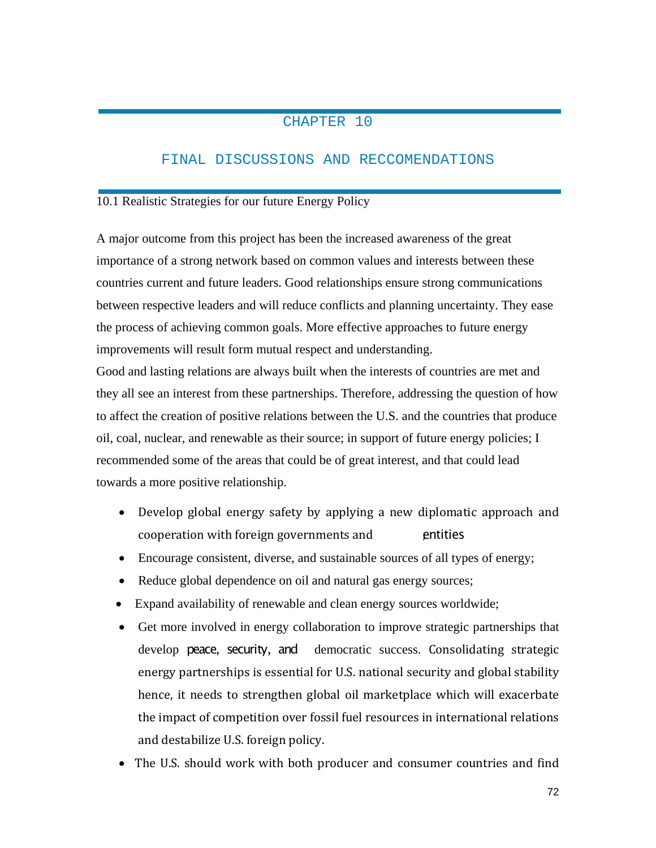## CHAPTER 10

### FINAL DISCUSSIONS AND RECCOMENDATIONS

### 10.1 Realistic Strategies for our future Energy Policy

A major outcome from this project has been the increased awareness of the great importance of a strong network based on common values and interests between these countries current and future leaders. Good relationships ensure strong communications between respective leaders and will reduce conflicts and planning uncertainty. They ease the process of achieving common goals. More effective approaches to future energy improvements will result form mutual respect and understanding.

Good and lasting relations are always built when the interests of countries are met and they all see an interest from these partnerships. Therefore, addressing the question of how to affect the creation of positive relations between the U.S. and the countries that produce oil, coal, nuclear, and renewable as their source; in support of future energy policies; I recommended some of the areas that could be of great interest, and that could lead towards a more positive relationship.

- Develop global energy safety by applying a new diplomatic approach and cooperation with foreign governments and **entities**
- Encourage consistent, diverse, and sustainable sources of all types of energy;
- Reduce global dependence on oil and natural gas energy sources;
- Expand availability of renewable and clean energy sources worldwide;
- Get more involved in energy collaboration to improve strategic partnerships that develop peace, security, and democratic success. Consolidating strategic energy partnerships is essential for U.S. national security and global stability hence, it needs to strengthen global oil marketplace which will exacerbate the impact of competition over fossil fuel resources in international relations and destabilize U.S. foreign policy.
- The U.S. should work with both producer and consumer countries and find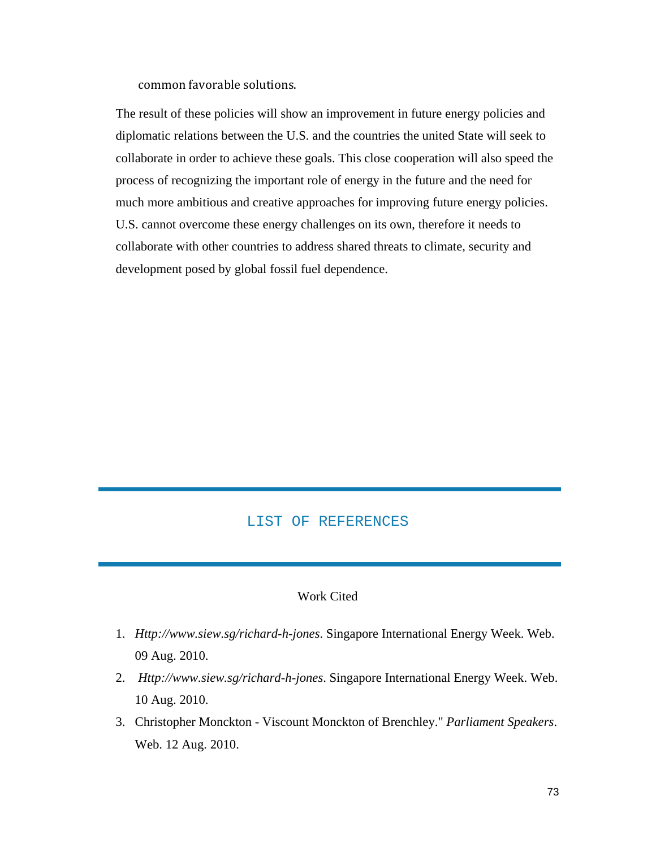common favorable solutions.

The result of these policies will show an improvement in future energy policies and diplomatic relations between the U.S. and the countries the united State will seek to collaborate in order to achieve these goals. This close cooperation will also speed the process of recognizing the important role of energy in the future and the need for much more ambitious and creative approaches for improving future energy policies. U.S. cannot overcome these energy challenges on its own, therefore it needs to collaborate with other countries to address shared threats to climate, security and development posed by global fossil fuel dependence.

#### LIST OF REFERENCES

### Work Cited

- 1. *Http://www.siew.sg/richard-h-jones*. Singapore International Energy Week. Web. 09 Aug. 2010.
- 2. *Http://www.siew.sg/richard-h-jones*. Singapore International Energy Week. Web. 10 Aug. 2010.
- 3. Christopher Monckton Viscount Monckton of Brenchley." *Parliament Speakers*. Web. 12 Aug. 2010.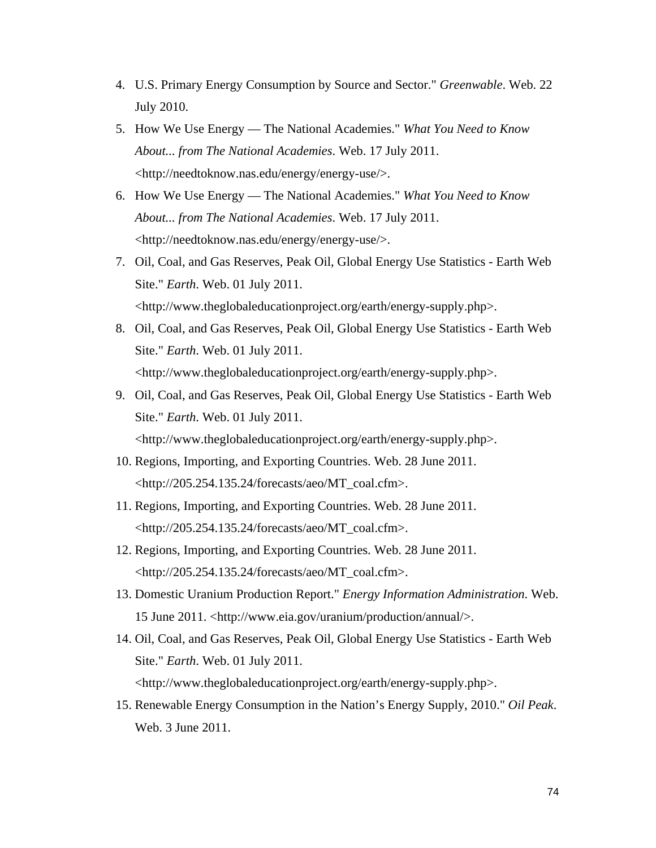- 4. U.S. Primary Energy Consumption by Source and Sector." *Greenwable*. Web. 22 July 2010.
- 5. How We Use Energy The National Academies." *What You Need to Know About... from The National Academies*. Web. 17 July 2011. <http://needtoknow.nas.edu/energy/energy-use/>.
- 6. How We Use Energy The National Academies." *What You Need to Know About... from The National Academies*. Web. 17 July 2011. <http://needtoknow.nas.edu/energy/energy-use/>.
- 7. Oil, Coal, and Gas Reserves, Peak Oil, Global Energy Use Statistics Earth Web Site." *Earth*. Web. 01 July 2011. <http://www.theglobaleducationproject.org/earth/energy-supply.php>.
- 8. Oil, Coal, and Gas Reserves, Peak Oil, Global Energy Use Statistics Earth Web Site." *Earth*. Web. 01 July 2011. <http://www.theglobaleducationproject.org/earth/energy-supply.php>.
- 9. Oil, Coal, and Gas Reserves, Peak Oil, Global Energy Use Statistics Earth Web Site." *Earth*. Web. 01 July 2011. <http://www.theglobaleducationproject.org/earth/energy-supply.php>.
- 10. Regions, Importing, and Exporting Countries. Web. 28 June 2011. <http://205.254.135.24/forecasts/aeo/MT\_coal.cfm>.
- 11. Regions, Importing, and Exporting Countries. Web. 28 June 2011. <http://205.254.135.24/forecasts/aeo/MT\_coal.cfm>.
- 12. Regions, Importing, and Exporting Countries. Web. 28 June 2011.  $\lt$ http://205.254.135.24/forecasts/aeo/MT\_coal.cfm>.
- 13. Domestic Uranium Production Report." *Energy Information Administration*. Web. 15 June 2011. <http://www.eia.gov/uranium/production/annual/>.
- 14. Oil, Coal, and Gas Reserves, Peak Oil, Global Energy Use Statistics Earth Web Site." *Earth*. Web. 01 July 2011. <http://www.theglobaleducationproject.org/earth/energy-supply.php>.
- 15. Renewable Energy Consumption in the Nation's Energy Supply, 2010." *Oil Peak*. Web. 3 June 2011.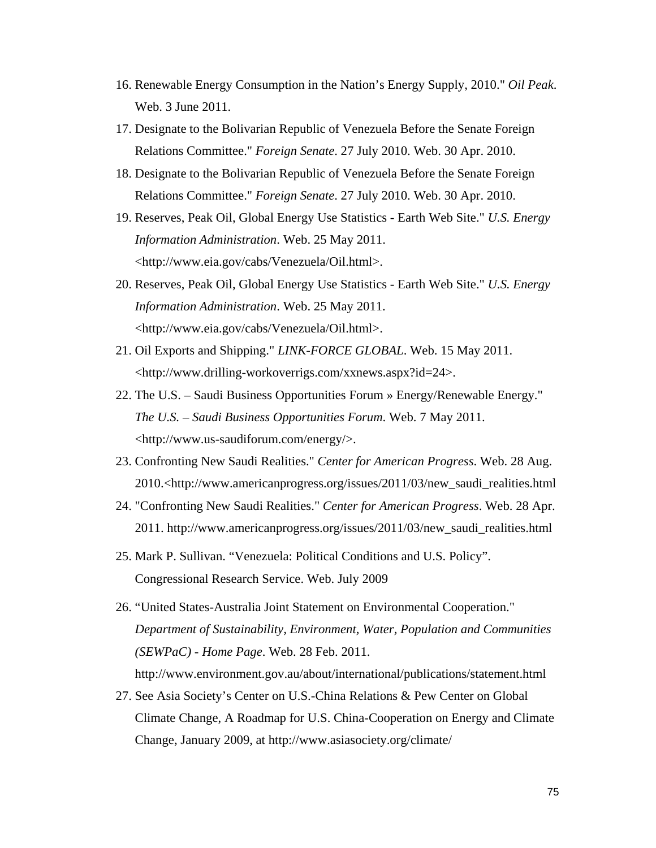- 16. Renewable Energy Consumption in the Nation's Energy Supply, 2010." *Oil Peak*. Web. 3 June 2011.
- 17. Designate to the Bolivarian Republic of Venezuela Before the Senate Foreign Relations Committee." *Foreign Senate*. 27 July 2010. Web. 30 Apr. 2010.
- 18. Designate to the Bolivarian Republic of Venezuela Before the Senate Foreign Relations Committee." *Foreign Senate*. 27 July 2010. Web. 30 Apr. 2010.
- 19. Reserves, Peak Oil, Global Energy Use Statistics Earth Web Site." *U.S. Energy Information Administration*. Web. 25 May 2011. <http://www.eia.gov/cabs/Venezuela/Oil.html>.
- 20. Reserves, Peak Oil, Global Energy Use Statistics Earth Web Site." *U.S. Energy Information Administration*. Web. 25 May 2011. <http://www.eia.gov/cabs/Venezuela/Oil.html>.
- 21. Oil Exports and Shipping." *LINK-FORCE GLOBAL*. Web. 15 May 2011. <http://www.drilling-workoverrigs.com/xxnews.aspx?id=24>.
- 22. The U.S. Saudi Business Opportunities Forum » Energy/Renewable Energy." *The U.S. – Saudi Business Opportunities Forum*. Web. 7 May 2011. <http://www.us-saudiforum.com/energy/>.
- 23. Confronting New Saudi Realities." *Center for American Progress*. Web. 28 Aug. 2010.<http://www.americanprogress.org/issues/2011/03/new\_saudi\_realities.html
- 24. "Confronting New Saudi Realities." *Center for American Progress*. Web. 28 Apr. 2011. [http://www.americanprogress.org/issues/2011/03/new\\_saudi\\_realities.html](http://www.americanprogress.org/issues/2011/03/new_saudi_realities.html)
- 25. Mark P. Sullivan. "Venezuela: Political Conditions and U.S. Policy". Congressional Research Service. Web. July 2009
- 26. "United States-Australia Joint Statement on Environmental Cooperation." *Department of Sustainability, Environment, Water, Population and Communities (SEWPaC) - Home Page*. Web. 28 Feb. 2011. <http://www.environment.gov.au/about/international/publications/statement.html>
- 27. See Asia Society's Center on U.S.-China Relations & Pew Center on Global Climate Change, A Roadmap for U.S. China-Cooperation on Energy and Climate Change, January 2009, at http://www.asiasociety.org/climate/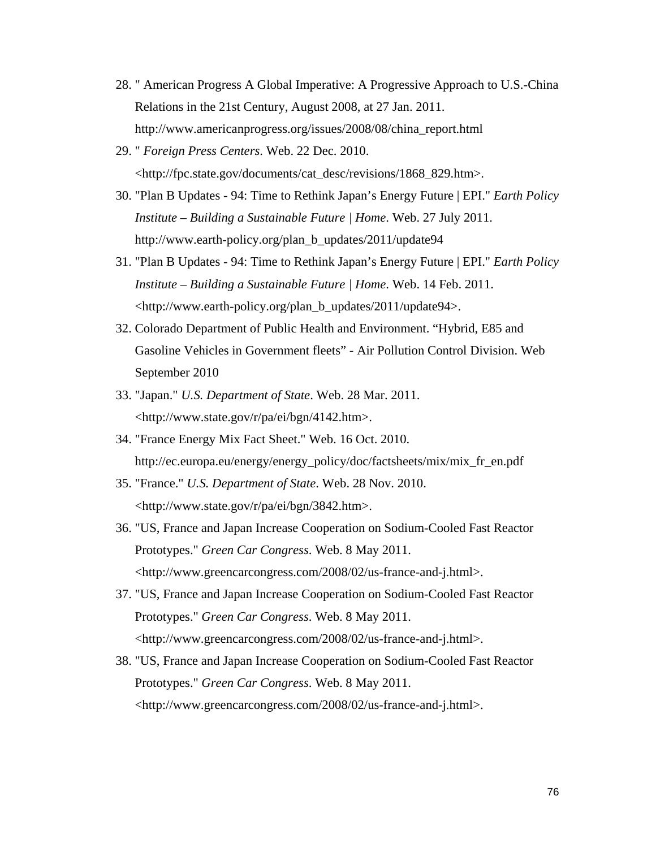- 28. " American Progress A Global Imperative: A Progressive Approach to U.S.-China Relations in the 21st Century, August 2008, at 27 Jan. 2011. http://www.americanprogress.org/issues/2008/08/china\_report.html
- 29. " *Foreign Press Centers*. Web. 22 Dec. 2010. <http://fpc.state.gov/documents/cat\_desc/revisions/1868\_829.htm>.
- 30. "Plan B Updates 94: Time to Rethink Japan's Energy Future | EPI." *Earth Policy Institute – Building a Sustainable Future | Home*. Web. 27 July 2011. [http://www.earth-policy.org/plan\\_b\\_updates/2011/update94](http://www.earth-policy.org/plan_b_updates/2011/update94)
- 31. "Plan B Updates 94: Time to Rethink Japan's Energy Future | EPI." *Earth Policy Institute – Building a Sustainable Future | Home*. Web. 14 Feb. 2011. <http://www.earth-policy.org/plan\_b\_updates/2011/update94>.
- 32. Colorado Department of Public Health and Environment. "Hybrid, E85 and Gasoline Vehicles in Government fleets" - Air Pollution Control Division. Web September 2010
- 33. "Japan." *U.S. Department of State*. Web. 28 Mar. 2011. <http://www.state.gov/r/pa/ei/bgn/4142.htm>.
- 34. "France Energy Mix Fact Sheet." Web. 16 Oct. 2010. http://ec.europa.eu/energy/energy\_policy/doc/factsheets/mix/mix\_fr\_en.pdf
- 35. "France." *U.S. Department of State*. Web. 28 Nov. 2010. <http://www.state.gov/r/pa/ei/bgn/3842.htm>.
- 36. "US, France and Japan Increase Cooperation on Sodium-Cooled Fast Reactor Prototypes." *Green Car Congress*. Web. 8 May 2011. <http://www.greencarcongress.com/2008/02/us-france-and-j.html>.
- 37. "US, France and Japan Increase Cooperation on Sodium-Cooled Fast Reactor Prototypes." *Green Car Congress*. Web. 8 May 2011. <http://www.greencarcongress.com/2008/02/us-france-and-j.html>.
- 38. "US, France and Japan Increase Cooperation on Sodium-Cooled Fast Reactor Prototypes." *Green Car Congress*. Web. 8 May 2011. <http://www.greencarcongress.com/2008/02/us-france-and-j.html>.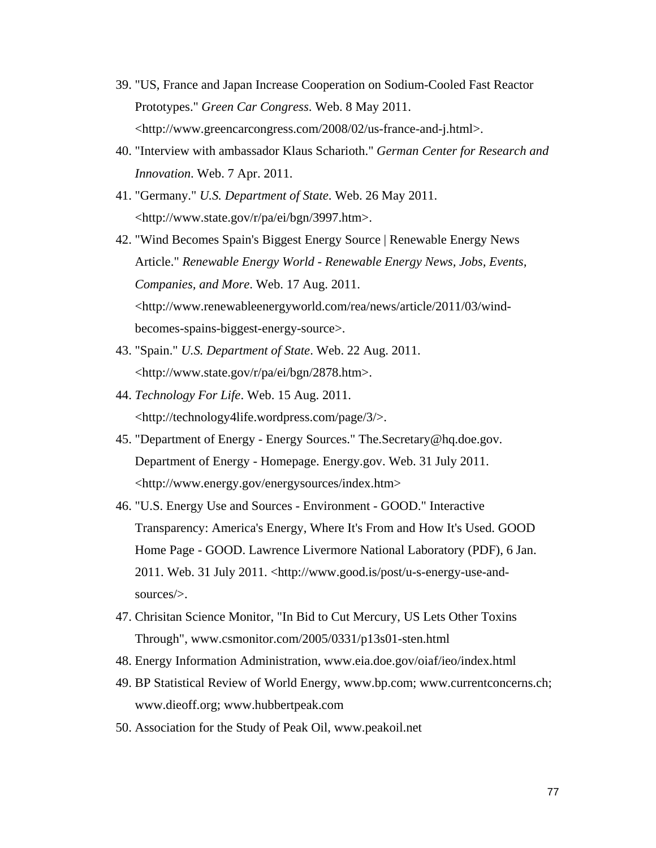- 39. "US, France and Japan Increase Cooperation on Sodium-Cooled Fast Reactor Prototypes." *Green Car Congress*. Web. 8 May 2011. <http://www.greencarcongress.com/2008/02/us-france-and-j.html>.
- 40. "Interview with ambassador Klaus Scharioth." *German Center for Research and Innovation*. Web. 7 Apr. 2011.
- 41. "Germany." *U.S. Department of State*. Web. 26 May 2011. <http://www.state.gov/r/pa/ei/bgn/3997.htm>.
- 42. "Wind Becomes Spain's Biggest Energy Source | Renewable Energy News Article." *Renewable Energy World - Renewable Energy News, Jobs, Events, Companies, and More*. Web. 17 Aug. 2011. <http://www.renewableenergyworld.com/rea/news/article/2011/03/windbecomes-spains-biggest-energy-source>.
- 43. "Spain." *U.S. Department of State*. Web. 22 Aug. 2011. <http://www.state.gov/r/pa/ei/bgn/2878.htm>.
- 44. *Technology For Life*. Web. 15 Aug. 2011. <http://technology4life.wordpress.com/page/3/>.
- 45. "Department of Energy Energy Sources." [The.Secretary@hq.doe.gov.](mailto:The.Secretary@hq.doe.gov) Department of Energy - Homepage. Energy.gov. Web. 31 July 2011. [<http://www.energy.gov/energysources/index.htm>](http://www.energy.gov/energysources/index.htm)
- 46. "U.S. Energy Use and Sources Environment GOOD." Interactive Transparency: America's Energy, Where It's From and How It's Used. GOOD Home Page - GOOD. Lawrence Livermore National Laboratory (PDF), 6 Jan. 2011. Web. 31 July 2011. [<http://www.good.is/post/u-s-energy-use-and](http://www.good.is/post/u-s-energy-use-and-sources/)[sources/>](http://www.good.is/post/u-s-energy-use-and-sources/).
- 47. Chrisitan Science Monitor, "In Bid to Cut Mercury, US Lets Other Toxins Through", [www.csmonitor.com/2005/0331/p13s01-sten.html](http://www.csmonitor.com/2005/0331/p13s01-sten.html)
- 48. Energy Information Administration, [www.eia.doe.gov/oiaf/ieo/index.html](http://www.eia.doe.gov/oiaf/ieo/index.html)
- 49. BP Statistical Review of World Energy, [www.bp.com;](http://www.bp.com/) [www.currentconcerns.ch;](http://www.currentconcerns.ch/) [www.dieoff.org;](http://www.dieoff.org/) [www.hubbertpeak.com](http://www.hubbertpeak.com/)
- 50. Association for the Study of Peak Oil, [www.peakoil.net](http://www.peakoil.net/)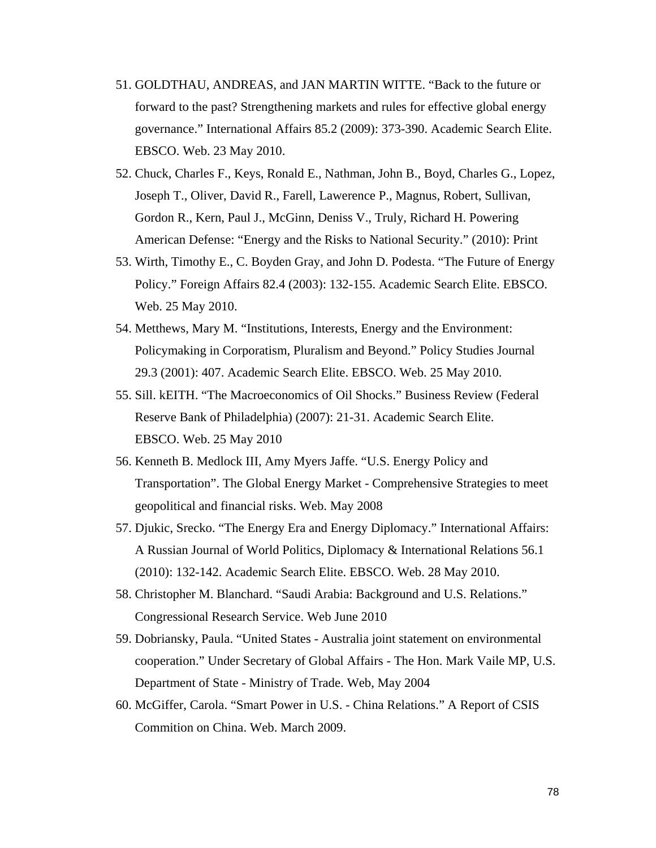- 51. GOLDTHAU, ANDREAS, and JAN MARTIN WITTE. "Back to the future or forward to the past? Strengthening markets and rules for effective global energy governance." International Affairs 85.2 (2009): 373-390. Academic Search Elite. EBSCO. Web. 23 May 2010.
- 52. Chuck, Charles F., Keys, Ronald E., Nathman, John B., Boyd, Charles G., Lopez, Joseph T., Oliver, David R., Farell, Lawerence P., Magnus, Robert, Sullivan, Gordon R., Kern, Paul J., McGinn, Deniss V., Truly, Richard H. Powering American Defense: "Energy and the Risks to National Security." (2010): Print
- 53. Wirth, Timothy E., C. Boyden Gray, and John D. Podesta. "The Future of Energy Policy." Foreign Affairs 82.4 (2003): 132-155. Academic Search Elite. EBSCO. Web. 25 May 2010.
- 54. Metthews, Mary M. "Institutions, Interests, Energy and the Environment: Policymaking in Corporatism, Pluralism and Beyond." Policy Studies Journal 29.3 (2001): 407. Academic Search Elite. EBSCO. Web. 25 May 2010.
- 55. Sill. kEITH. "The Macroeconomics of Oil Shocks." Business Review (Federal Reserve Bank of Philadelphia) (2007): 21-31. Academic Search Elite. EBSCO. Web. 25 May 2010
- 56. Kenneth B. Medlock III, Amy Myers Jaffe. "U.S. Energy Policy and Transportation". The Global Energy Market - Comprehensive Strategies to meet geopolitical and financial risks. Web. May 2008
- 57. Djukic, Srecko. "The Energy Era and Energy Diplomacy." International Affairs: A Russian Journal of World Politics, Diplomacy & International Relations 56.1 (2010): 132-142. Academic Search Elite. EBSCO. Web. 28 May 2010.
- 58. Christopher M. Blanchard. "Saudi Arabia: Background and U.S. Relations." Congressional Research Service. Web June 2010
- 59. Dobriansky, Paula. "United States Australia joint statement on environmental cooperation." Under Secretary of Global Affairs - The Hon. Mark Vaile MP, U.S. Department of State - Ministry of Trade. Web, May 2004
- 60. McGiffer, Carola. "Smart Power in U.S. China Relations." A Report of CSIS Commition on China. [Web. March](http://web.march/) 2009.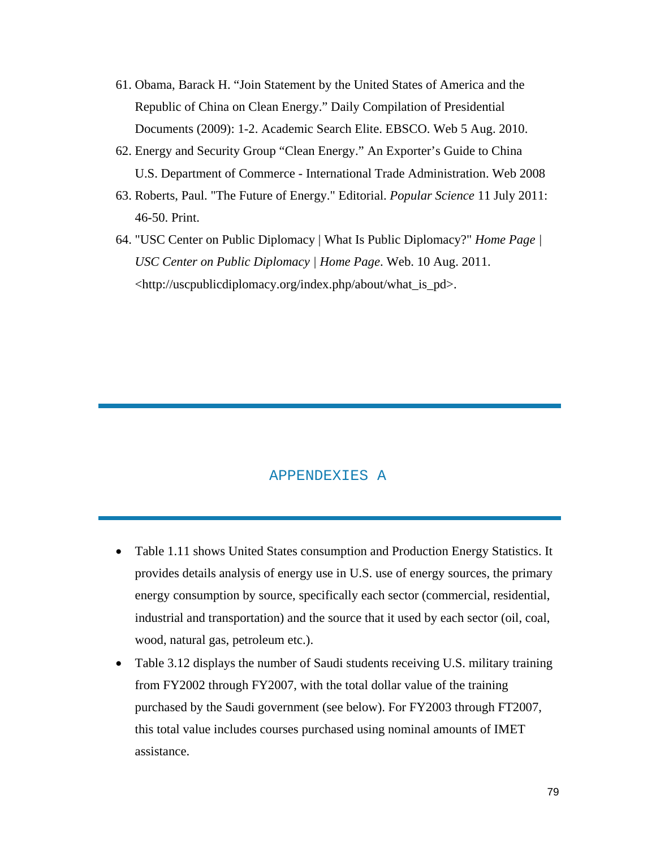- 61. Obama, Barack H. "Join Statement by the United States of America and the Republic of China on Clean Energy." Daily Compilation of Presidential Documents (2009): 1-2. Academic Search Elite. EBSCO. Web 5 Aug. 2010.
- 62. Energy and Security Group "Clean Energy." An Exporter's Guide to China U.S. Department of Commerce - International Trade Administration. Web 2008
- 63. Roberts, Paul. "The Future of Energy." Editorial. *Popular Science* 11 July 2011: 46-50. Print.
- 64. "USC Center on Public Diplomacy | What Is Public Diplomacy?" *Home Page | USC Center on Public Diplomacy | Home Page*. Web. 10 Aug. 2011. <http://uscpublicdiplomacy.org/index.php/about/what\_is\_pd>.

#### APPENDEXIES A

- Table 1.11 shows United States consumption and Production Energy Statistics. It provides details analysis of energy use in U.S. use of energy sources, the primary energy consumption by source, specifically each sector (commercial, residential, industrial and transportation) and the source that it used by each sector (oil, coal, wood, natural gas, petroleum etc.).
- Table 3.12 displays the number of Saudi students receiving U.S. military training from FY2002 through FY2007, with the total dollar value of the training purchased by the Saudi government (see below). For FY2003 through FT2007, this total value includes courses purchased using nominal amounts of IMET assistance.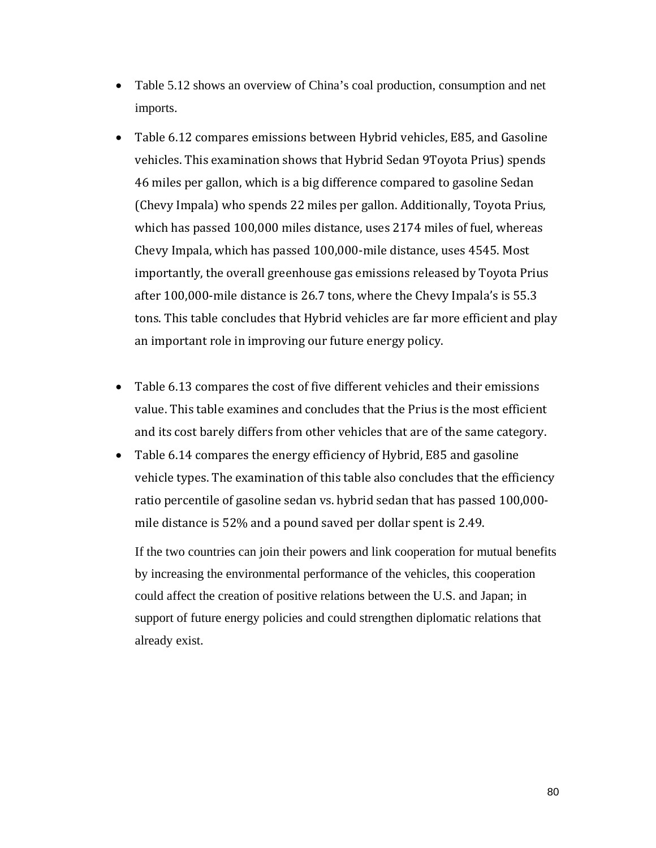- Table 5.12 shows an overview of China's coal production, consumption and net imports.
- Table 6.12 compares emissions between Hybrid vehicles, E85, and Gasoline vehicles. This examination shows that Hybrid Sedan 9Toyota Prius) spends 46 miles per gallon, which is a big difference compared to gasoline Sedan (Chevy Impala) who spends 22 miles per gallon. Additionally, Toyota Prius, which has passed 100,000 miles distance, uses 2174 miles of fuel, whereas Chevy Impala, which has passed 100,000-mile distance, uses 4545. Most importantly, the overall greenhouse gas emissions released by Toyota Prius after 100,000-mile distance is 26.7 tons, where the Chevy Impala's is 55.3 tons. This table concludes that Hybrid vehicles are far more efficient and play an important role in improving our future energy policy.
- Table 6.13 compares the cost of five different vehicles and their emissions value. This table examines and concludes that the Prius is the most efficient and its cost barely differs from other vehicles that are of the same category.
- Table 6.14 compares the energy efficiency of Hybrid, E85 and gasoline vehicle types. The examination of this table also concludes that the efficiency ratio percentile of gasoline sedan vs. hybrid sedan that has passed 100,000 mile distance is 52% and a pound saved per dollar spent is 2.49.

If the two countries can join their powers and link cooperation for mutual benefits by increasing the environmental performance of the vehicles, this cooperation could affect the creation of positive relations between the U.S. and Japan; in support of future energy policies and could strengthen diplomatic relations that already exist.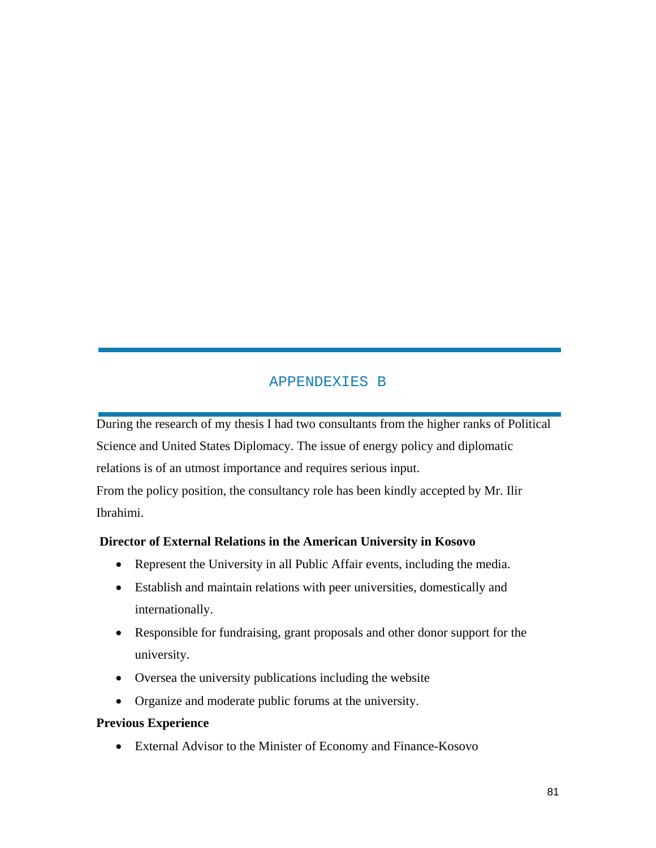# APPENDEXIES B

During the research of my thesis I had two consultants from the higher ranks of Political Science and United States Diplomacy. The issue of energy policy and diplomatic relations is of an utmost importance and requires serious input. From the policy position, the consultancy role has been kindly accepted by Mr. Ilir Ibrahimi.

### **Director of External Relations in the American University in Kosovo**

- Represent the University in all Public Affair events, including the media.
- Establish and maintain relations with peer universities, domestically and internationally.
- Responsible for fundraising, grant proposals and other donor support for the university.
- Oversea the university publications including the website
- Organize and moderate public forums at the university.

### **Previous Experience**

• External Advisor to the Minister of Economy and Finance-Kosovo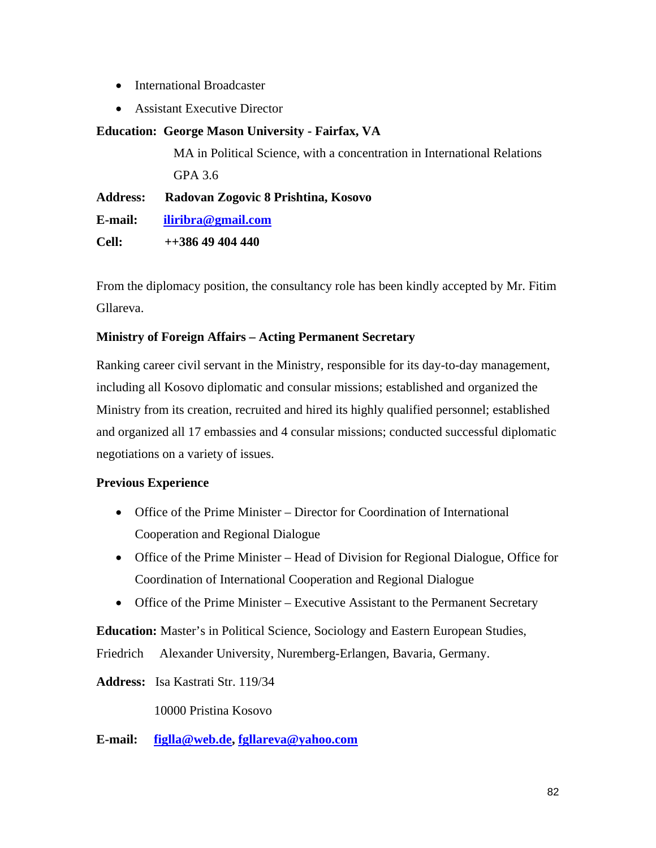- International Broadcaster
- Assistant Executive Director

# **Education: George Mason University - Fairfax, VA**

MA in Political Science, with a concentration in International Relations GPA 3.6

**Address: Radovan Zogovic 8 Prishtina, Kosovo**

**E-mail: [iliribra@gmail.com](mailto:iliribra@gmail.com)**

**Cell: ++386 49 404 440**

From the diplomacy position, the consultancy role has been kindly accepted by Mr. Fitim Gllareva.

# **Ministry of Foreign Affairs – Acting Permanent Secretary**

Ranking career civil servant in the Ministry, responsible for its day-to-day management, including all Kosovo diplomatic and consular missions; established and organized the Ministry from its creation, recruited and hired its highly qualified personnel; established and organized all 17 embassies and 4 consular missions; conducted successful diplomatic negotiations on a variety of issues.

### **Previous Experience**

- Office of the Prime Minister Director for Coordination of International Cooperation and Regional Dialogue
- Office of the Prime Minister Head of Division for Regional Dialogue, Office for Coordination of International Cooperation and Regional Dialogue
- Office of the Prime Minister Executive Assistant to the Permanent Secretary

**Education:** Master's in Political Science, Sociology and Eastern European Studies, Friedrich Alexander University, Nuremberg-Erlangen, Bavaria, Germany.

**Address:** Isa Kastrati Str. 119/34

10000 Pristina Kosovo

**E-mail: [figlla@web.de,](mailto:figlla@web.de) [fgllareva@yahoo.com](mailto:fgllareva@yahoo.com)**